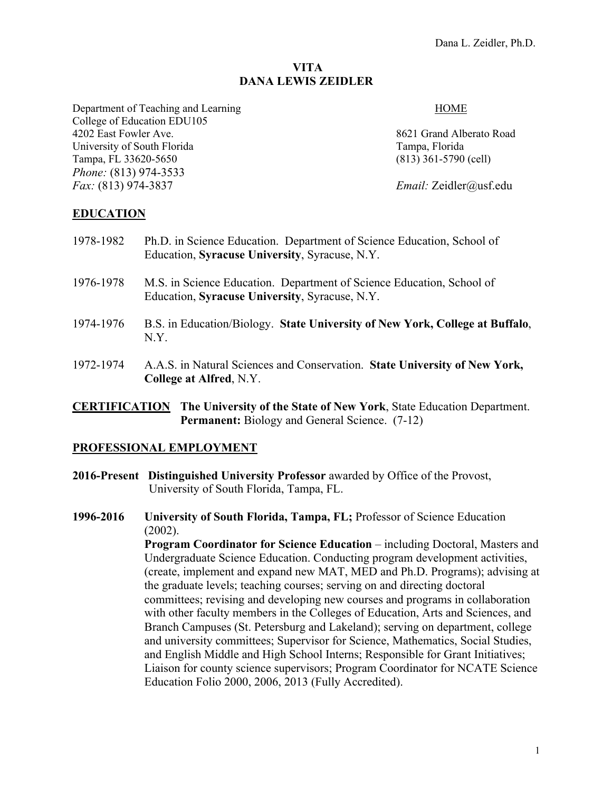# **VITA DANA LEWIS ZEIDLER**

#### Department of Teaching and Learning HOME

4202 East Fowler Ave. 8621 Grand Alberato Road University of South Florida Tampa, Florida Tampa, Florida Tampa, FL 33620-5650 (813) 361-5790 (cell)

*Fax:* (813) 974-3837 *Email:* Zeidler@usf.edu

# **EDUCATION**

College of Education EDU105

*Phone:* (813) 974-3533

- 1978-1982 Ph.D. in Science Education. Department of Science Education, School of Education, **Syracuse University**, Syracuse, N.Y.
- 1976-1978 M.S. in Science Education. Department of Science Education, School of Education, **Syracuse University**, Syracuse, N.Y.
- 1974-1976 B.S. in Education/Biology. **State University of New York, College at Buffalo**, N.Y.
- 1972-1974 A.A.S. in Natural Sciences and Conservation. **State University of New York, College at Alfred**, N.Y.
- **CERTIFICATION The University of the State of New York**, State Education Department. **Permanent:** Biology and General Science. (7-12)

### **PROFESSIONAL EMPLOYMENT**

- **2016-Present Distinguished University Professor** awarded by Office of the Provost, University of South Florida, Tampa, FL.
- **1996-2016 University of South Florida, Tampa, FL;** Professor of Science Education (2002).

**Program Coordinator for Science Education** – including Doctoral, Masters and Undergraduate Science Education. Conducting program development activities, (create, implement and expand new MAT, MED and Ph.D. Programs); advising at the graduate levels; teaching courses; serving on and directing doctoral committees; revising and developing new courses and programs in collaboration with other faculty members in the Colleges of Education, Arts and Sciences, and Branch Campuses (St. Petersburg and Lakeland); serving on department, college and university committees; Supervisor for Science, Mathematics, Social Studies, and English Middle and High School Interns; Responsible for Grant Initiatives; Liaison for county science supervisors; Program Coordinator for NCATE Science Education Folio 2000, 2006, 2013 (Fully Accredited).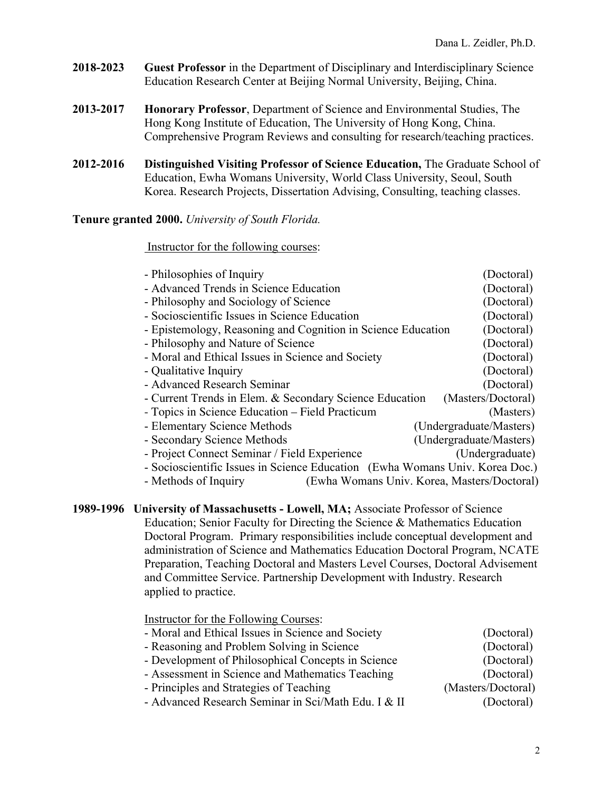- **2018-2023 Guest Professor** in the Department of Disciplinary and Interdisciplinary Science Education Research Center at Beijing Normal University, Beijing, China.
- **2013-2017 Honorary Professor**, Department of Science and Environmental Studies, The Hong Kong Institute of Education, The University of Hong Kong, China. Comprehensive Program Reviews and consulting for research/teaching practices.
- **2012-2016 Distinguished Visiting Professor of Science Education,** The Graduate School of Education, Ewha Womans University, World Class University, Seoul, South Korea. Research Projects, Dissertation Advising, Consulting, teaching classes.

# **Tenure granted 2000.** *University of South Florida.*

#### Instructor for the following courses:

| - Philosophies of Inquiry                                                    |                                             | (Doctoral)              |
|------------------------------------------------------------------------------|---------------------------------------------|-------------------------|
| - Advanced Trends in Science Education                                       |                                             | (Doctoral)              |
| - Philosophy and Sociology of Science                                        |                                             | (Doctoral)              |
| - Socioscientific Issues in Science Education                                |                                             | (Doctoral)              |
| - Epistemology, Reasoning and Cognition in Science Education                 |                                             | (Doctoral)              |
| - Philosophy and Nature of Science                                           |                                             | (Doctoral)              |
| - Moral and Ethical Issues in Science and Society                            |                                             | (Doctoral)              |
| - Qualitative Inquiry                                                        |                                             | (Doctoral)              |
| - Advanced Research Seminar                                                  |                                             | (Doctoral)              |
| - Current Trends in Elem. & Secondary Science Education                      |                                             | (Masters/Doctoral)      |
| - Topics in Science Education – Field Practicum                              |                                             | (Masters)               |
| - Elementary Science Methods                                                 |                                             | (Undergraduate/Masters) |
| - Secondary Science Methods                                                  |                                             | (Undergraduate/Masters) |
| - Project Connect Seminar / Field Experience                                 |                                             | (Undergraduate)         |
| - Socioscientific Issues in Science Education (Ewha Womans Univ. Korea Doc.) |                                             |                         |
| - Methods of Inquiry                                                         | (Ewha Womans Univ. Korea, Masters/Doctoral) |                         |

| 1989-1996 University of Massachusetts - Lowell, MA; Associate Professor of Science |
|------------------------------------------------------------------------------------|
| Education; Senior Faculty for Directing the Science & Mathematics Education        |
| Doctoral Program. Primary responsibilities include conceptual development and      |
| administration of Science and Mathematics Education Doctoral Program, NCATE        |
| Preparation, Teaching Doctoral and Masters Level Courses, Doctoral Advisement      |
| and Committee Service. Partnership Development with Industry. Research             |
| applied to practice.                                                               |

Instructor for the Following Courses: - Moral and Ethical Issues in Science and Society (Doctoral) - Reasoning and Problem Solving in Science (Doctoral) - Development of Philosophical Concepts in Science (Doctoral) - Assessment in Science and Mathematics Teaching (Doctoral) - Principles and Strategies of Teaching (Masters/Doctoral) - Advanced Research Seminar in Sci/Math Edu. I & II (Doctoral)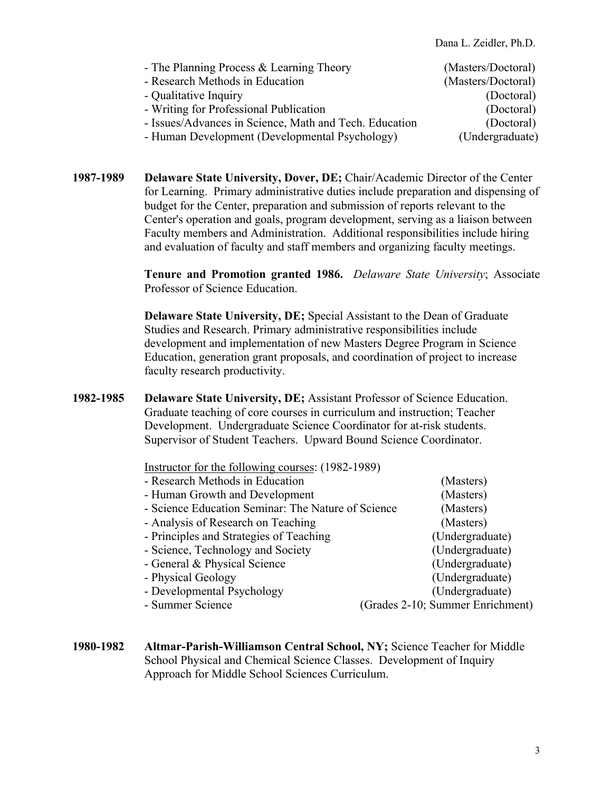Dana L. Zeidler, Ph.D.

| - The Planning Process & Learning Theory               | (Masters/Doctoral) |
|--------------------------------------------------------|--------------------|
| - Research Methods in Education                        | (Masters/Doctoral) |
| - Qualitative Inquiry                                  | (Doctoral)         |
| - Writing for Professional Publication                 | (Doctoral)         |
| - Issues/Advances in Science, Math and Tech. Education | (Doctoral)         |
| - Human Development (Developmental Psychology)         | (Undergraduate)    |

**1987-1989 Delaware State University, Dover, DE;** Chair/Academic Director of the Center for Learning. Primary administrative duties include preparation and dispensing of budget for the Center, preparation and submission of reports relevant to the Center's operation and goals, program development, serving as a liaison between Faculty members and Administration. Additional responsibilities include hiring and evaluation of faculty and staff members and organizing faculty meetings.

> **Tenure and Promotion granted 1986.** *Delaware State University*; Associate Professor of Science Education.

**Delaware State University, DE;** Special Assistant to the Dean of Graduate Studies and Research. Primary administrative responsibilities include development and implementation of new Masters Degree Program in Science Education, generation grant proposals, and coordination of project to increase faculty research productivity.

**1982-1985 Delaware State University, DE;** Assistant Professor of Science Education. Graduate teaching of core courses in curriculum and instruction; Teacher Development. Undergraduate Science Coordinator for at-risk students. Supervisor of Student Teachers. Upward Bound Science Coordinator.

Instructor for the following courses: (1982-1989)

| - Research Methods in Education                    | (Masters)                        |
|----------------------------------------------------|----------------------------------|
| - Human Growth and Development                     | (Masters)                        |
| - Science Education Seminar: The Nature of Science | (Masters)                        |
| - Analysis of Research on Teaching                 | (Masters)                        |
| - Principles and Strategies of Teaching            | (Undergraduate)                  |
| - Science, Technology and Society                  | (Undergraduate)                  |
| - General & Physical Science                       | (Undergraduate)                  |
| - Physical Geology                                 | (Undergraduate)                  |
| - Developmental Psychology                         | (Undergraduate)                  |
| - Summer Science                                   | (Grades 2-10; Summer Enrichment) |

**1980-1982 Altmar-Parish-Williamson Central School, NY;** Science Teacher for Middle School Physical and Chemical Science Classes. Development of Inquiry Approach for Middle School Sciences Curriculum.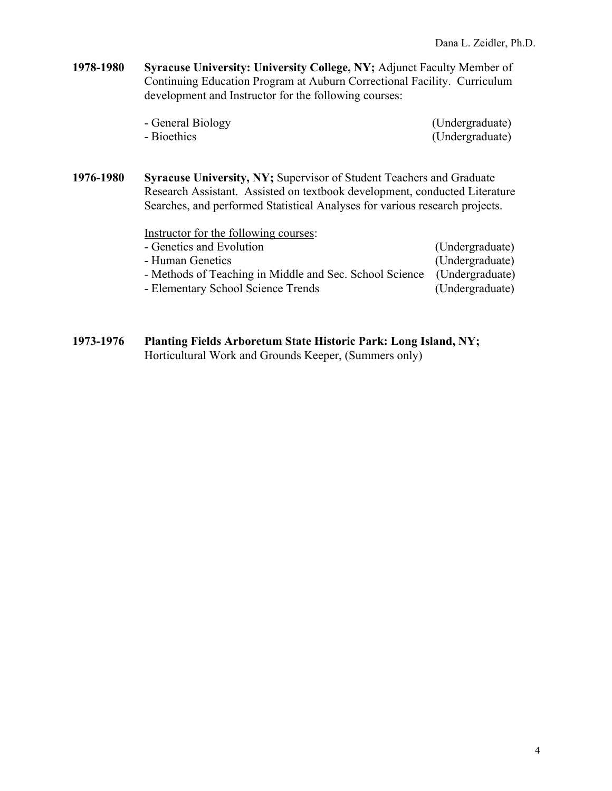**1978-1980 Syracuse University: University College, NY;** Adjunct Faculty Member of Continuing Education Program at Auburn Correctional Facility. Curriculum development and Instructor for the following courses:

| - General Biology | (Undergraduate) |
|-------------------|-----------------|
| - Bioethics       | (Undergraduate) |

**1976-1980 Syracuse University, NY;** Supervisor of Student Teachers and Graduate Research Assistant. Assisted on textbook development, conducted Literature Searches, and performed Statistical Analyses for various research projects.

Instructor for the following courses:

| - Genetics and Evolution                                | (Undergraduate) |
|---------------------------------------------------------|-----------------|
| - Human Genetics                                        | (Undergraduate) |
| - Methods of Teaching in Middle and Sec. School Science | (Undergraduate) |
| - Elementary School Science Trends                      | (Undergraduate) |

**1973-1976 Planting Fields Arboretum State Historic Park: Long Island, NY;**  Horticultural Work and Grounds Keeper, (Summers only)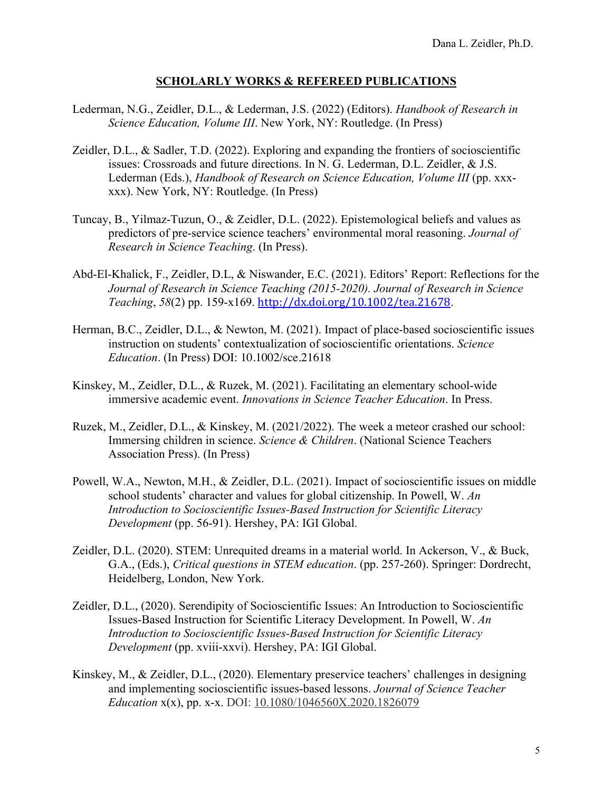# **SCHOLARLY WORKS & REFEREED PUBLICATIONS**

- Lederman, N.G., Zeidler, D.L., & Lederman, J.S. (2022) (Editors). *Handbook of Research in Science Education, Volume III*. New York, NY: Routledge. (In Press)
- Zeidler, D.L., & Sadler, T.D. (2022). Exploring and expanding the frontiers of socioscientific issues: Crossroads and future directions. In N. G. Lederman, D.L. Zeidler, & J.S. Lederman (Eds.), *Handbook of Research on Science Education, Volume III* (pp. xxxxxx). New York, NY: Routledge. (In Press)
- Tuncay, B., Yilmaz-Tuzun, O., & Zeidler, D.L. (2022). Epistemological beliefs and values as predictors of pre-service science teachers' environmental moral reasoning. *Journal of Research in Science Teaching*. (In Press).
- Abd-El-Khalick, F., Zeidler, D.L, & Niswander, E.C. (2021). Editors' Report: Reflections for the *Journal of Research in Science Teaching (2015-2020). Journal of Research in Science Teaching*, *58*(2) pp. 159-x169. http://dx.doi.org/10.1002/tea.21678.
- Herman, B.C., Zeidler, D.L., & Newton, M. (2021). Impact of place-based socioscientific issues instruction on students' contextualization of socioscientific orientations. *Science Education*. (In Press) DOI: 10.1002/sce.21618
- Kinskey, M., Zeidler, D.L., & Ruzek, M. (2021). Facilitating an elementary school-wide immersive academic event. *Innovations in Science Teacher Education*. In Press.
- Ruzek, M., Zeidler, D.L., & Kinskey, M. (2021/2022). The week a meteor crashed our school: Immersing children in science. *Science & Children*. (National Science Teachers Association Press). (In Press)
- Powell, W.A., Newton, M.H., & Zeidler, D.L. (2021). Impact of socioscientific issues on middle school students' character and values for global citizenship. In Powell, W. *An Introduction to Socioscientific Issues-Based Instruction for Scientific Literacy Development* (pp. 56-91). Hershey, PA: IGI Global.
- Zeidler, D.L. (2020). STEM: Unrequited dreams in a material world. In Ackerson, V., & Buck, G.A., (Eds.), *Critical questions in STEM education*. (pp. 257-260). Springer: Dordrecht, Heidelberg, London, New York.
- Zeidler, D.L., (2020). Serendipity of Socioscientific Issues: An Introduction to Socioscientific Issues-Based Instruction for Scientific Literacy Development. In Powell, W. *An Introduction to Socioscientific Issues-Based Instruction for Scientific Literacy Development* (pp. xviii-xxvi). Hershey, PA: IGI Global.
- Kinskey, M., & Zeidler, D.L., (2020). Elementary preservice teachers' challenges in designing and implementing socioscientific issues-based lessons. *Journal of Science Teacher Education* x(x), pp. x-x. DOI: 10.1080/1046560X.2020.1826079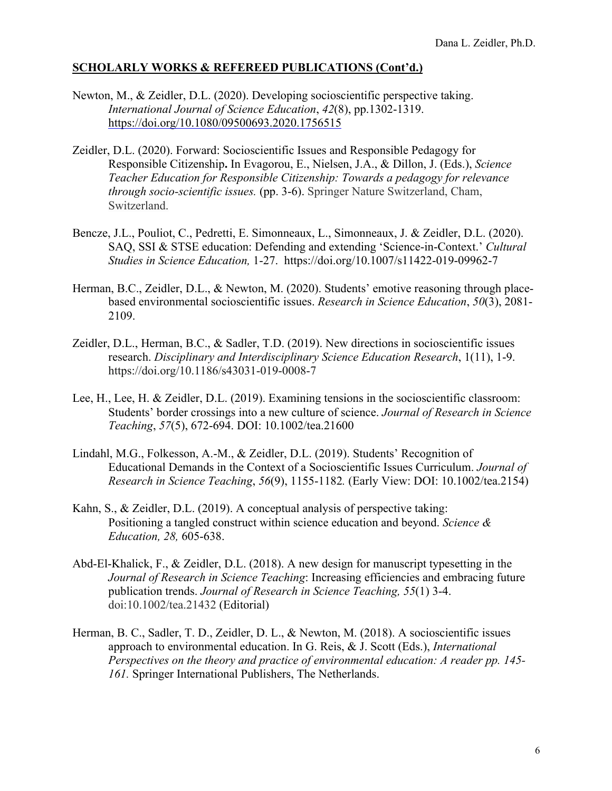- Newton, M., & Zeidler, D.L. (2020). Developing socioscientific perspective taking. *International Journal of Science Education*, *42*(8), pp.1302-1319. https://doi.org/10.1080/09500693.2020.1756515
- Zeidler, D.L. (2020). Forward: Socioscientific Issues and Responsible Pedagogy for Responsible Citizenship**.** In Evagorou, E., Nielsen, J.A., & Dillon, J. (Eds.), *Science Teacher Education for Responsible Citizenship: Towards a pedagogy for relevance through socio-scientific issues.* (pp. 3-6). Springer Nature Switzerland, Cham, Switzerland.
- Bencze, J.L., Pouliot, C., Pedretti, E. Simonneaux, L., Simonneaux, J. & Zeidler, D.L. (2020). SAQ, SSI & STSE education: Defending and extending 'Science-in-Context.' *Cultural Studies in Science Education,* 1-27. https://doi.org/10.1007/s11422-019-09962-7
- Herman, B.C., Zeidler, D.L., & Newton, M. (2020). Students' emotive reasoning through placebased environmental socioscientific issues. *Research in Science Education*, *50*(3), 2081- 2109.
- Zeidler, D.L., Herman, B.C., & Sadler, T.D. (2019). New directions in socioscientific issues research. *Disciplinary and Interdisciplinary Science Education Research*, 1(11), 1-9. https://doi.org/10.1186/s43031-019-0008-7
- Lee, H., Lee, H. & Zeidler, D.L. (2019). Examining tensions in the socioscientific classroom: Students' border crossings into a new culture of science. *Journal of Research in Science Teaching*, *57*(5), 672-694. DOI: 10.1002/tea.21600
- Lindahl, M.G., Folkesson, A.-M., & Zeidler, D.L. (2019). Students' Recognition of Educational Demands in the Context of a Socioscientific Issues Curriculum. *Journal of Research in Science Teaching*, *56*(9), 1155-1182*.* (Early View: DOI: 10.1002/tea.2154)
- Kahn, S., & Zeidler, D.L. (2019). A conceptual analysis of perspective taking: Positioning a tangled construct within science education and beyond. *Science & Education, 28,* 605-638.
- Abd-El-Khalick, F., & Zeidler, D.L. (2018). A new design for manuscript typesetting in the *Journal of Research in Science Teaching*: Increasing efficiencies and embracing future publication trends. *Journal of Research in Science Teaching, 55*(1) 3-4. doi:10.1002/tea.21432 (Editorial)
- Herman, B. C., Sadler, T. D., Zeidler, D. L., & Newton, M. (2018). A socioscientific issues approach to environmental education. In G. Reis, & J. Scott (Eds.), *International Perspectives on the theory and practice of environmental education: A reader pp. 145- 161.* Springer International Publishers, The Netherlands.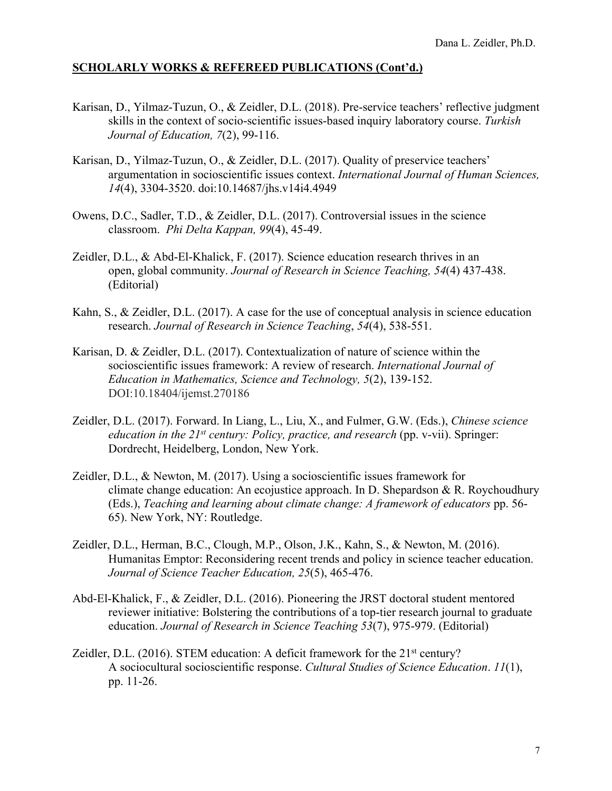- Karisan, D., Yilmaz-Tuzun, O., & Zeidler, D.L. (2018). Pre-service teachers' reflective judgment skills in the context of socio-scientific issues-based inquiry laboratory course. *Turkish Journal of Education, 7*(2), 99-116.
- Karisan, D., Yilmaz-Tuzun, O., & Zeidler, D.L. (2017). Quality of preservice teachers' argumentation in socioscientific issues context. *International Journal of Human Sciences, 14*(4), 3304-3520. doi:10.14687/jhs.v14i4.4949
- Owens, D.C., Sadler, T.D., & Zeidler, D.L. (2017). Controversial issues in the science classroom. *Phi Delta Kappan, 99*(4), 45-49.
- Zeidler, D.L., & Abd-El-Khalick, F. (2017). Science education research thrives in an open, global community. *Journal of Research in Science Teaching, 54*(4) 437-438. (Editorial)
- Kahn, S., & Zeidler, D.L. (2017). A case for the use of conceptual analysis in science education research. *Journal of Research in Science Teaching*, *54*(4), 538-551.
- Karisan, D. & Zeidler, D.L. (2017). Contextualization of nature of science within the socioscientific issues framework: A review of research. *International Journal of Education in Mathematics, Science and Technology, 5*(2), 139-152. DOI:10.18404/ijemst.270186
- Zeidler, D.L. (2017). Forward. In Liang, L., Liu, X., and Fulmer, G.W. (Eds.), *Chinese science education in the 21st century: Policy, practice, and research* (pp. v-vii). Springer: Dordrecht, Heidelberg, London, New York.
- Zeidler, D.L., & Newton, M. (2017). Using a socioscientific issues framework for climate change education: An ecojustice approach. In D. Shepardson & R. Roychoudhury (Eds.), *Teaching and learning about climate change: A framework of educators* pp. 56- 65). New York, NY: Routledge.
- Zeidler, D.L., Herman, B.C., Clough, M.P., Olson, J.K., Kahn, S., & Newton, M. (2016). Humanitas Emptor: Reconsidering recent trends and policy in science teacher education. *Journal of Science Teacher Education, 25*(5), 465-476.
- Abd-El-Khalick, F., & Zeidler, D.L. (2016). Pioneering the JRST doctoral student mentored reviewer initiative: Bolstering the contributions of a top-tier research journal to graduate education. *Journal of Research in Science Teaching 53*(7), 975-979. (Editorial)
- Zeidler, D.L. (2016). STEM education: A deficit framework for the  $21<sup>st</sup>$  century? A sociocultural socioscientific response. *Cultural Studies of Science Education*. *11*(1), pp. 11-26.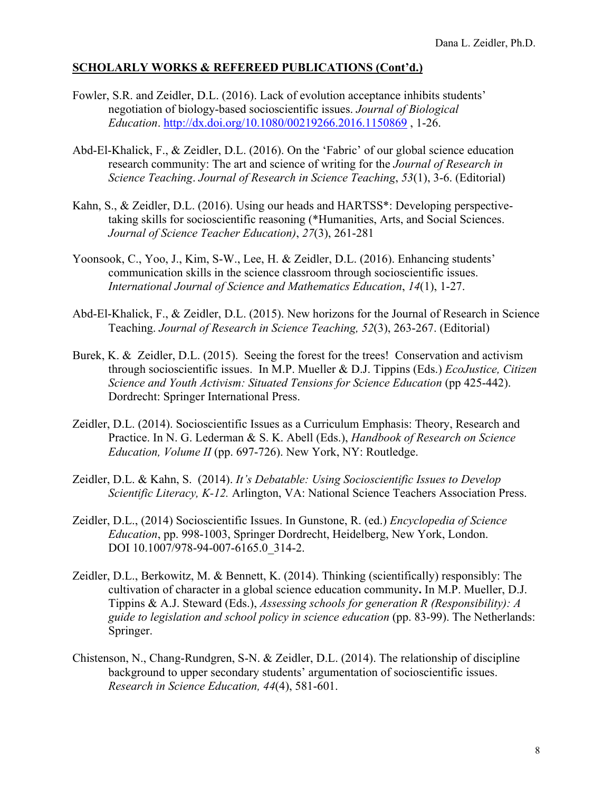- Fowler, S.R. and Zeidler, D.L. (2016). Lack of evolution acceptance inhibits students' negotiation of biology-based socioscientific issues. *Journal of Biological Education*. http://dx.doi.org/10.1080/00219266.2016.1150869 , 1-26.
- Abd-El-Khalick, F., & Zeidler, D.L. (2016). On the 'Fabric' of our global science education research community: The art and science of writing for the *Journal of Research in Science Teaching*. *Journal of Research in Science Teaching*, *53*(1), 3-6. (Editorial)
- Kahn, S., & Zeidler, D.L. (2016). Using our heads and HARTSS\*: Developing perspectivetaking skills for socioscientific reasoning (\*Humanities, Arts, and Social Sciences. *Journal of Science Teacher Education)*, *27*(3), 261-281
- Yoonsook, C., Yoo, J., Kim, S-W., Lee, H. & Zeidler, D.L. (2016). Enhancing students' communication skills in the science classroom through socioscientific issues. *International Journal of Science and Mathematics Education*, *14*(1), 1-27.
- Abd-El-Khalick, F., & Zeidler, D.L. (2015). New horizons for the Journal of Research in Science Teaching. *Journal of Research in Science Teaching, 52*(3), 263-267. (Editorial)
- Burek, K. & Zeidler, D.L. (2015). Seeing the forest for the trees! Conservation and activism through socioscientific issues. In M.P. Mueller & D.J. Tippins (Eds.) *EcoJustice, Citizen Science and Youth Activism: Situated Tensions for Science Education* (pp 425-442). Dordrecht: Springer International Press.
- Zeidler, D.L. (2014). Socioscientific Issues as a Curriculum Emphasis: Theory, Research and Practice. In N. G. Lederman & S. K. Abell (Eds.), *Handbook of Research on Science Education, Volume II* (pp. 697-726). New York, NY: Routledge.
- Zeidler, D.L. & Kahn, S. (2014). *It's Debatable: Using Socioscientific Issues to Develop Scientific Literacy, K-12.* Arlington, VA: National Science Teachers Association Press.
- Zeidler, D.L., (2014) Socioscientific Issues. In Gunstone, R. (ed.) *Encyclopedia of Science Education*, pp. 998-1003, Springer Dordrecht, Heidelberg, New York, London. DOI 10.1007/978-94-007-6165.0\_314-2.
- Zeidler, D.L., Berkowitz, M. & Bennett, K. (2014). Thinking (scientifically) responsibly: The cultivation of character in a global science education community**.** In M.P. Mueller, D.J. Tippins & A.J. Steward (Eds.), *Assessing schools for generation R (Responsibility): A guide to legislation and school policy in science education* (pp. 83-99). The Netherlands: Springer.
- Chistenson, N., Chang-Rundgren, S-N. & Zeidler, D.L. (2014). The relationship of discipline background to upper secondary students' argumentation of socioscientific issues. *Research in Science Education, 44*(4), 581-601.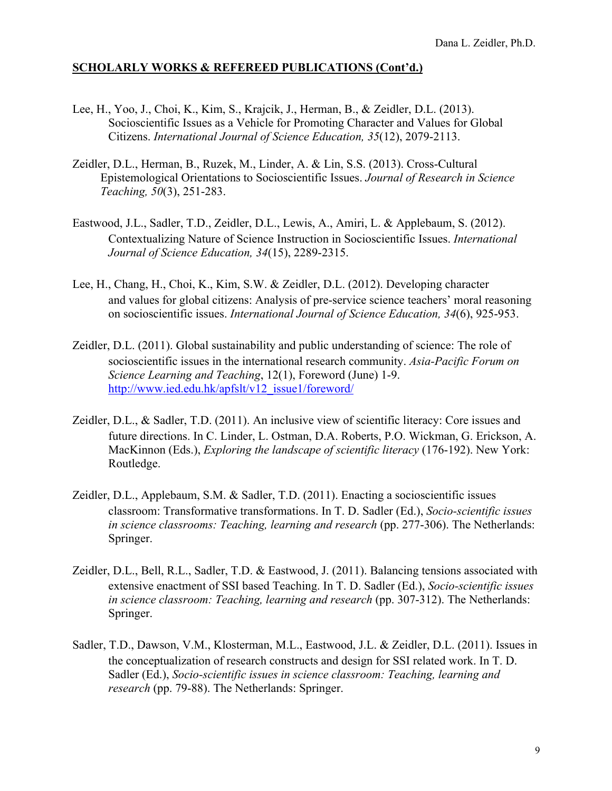- Lee, H., Yoo, J., Choi, K., Kim, S., Krajcik, J., Herman, B., & Zeidler, D.L. (2013). Socioscientific Issues as a Vehicle for Promoting Character and Values for Global Citizens. *International Journal of Science Education, 35*(12), 2079-2113.
- Zeidler, D.L., Herman, B., Ruzek, M., Linder, A. & Lin, S.S. (2013). Cross-Cultural Epistemological Orientations to Socioscientific Issues. *Journal of Research in Science Teaching, 50*(3), 251-283.
- Eastwood, J.L., Sadler, T.D., Zeidler, D.L., Lewis, A., Amiri, L. & Applebaum, S. (2012). Contextualizing Nature of Science Instruction in Socioscientific Issues. *International Journal of Science Education, 34*(15), 2289-2315.
- Lee, H., Chang, H., Choi, K., Kim, S.W. & Zeidler, D.L. (2012). Developing character and values for global citizens: Analysis of pre-service science teachers' moral reasoning on socioscientific issues. *International Journal of Science Education, 34*(6), 925-953.
- Zeidler, D.L. (2011). Global sustainability and public understanding of science: The role of socioscientific issues in the international research community. *Asia-Pacific Forum on Science Learning and Teaching*, 12(1), Foreword (June) 1-9. http://www.ied.edu.hk/apfslt/v12\_issue1/foreword/
- Zeidler, D.L., & Sadler, T.D. (2011). An inclusive view of scientific literacy: Core issues and future directions. In C. Linder, L. Ostman, D.A. Roberts, P.O. Wickman, G. Erickson, A. MacKinnon (Eds.), *Exploring the landscape of scientific literacy* (176-192). New York: Routledge.
- Zeidler, D.L., Applebaum, S.M. & Sadler, T.D. (2011). Enacting a socioscientific issues classroom: Transformative transformations. In T. D. Sadler (Ed.), *Socio-scientific issues in science classrooms: Teaching, learning and research* (pp. 277-306). The Netherlands: Springer.
- Zeidler, D.L., Bell, R.L., Sadler, T.D. & Eastwood, J. (2011). Balancing tensions associated with extensive enactment of SSI based Teaching. In T. D. Sadler (Ed.), *Socio-scientific issues in science classroom: Teaching, learning and research* (pp. 307-312). The Netherlands: Springer.
- Sadler, T.D., Dawson, V.M., Klosterman, M.L., Eastwood, J.L. & Zeidler, D.L. (2011). Issues in the conceptualization of research constructs and design for SSI related work. In T. D. Sadler (Ed.), *Socio-scientific issues in science classroom: Teaching, learning and research* (pp. 79-88). The Netherlands: Springer.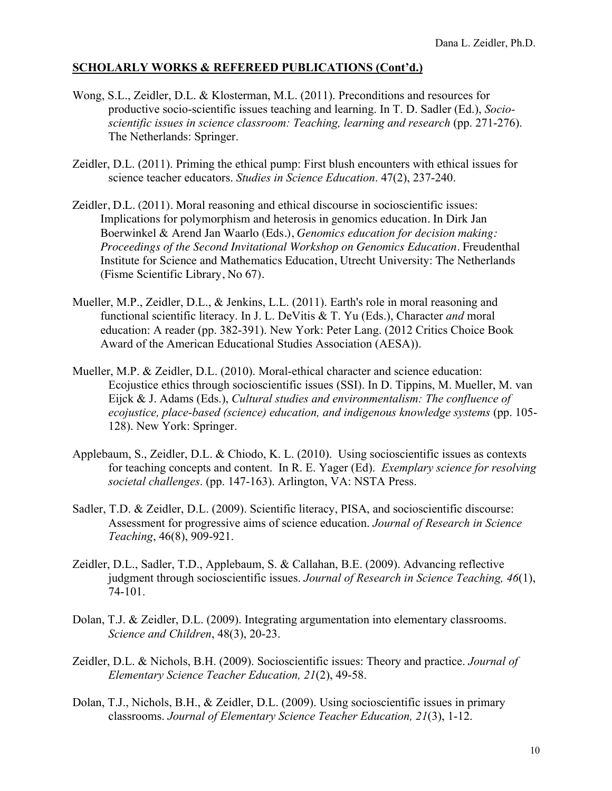- Wong, S.L., Zeidler, D.L. & Klosterman, M.L. (2011). Preconditions and resources for productive socio-scientific issues teaching and learning. In T. D. Sadler (Ed.), *Socioscientific issues in science classroom: Teaching, learning and research* (pp. 271-276). The Netherlands: Springer.
- Zeidler, D.L. (2011). Priming the ethical pump: First blush encounters with ethical issues for science teacher educators. *Studies in Science Education*. 47(2), 237-240.
- Zeidler, D.L. (2011). Moral reasoning and ethical discourse in socioscientific issues: Implications for polymorphism and heterosis in genomics education. In Dirk Jan Boerwinkel & Arend Jan Waarlo (Eds.), *Genomics education for decision making: Proceedings of the Second Invitational Workshop on Genomics Education.* Freudenthal Institute for Science and Mathematics Education, Utrecht University: The Netherlands (Fisme Scientific Library, No 67).
- Mueller, M.P., Zeidler, D.L., & Jenkins, L.L. (2011). Earth's role in moral reasoning and functional scientific literacy. In J. L. DeVitis & T. Yu (Eds.), Character *and* moral education: A reader (pp. 382-391). New York: Peter Lang. (2012 Critics Choice Book Award of the American Educational Studies Association (AESA)).
- Mueller, M.P. & Zeidler, D.L. (2010). Moral-ethical character and science education: Ecojustice ethics through socioscientific issues (SSI). In D. Tippins, M. Mueller, M. van Eijck & J. Adams (Eds.), *Cultural studies and environmentalism: The confluence of ecojustice, place-based (science) education, and indigenous knowledge systems (pp. 105-*128). New York: Springer.
- Applebaum, S., Zeidler, D.L. & Chiodo, K. L. (2010). Using socioscientific issues as contexts for teaching concepts and content. In R. E. Yager (Ed). *Exemplary science for resolving societal challenges*. (pp. 147-163). Arlington, VA: NSTA Press.
- Sadler, T.D. & Zeidler, D.L. (2009). Scientific literacy, PISA, and socioscientific discourse: Assessment for progressive aims of science education. *Journal of Research in Science Teaching*, 46(8), 909-921.
- Zeidler, D.L., Sadler, T.D., Applebaum, S. & Callahan, B.E. (2009). Advancing reflective judgment through socioscientific issues. *Journal of Research in Science Teaching, 46*(1), 74-101.
- Dolan, T.J. & Zeidler, D.L. (2009). Integrating argumentation into elementary classrooms. *Science and Children*, 48(3), 20-23.
- Zeidler, D.L. & Nichols, B.H. (2009). Socioscientific issues: Theory and practice. *Journal of Elementary Science Teacher Education, 21*(2), 49-58.
- Dolan, T.J., Nichols, B.H., & Zeidler, D.L. (2009). Using socioscientific issues in primary classrooms. *Journal of Elementary Science Teacher Education, 21*(3), 1-12.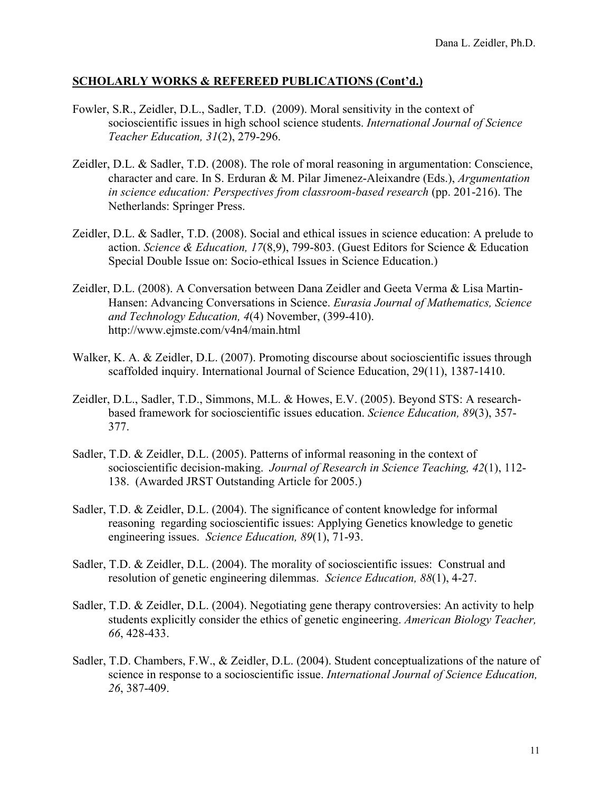- Fowler, S.R., Zeidler, D.L., Sadler, T.D. (2009). Moral sensitivity in the context of socioscientific issues in high school science students. *International Journal of Science Teacher Education, 31*(2), 279-296.
- Zeidler, D.L. & Sadler, T.D. (2008). The role of moral reasoning in argumentation: Conscience, character and care. In S. Erduran & M. Pilar Jimenez-Aleixandre (Eds.), *Argumentation in science education: Perspectives from classroom-based research (pp. 201-216).* The Netherlands: Springer Press.
- Zeidler, D.L. & Sadler, T.D. (2008). Social and ethical issues in science education: A prelude to action. *Science & Education, 17*(8,9), 799-803. (Guest Editors for Science & Education Special Double Issue on: Socio-ethical Issues in Science Education.)
- Zeidler, D.L. (2008). A Conversation between Dana Zeidler and Geeta Verma & Lisa Martin-Hansen: Advancing Conversations in Science. *Eurasia Journal of Mathematics, Science and Technology Education, 4*(4) November, (399-410). http://www.ejmste.com/v4n4/main.html
- Walker, K. A. & Zeidler, D.L. (2007). Promoting discourse about socioscientific issues through scaffolded inquiry. International Journal of Science Education, 29(11), 1387-1410.
- Zeidler, D.L., Sadler, T.D., Simmons, M.L. & Howes, E.V. (2005). Beyond STS: A researchbased framework for socioscientific issues education. *Science Education, 89*(3), 357- 377.
- Sadler, T.D. & Zeidler, D.L. (2005). Patterns of informal reasoning in the context of socioscientific decision-making. *Journal of Research in Science Teaching, 42*(1), 112- 138. (Awarded JRST Outstanding Article for 2005.)
- Sadler, T.D. & Zeidler, D.L. (2004). The significance of content knowledge for informal reasoning regarding socioscientific issues: Applying Genetics knowledge to genetic engineering issues. *Science Education, 89*(1), 71-93.
- Sadler, T.D. & Zeidler, D.L. (2004). The morality of socioscientific issues: Construal and resolution of genetic engineering dilemmas. *Science Education, 88*(1), 4-27.
- Sadler, T.D. & Zeidler, D.L. (2004). Negotiating gene therapy controversies: An activity to help students explicitly consider the ethics of genetic engineering. *American Biology Teacher, 66*, 428-433.
- Sadler, T.D. Chambers, F.W., & Zeidler, D.L. (2004). Student conceptualizations of the nature of science in response to a socioscientific issue. *International Journal of Science Education, 26*, 387-409.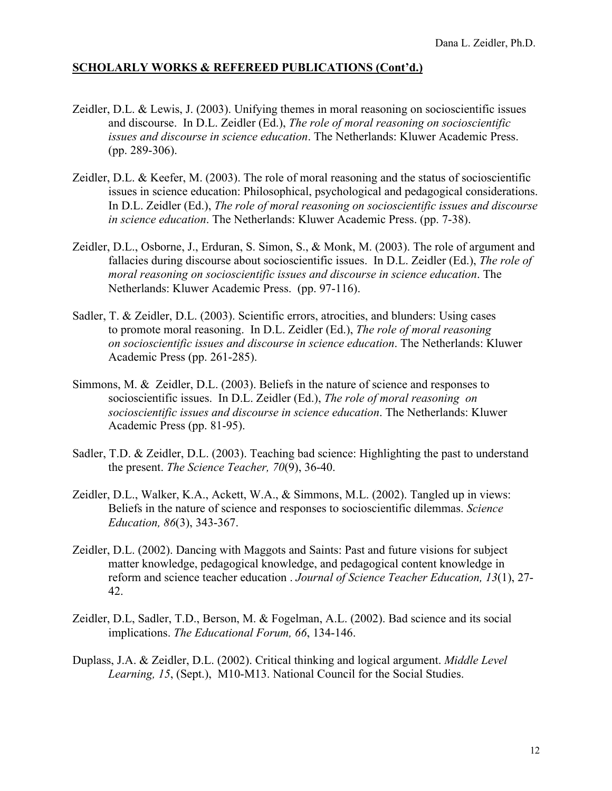- Zeidler, D.L. & Lewis, J. (2003). Unifying themes in moral reasoning on socioscientific issues and discourse. In D.L. Zeidler (Ed.), *The role of moral reasoning on socioscientific issues and discourse in science education*. The Netherlands: Kluwer Academic Press. (pp. 289-306).
- Zeidler, D.L. & Keefer, M. (2003). The role of moral reasoning and the status of socioscientific issues in science education: Philosophical, psychological and pedagogical considerations. In D.L. Zeidler (Ed.), *The role of moral reasoning on socioscientific issues and discourse in science education*. The Netherlands: Kluwer Academic Press. (pp. 7-38).
- Zeidler, D.L., Osborne, J., Erduran, S. Simon, S., & Monk, M. (2003). The role of argument and fallacies during discourse about socioscientific issues. In D.L. Zeidler (Ed.), *The role of moral reasoning on socioscientific issues and discourse in science education*. The Netherlands: Kluwer Academic Press. (pp. 97-116).
- Sadler, T. & Zeidler, D.L. (2003). Scientific errors, atrocities, and blunders: Using cases to promote moral reasoning. In D.L. Zeidler (Ed.), *The role of moral reasoning on socioscientific issues and discourse in science education*. The Netherlands: Kluwer Academic Press (pp. 261-285).
- Simmons, M. & Zeidler, D.L. (2003). Beliefs in the nature of science and responses to socioscientific issues. In D.L. Zeidler (Ed.), *The role of moral reasoning on socioscientific issues and discourse in science education*. The Netherlands: Kluwer Academic Press (pp. 81-95).
- Sadler, T.D. & Zeidler, D.L. (2003). Teaching bad science: Highlighting the past to understand the present. *The Science Teacher, 70*(9), 36-40.
- Zeidler, D.L., Walker, K.A., Ackett, W.A., & Simmons, M.L. (2002). Tangled up in views: Beliefs in the nature of science and responses to socioscientific dilemmas. *Science Education, 86*(3), 343-367.
- Zeidler, D.L. (2002). Dancing with Maggots and Saints: Past and future visions for subject matter knowledge, pedagogical knowledge, and pedagogical content knowledge in reform and science teacher education . *Journal of Science Teacher Education, 13*(1), 27- 42.
- Zeidler, D.L, Sadler, T.D., Berson, M. & Fogelman, A.L. (2002). Bad science and its social implications. *The Educational Forum, 66*, 134-146.
- Duplass, J.A. & Zeidler, D.L. (2002). Critical thinking and logical argument. *Middle Level Learning, 15*, (Sept.), M10-M13. National Council for the Social Studies.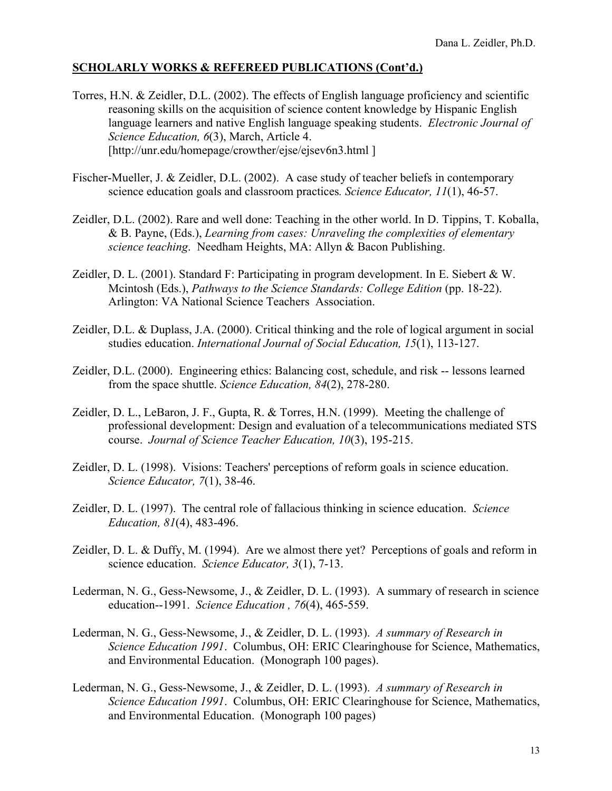- Torres, H.N. & Zeidler, D.L. (2002). The effects of English language proficiency and scientific reasoning skills on the acquisition of science content knowledge by Hispanic English language learners and native English language speaking students. *Electronic Journal of Science Education, 6*(3), March, Article 4. [http://unr.edu/homepage/crowther/ejse/ejsev6n3.html]
- Fischer-Mueller, J. & Zeidler, D.L. (2002). A case study of teacher beliefs in contemporary science education goals and classroom practices*. Science Educator, 11*(1), 46-57.
- Zeidler, D.L. (2002). Rare and well done: Teaching in the other world. In D. Tippins, T. Koballa, & B. Payne, (Eds.), *Learning from cases: Unraveling the complexities of elementary science teaching*. Needham Heights, MA: Allyn & Bacon Publishing.
- Zeidler, D. L. (2001). Standard F: Participating in program development. In E. Siebert & W. Mcintosh (Eds.), *Pathways to the Science Standards: College Edition* (pp. 18-22). Arlington: VA National Science Teachers Association.
- Zeidler, D.L. & Duplass, J.A. (2000). Critical thinking and the role of logical argument in social studies education. *International Journal of Social Education, 15*(1), 113-127.
- Zeidler, D.L. (2000). Engineering ethics: Balancing cost, schedule, and risk -- lessons learned from the space shuttle. *Science Education, 84*(2), 278-280.
- Zeidler, D. L., LeBaron, J. F., Gupta, R. & Torres, H.N. (1999). Meeting the challenge of professional development: Design and evaluation of a telecommunications mediated STS course. *Journal of Science Teacher Education, 10*(3), 195-215.
- Zeidler, D. L. (1998). Visions: Teachers' perceptions of reform goals in science education. *Science Educator, 7*(1), 38-46.
- Zeidler, D. L. (1997). The central role of fallacious thinking in science education. *Science Education, 81*(4), 483-496.
- Zeidler, D. L. & Duffy, M. (1994). Are we almost there yet? Perceptions of goals and reform in science education. *Science Educator, 3*(1), 7-13.
- Lederman, N. G., Gess-Newsome, J., & Zeidler, D. L. (1993). A summary of research in science education--1991. *Science Education , 76*(4), 465-559.
- Lederman, N. G., Gess-Newsome, J., & Zeidler, D. L. (1993). *A summary of Research in Science Education 1991*. Columbus, OH: ERIC Clearinghouse for Science, Mathematics, and Environmental Education. (Monograph 100 pages).
- Lederman, N. G., Gess-Newsome, J., & Zeidler, D. L. (1993). *A summary of Research in Science Education 1991*. Columbus, OH: ERIC Clearinghouse for Science, Mathematics, and Environmental Education. (Monograph 100 pages)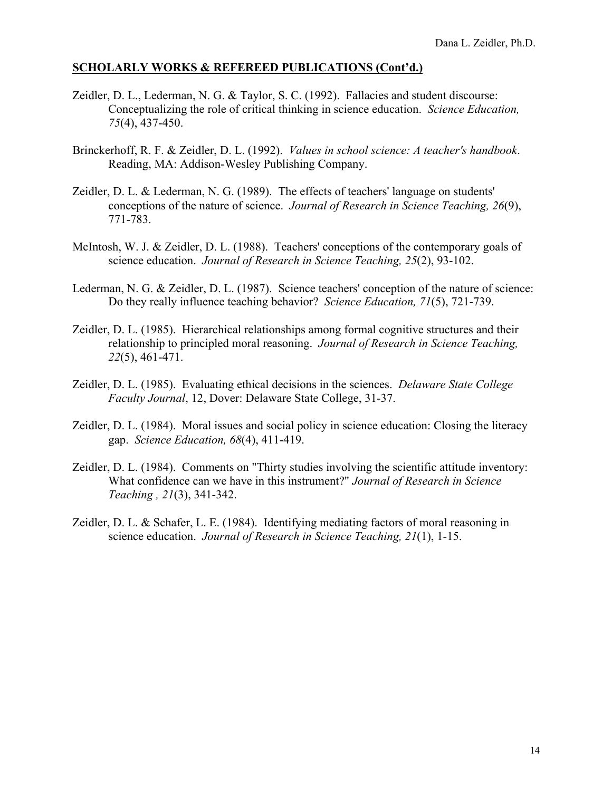- Zeidler, D. L., Lederman, N. G. & Taylor, S. C. (1992). Fallacies and student discourse: Conceptualizing the role of critical thinking in science education. *Science Education, 75*(4), 437-450.
- Brinckerhoff, R. F. & Zeidler, D. L. (1992). *Values in school science: A teacher's handbook*. Reading, MA: Addison-Wesley Publishing Company.
- Zeidler, D. L. & Lederman, N. G. (1989). The effects of teachers' language on students' conceptions of the nature of science. *Journal of Research in Science Teaching, 26*(9), 771-783.
- McIntosh, W. J. & Zeidler, D. L. (1988). Teachers' conceptions of the contemporary goals of science education. *Journal of Research in Science Teaching, 25*(2), 93-102.
- Lederman, N. G. & Zeidler, D. L. (1987). Science teachers' conception of the nature of science: Do they really influence teaching behavior? *Science Education, 71*(5), 721-739.
- Zeidler, D. L. (1985). Hierarchical relationships among formal cognitive structures and their relationship to principled moral reasoning. *Journal of Research in Science Teaching, 22*(5), 461-471.
- Zeidler, D. L. (1985). Evaluating ethical decisions in the sciences. *Delaware State College Faculty Journal*, 12, Dover: Delaware State College, 31-37.
- Zeidler, D. L. (1984). Moral issues and social policy in science education: Closing the literacy gap. *Science Education, 68*(4), 411-419.
- Zeidler, D. L. (1984). Comments on "Thirty studies involving the scientific attitude inventory: What confidence can we have in this instrument?" *Journal of Research in Science Teaching , 21*(3), 341-342.
- Zeidler, D. L. & Schafer, L. E. (1984). Identifying mediating factors of moral reasoning in science education. *Journal of Research in Science Teaching, 21*(1), 1-15.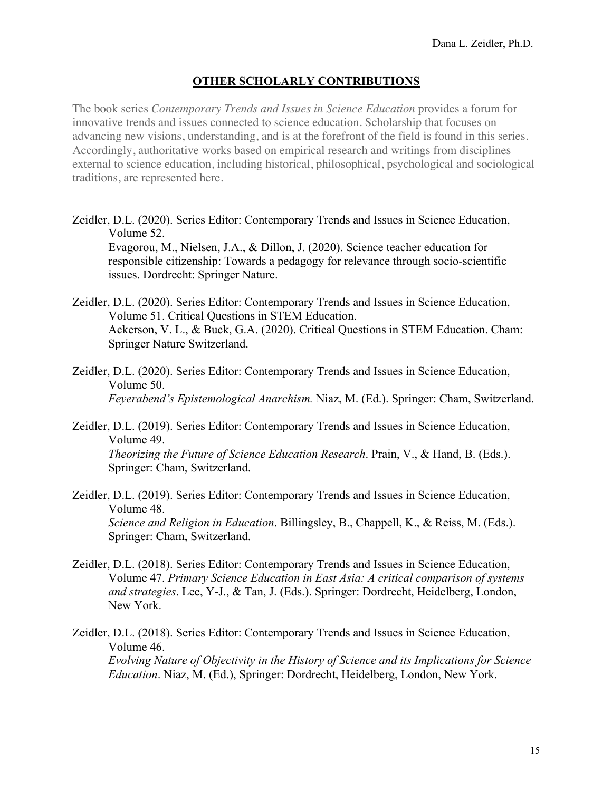# **OTHER SCHOLARLY CONTRIBUTIONS**

The book series *Contemporary Trends and Issues in Science Education* provides a forum for innovative trends and issues connected to science education. Scholarship that focuses on advancing new visions, understanding, and is at the forefront of the field is found in this series. Accordingly, authoritative works based on empirical research and writings from disciplines external to science education, including historical, philosophical, psychological and sociological traditions, are represented here.

Zeidler, D.L. (2020). Series Editor: Contemporary Trends and Issues in Science Education, Volume 52.

Evagorou, M., Nielsen, J.A., & Dillon, J. (2020). Science teacher education for responsible citizenship: Towards a pedagogy for relevance through socio-scientific issues. Dordrecht: Springer Nature.

- Zeidler, D.L. (2020). Series Editor: Contemporary Trends and Issues in Science Education, Volume 51. Critical Questions in STEM Education. Ackerson, V. L., & Buck, G.A. (2020). Critical Questions in STEM Education. Cham: Springer Nature Switzerland.
- Zeidler, D.L. (2020). Series Editor: Contemporary Trends and Issues in Science Education, Volume 50. *Feyerabend's Epistemological Anarchism.* Niaz, M. (Ed.). Springer: Cham, Switzerland.
- Zeidler, D.L. (2019). Series Editor: Contemporary Trends and Issues in Science Education, Volume 49. *Theorizing the Future of Science Education Research*. Prain, V., & Hand, B. (Eds.). Springer: Cham, Switzerland.
- Zeidler, D.L. (2019). Series Editor: Contemporary Trends and Issues in Science Education, Volume 48. *Science and Religion in Education*. Billingsley, B., Chappell, K., & Reiss, M. (Eds.). Springer: Cham, Switzerland.
- Zeidler, D.L. (2018). Series Editor: Contemporary Trends and Issues in Science Education, Volume 47. *Primary Science Education in East Asia: A critical comparison of systems and strategies*. Lee, Y-J., & Tan, J. (Eds.). Springer: Dordrecht, Heidelberg, London, New York.

Zeidler, D.L. (2018). Series Editor: Contemporary Trends and Issues in Science Education, Volume 46. *Evolving Nature of Objectivity in the History of Science and its Implications for Science Education*. Niaz, M. (Ed.), Springer: Dordrecht, Heidelberg, London, New York.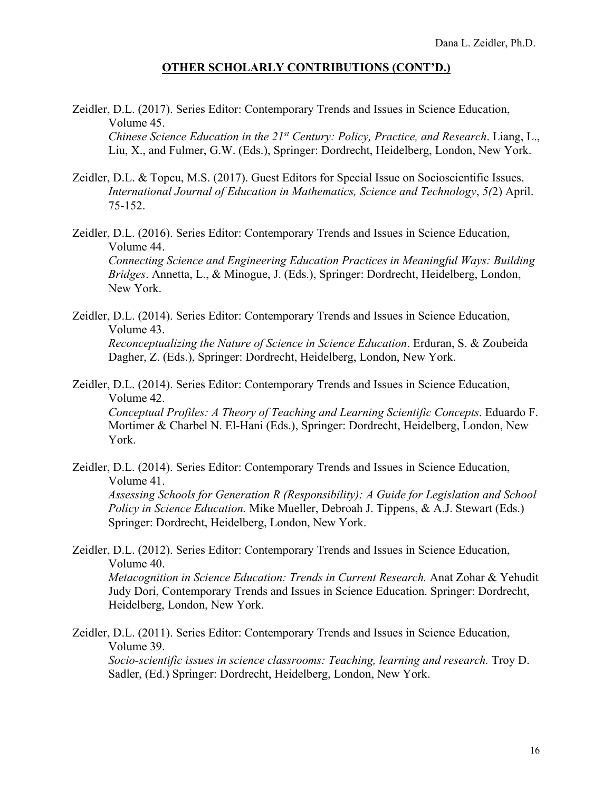#### **OTHER SCHOLARLY CONTRIBUTIONS (CONT'D.)**

Zeidler, D.L. (2017). Series Editor: Contemporary Trends and Issues in Science Education, Volume 45.

*Chinese Science Education in the 21st Century: Policy, Practice, and Research*. Liang, L., Liu, X., and Fulmer, G.W. (Eds.), Springer: Dordrecht, Heidelberg, London, New York.

- Zeidler, D.L. & Topcu, M.S. (2017). Guest Editors for Special Issue on Socioscientific Issues. *International Journal of Education in Mathematics, Science and Technology*, *5(*2) April. 75-152.
- Zeidler, D.L. (2016). Series Editor: Contemporary Trends and Issues in Science Education, Volume 44. *Connecting Science and Engineering Education Practices in Meaningful Ways: Building Bridges*. Annetta, L., & Minogue, J. (Eds.), Springer: Dordrecht, Heidelberg, London, New York.
- Zeidler, D.L. (2014). Series Editor: Contemporary Trends and Issues in Science Education, Volume 43.

*Reconceptualizing the Nature of Science in Science Education*. Erduran, S. & Zoubeida Dagher, Z. (Eds.), Springer: Dordrecht, Heidelberg, London, New York.

Zeidler, D.L. (2014). Series Editor: Contemporary Trends and Issues in Science Education, Volume 42.

*Conceptual Profiles: A Theory of Teaching and Learning Scientific Concepts*. Eduardo F. Mortimer & Charbel N. El-Hani (Eds.), Springer: Dordrecht, Heidelberg, London, New York.

Zeidler, D.L. (2014). Series Editor: Contemporary Trends and Issues in Science Education, Volume 41.

*Assessing Schools for Generation R (Responsibility): A Guide for Legislation and School Policy in Science Education.* Mike Mueller, Debroah J. Tippens, & A.J. Stewart (Eds.) Springer: Dordrecht, Heidelberg, London, New York.

Zeidler, D.L. (2012). Series Editor: Contemporary Trends and Issues in Science Education, Volume 40.

*Metacognition in Science Education: Trends in Current Research.* Anat Zohar & Yehudit Judy Dori, Contemporary Trends and Issues in Science Education. Springer: Dordrecht, Heidelberg, London, New York.

Zeidler, D.L. (2011). Series Editor: Contemporary Trends and Issues in Science Education, Volume 39.

*Socio-scientific issues in science classrooms: Teaching, learning and research.* Troy D. Sadler, (Ed.) Springer: Dordrecht, Heidelberg, London, New York.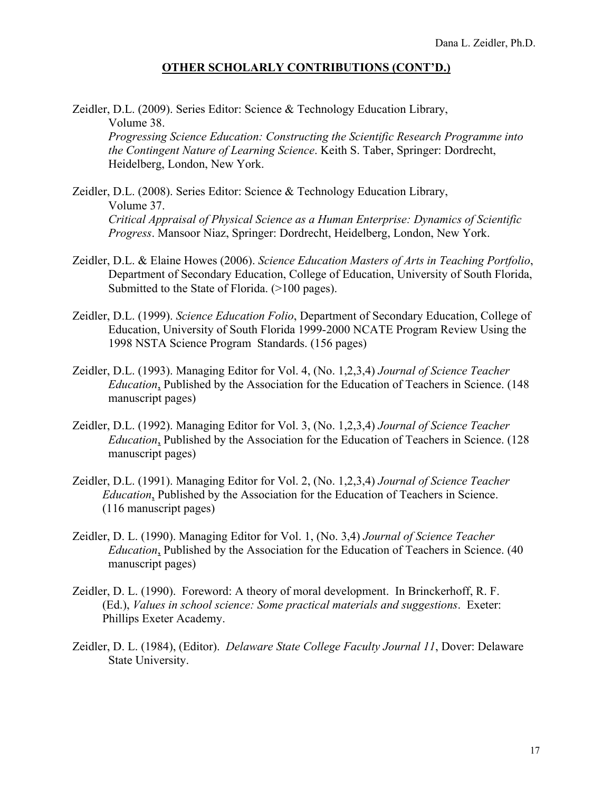# **OTHER SCHOLARLY CONTRIBUTIONS (CONT'D.)**

Zeidler, D.L. (2009). Series Editor: Science & Technology Education Library, Volume 38.

*Progressing Science Education: Constructing the Scientific Research Programme into the Contingent Nature of Learning Science*. Keith S. Taber, Springer: Dordrecht, Heidelberg, London, New York.

- Zeidler, D.L. (2008). Series Editor: Science & Technology Education Library, Volume 37. *Critical Appraisal of Physical Science as a Human Enterprise: Dynamics of Scientific Progress*. Mansoor Niaz, Springer: Dordrecht, Heidelberg, London, New York.
- Zeidler, D.L. & Elaine Howes (2006). *Science Education Masters of Arts in Teaching Portfolio*, Department of Secondary Education, College of Education, University of South Florida, Submitted to the State of Florida. (>100 pages).
- Zeidler, D.L. (1999). *Science Education Folio*, Department of Secondary Education, College of Education, University of South Florida 1999-2000 NCATE Program Review Using the 1998 NSTA Science Program Standards. (156 pages)
- Zeidler, D.L. (1993). Managing Editor for Vol. 4, (No. 1,2,3,4) *Journal of Science Teacher Education*, Published by the Association for the Education of Teachers in Science. (148 manuscript pages)
- Zeidler, D.L. (1992). Managing Editor for Vol. 3, (No. 1,2,3,4) *Journal of Science Teacher Education*, Published by the Association for the Education of Teachers in Science. (128 manuscript pages)
- Zeidler, D.L. (1991). Managing Editor for Vol. 2, (No. 1,2,3,4) *Journal of Science Teacher Education*, Published by the Association for the Education of Teachers in Science. (116 manuscript pages)
- Zeidler, D. L. (1990). Managing Editor for Vol. 1, (No. 3,4) *Journal of Science Teacher Education*, Published by the Association for the Education of Teachers in Science. (40 manuscript pages)
- Zeidler, D. L. (1990). Foreword: A theory of moral development. In Brinckerhoff, R. F. (Ed.), *Values in school science: Some practical materials and suggestions*. Exeter: Phillips Exeter Academy.
- Zeidler, D. L. (1984), (Editor). *Delaware State College Faculty Journal 11*, Dover: Delaware State University.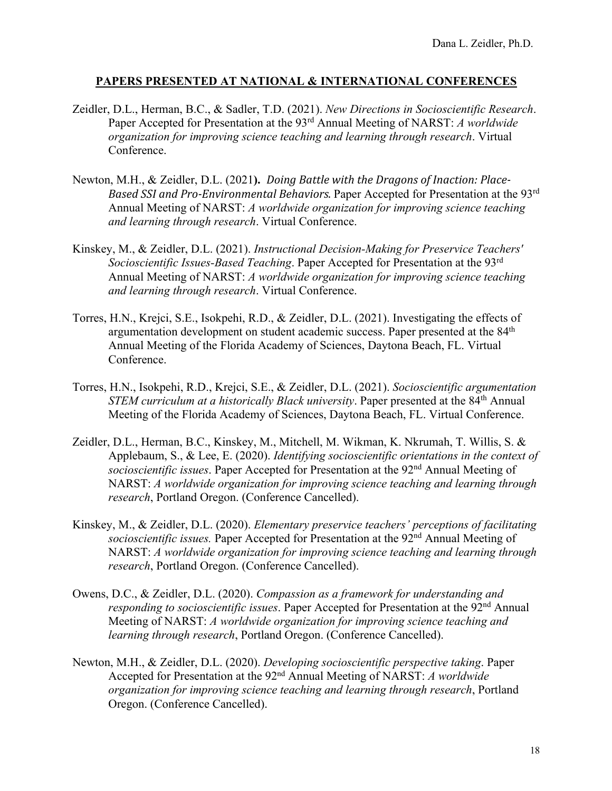- Zeidler, D.L., Herman, B.C., & Sadler, T.D. (2021). *New Directions in Socioscientific Research*. Paper Accepted for Presentation at the 93rd Annual Meeting of NARST: *A worldwide organization for improving science teaching and learning through research*. Virtual Conference.
- Newton, M.H., & Zeidler, D.L. (2021). *Doing Battle with the Dragons of Inaction: Place-Based SSI and Pro-Environmental Behaviors*. Paper Accepted for Presentation at the 93<sup>rd</sup> Annual Meeting of NARST: *A worldwide organization for improving science teaching and learning through research*. Virtual Conference.
- Kinskey, M., & Zeidler, D.L. (2021). *Instructional Decision-Making for Preservice Teachers' Socioscientific Issues-Based Teaching*. Paper Accepted for Presentation at the 93rd Annual Meeting of NARST: *A worldwide organization for improving science teaching and learning through research*. Virtual Conference.
- Torres, H.N., Krejci, S.E., Isokpehi, R.D., & Zeidler, D.L. (2021). Investigating the effects of argumentation development on student academic success. Paper presented at the 84<sup>th</sup> Annual Meeting of the Florida Academy of Sciences, Daytona Beach, FL. Virtual Conference.
- Torres, H.N., Isokpehi, R.D., Krejci, S.E., & Zeidler, D.L. (2021). *Socioscientific argumentation STEM curriculum at a historically Black university*. Paper presented at the 84<sup>th</sup> Annual Meeting of the Florida Academy of Sciences, Daytona Beach, FL. Virtual Conference.
- Zeidler, D.L., Herman, B.C., Kinskey, M., Mitchell, M. Wikman, K. Nkrumah, T. Willis, S. & Applebaum, S., & Lee, E. (2020). *Identifying socioscientific orientations in the context of socioscientific issues*. Paper Accepted for Presentation at the 92nd Annual Meeting of NARST: *A worldwide organization for improving science teaching and learning through research*, Portland Oregon. (Conference Cancelled).
- Kinskey, M., & Zeidler, D.L. (2020). *Elementary preservice teachers' perceptions of facilitating socioscientific issues.* Paper Accepted for Presentation at the 92<sup>nd</sup> Annual Meeting of NARST: *A worldwide organization for improving science teaching and learning through research*, Portland Oregon. (Conference Cancelled).
- Owens, D.C., & Zeidler, D.L. (2020). *Compassion as a framework for understanding and responding to socioscientific issues*. Paper Accepted for Presentation at the 92<sup>nd</sup> Annual Meeting of NARST: *A worldwide organization for improving science teaching and learning through research*, Portland Oregon. (Conference Cancelled).
- Newton, M.H., & Zeidler, D.L. (2020). *Developing socioscientific perspective taking*. Paper Accepted for Presentation at the 92nd Annual Meeting of NARST: *A worldwide organization for improving science teaching and learning through research*, Portland Oregon. (Conference Cancelled).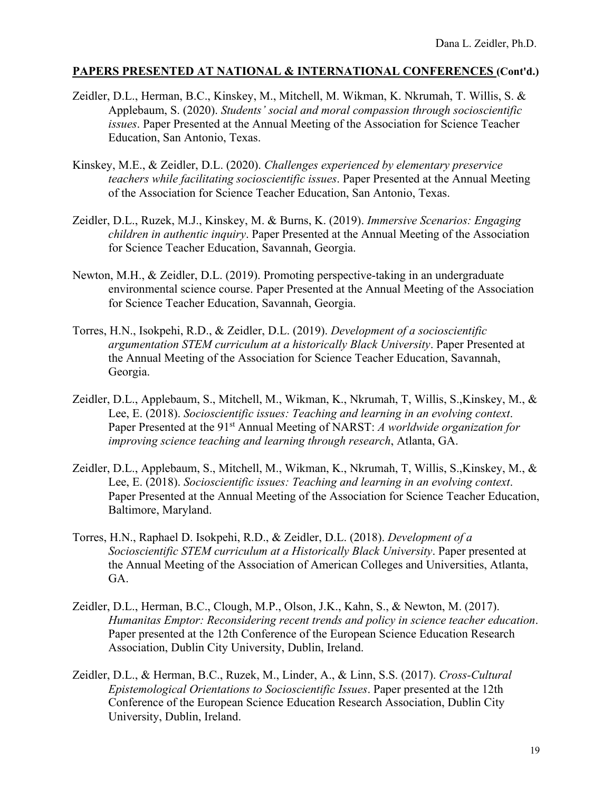- Zeidler, D.L., Herman, B.C., Kinskey, M., Mitchell, M. Wikman, K. Nkrumah, T. Willis, S. & Applebaum, S. (2020). *Students' social and moral compassion through socioscientific issues*. Paper Presented at the Annual Meeting of the Association for Science Teacher Education, San Antonio, Texas.
- Kinskey, M.E., & Zeidler, D.L. (2020). *Challenges experienced by elementary preservice teachers while facilitating socioscientific issues*. Paper Presented at the Annual Meeting of the Association for Science Teacher Education, San Antonio, Texas.
- Zeidler, D.L., Ruzek, M.J., Kinskey, M. & Burns, K. (2019). *Immersive Scenarios: Engaging children in authentic inquiry*. Paper Presented at the Annual Meeting of the Association for Science Teacher Education, Savannah, Georgia.
- Newton, M.H., & Zeidler, D.L. (2019). Promoting perspective-taking in an undergraduate environmental science course. Paper Presented at the Annual Meeting of the Association for Science Teacher Education, Savannah, Georgia.
- Torres, H.N., Isokpehi, R.D., & Zeidler, D.L. (2019). *Development of a socioscientific argumentation STEM curriculum at a historically Black University*. Paper Presented at the Annual Meeting of the Association for Science Teacher Education, Savannah, Georgia.
- Zeidler, D.L., Applebaum, S., Mitchell, M., Wikman, K., Nkrumah, T, Willis, S.,Kinskey, M., & Lee, E. (2018). *Socioscientific issues: Teaching and learning in an evolving context*. Paper Presented at the 91<sup>st</sup> Annual Meeting of NARST: *A worldwide organization for improving science teaching and learning through research*, Atlanta, GA.
- Zeidler, D.L., Applebaum, S., Mitchell, M., Wikman, K., Nkrumah, T, Willis, S.,Kinskey, M., & Lee, E. (2018). *Socioscientific issues: Teaching and learning in an evolving context*. Paper Presented at the Annual Meeting of the Association for Science Teacher Education, Baltimore, Maryland.
- Torres, H.N., Raphael D. Isokpehi, R.D., & Zeidler, D.L. (2018). *Development of a Socioscientific STEM curriculum at a Historically Black University*. Paper presented at the Annual Meeting of the Association of American Colleges and Universities, Atlanta, GA.
- Zeidler, D.L., Herman, B.C., Clough, M.P., Olson, J.K., Kahn, S., & Newton, M. (2017). *Humanitas Emptor: Reconsidering recent trends and policy in science teacher education*. Paper presented at the 12th Conference of the European Science Education Research Association, Dublin City University, Dublin, Ireland.
- Zeidler, D.L., & Herman, B.C., Ruzek, M., Linder, A., & Linn, S.S. (2017). *Cross-Cultural Epistemological Orientations to Socioscientific Issues*. Paper presented at the 12th Conference of the European Science Education Research Association, Dublin City University, Dublin, Ireland.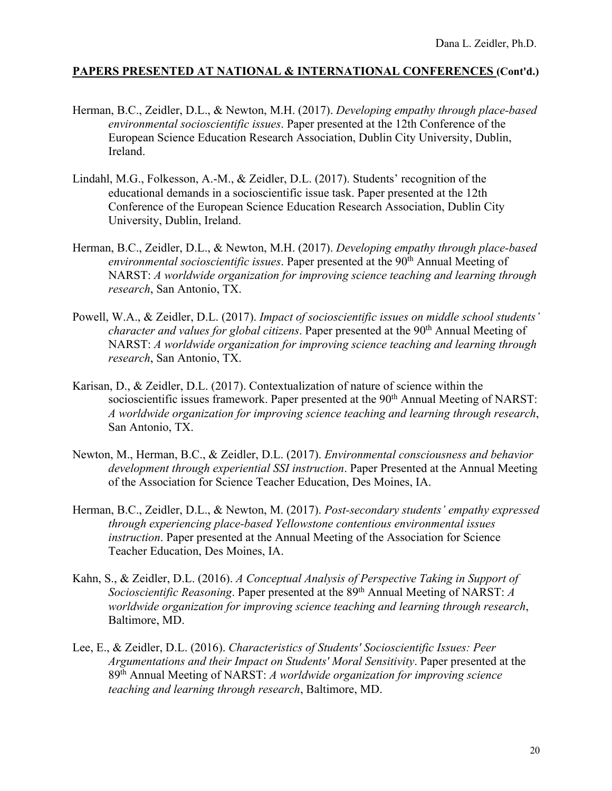- Herman, B.C., Zeidler, D.L., & Newton, M.H. (2017). *Developing empathy through place-based environmental socioscientific issues*. Paper presented at the 12th Conference of the European Science Education Research Association, Dublin City University, Dublin, Ireland.
- Lindahl, M.G., Folkesson, A.-M., & Zeidler, D.L. (2017). Students' recognition of the educational demands in a socioscientific issue task. Paper presented at the 12th Conference of the European Science Education Research Association, Dublin City University, Dublin, Ireland.
- Herman, B.C., Zeidler, D.L., & Newton, M.H. (2017). *Developing empathy through place-based environmental socioscientific issues.* Paper presented at the 90<sup>th</sup> Annual Meeting of NARST: *A worldwide organization for improving science teaching and learning through research*, San Antonio, TX.
- Powell, W.A., & Zeidler, D.L. (2017). *Impact of socioscientific issues on middle school students' character and values for global citizens.* Paper presented at the 90<sup>th</sup> Annual Meeting of NARST: *A worldwide organization for improving science teaching and learning through research*, San Antonio, TX.
- Karisan, D., & Zeidler, D.L. (2017). Contextualization of nature of science within the socioscientific issues framework. Paper presented at the 90<sup>th</sup> Annual Meeting of NARST: *A worldwide organization for improving science teaching and learning through research*, San Antonio, TX.
- Newton, M., Herman, B.C., & Zeidler, D.L. (2017). *Environmental consciousness and behavior development through experiential SSI instruction*. Paper Presented at the Annual Meeting of the Association for Science Teacher Education, Des Moines, IA.
- Herman, B.C., Zeidler, D.L., & Newton, M. (2017). *Post-secondary students' empathy expressed through experiencing place-based Yellowstone contentious environmental issues instruction*. Paper presented at the Annual Meeting of the Association for Science Teacher Education, Des Moines, IA.
- Kahn, S., & Zeidler, D.L. (2016). *A Conceptual Analysis of Perspective Taking in Support of Socioscientific Reasoning*. Paper presented at the 89th Annual Meeting of NARST: *A worldwide organization for improving science teaching and learning through research*, Baltimore, MD.
- Lee, E., & Zeidler, D.L. (2016). *Characteristics of Students' Socioscientific Issues: Peer Argumentations and their Impact on Students' Moral Sensitivity*. Paper presented at the 89th Annual Meeting of NARST: *A worldwide organization for improving science teaching and learning through research*, Baltimore, MD.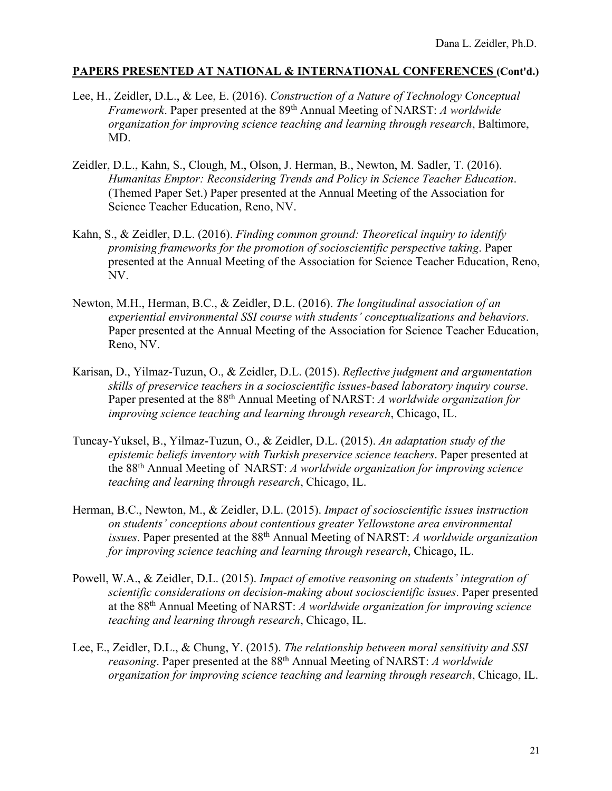- Lee, H., Zeidler, D.L., & Lee, E. (2016). *Construction of a Nature of Technology Conceptual Framework*. Paper presented at the 89th Annual Meeting of NARST: *A worldwide organization for improving science teaching and learning through research*, Baltimore, MD.
- Zeidler, D.L., Kahn, S., Clough, M., Olson, J. Herman, B., Newton, M. Sadler, T. (2016). *Humanitas Emptor: Reconsidering Trends and Policy in Science Teacher Education*. (Themed Paper Set.) Paper presented at the Annual Meeting of the Association for Science Teacher Education, Reno, NV.
- Kahn, S., & Zeidler, D.L. (2016). *Finding common ground: Theoretical inquiry to identify promising frameworks for the promotion of socioscientific perspective taking*. Paper presented at the Annual Meeting of the Association for Science Teacher Education, Reno, NV.
- Newton, M.H., Herman, B.C., & Zeidler, D.L. (2016). *The longitudinal association of an experiential environmental SSI course with students' conceptualizations and behaviors*. Paper presented at the Annual Meeting of the Association for Science Teacher Education, Reno, NV.
- Karisan, D., Yilmaz-Tuzun, O., & Zeidler, D.L. (2015). *Reflective judgment and argumentation skills of preservice teachers in a socioscientific issues-based laboratory inquiry course*. Paper presented at the 88th Annual Meeting of NARST: *A worldwide organization for improving science teaching and learning through research*, Chicago, IL.
- Tuncay-Yuksel, B., Yilmaz-Tuzun, O., & Zeidler, D.L. (2015). *An adaptation study of the epistemic beliefs inventory with Turkish preservice science teachers*. Paper presented at the 88th Annual Meeting of NARST: *A worldwide organization for improving science teaching and learning through research*, Chicago, IL.
- Herman, B.C., Newton, M., & Zeidler, D.L. (2015). *Impact of socioscientific issues instruction on students' conceptions about contentious greater Yellowstone area environmental issues*. Paper presented at the 88th Annual Meeting of NARST: *A worldwide organization for improving science teaching and learning through research*, Chicago, IL.
- Powell, W.A., & Zeidler, D.L. (2015). *Impact of emotive reasoning on students' integration of scientific considerations on decision-making about socioscientific issues*. Paper presented at the 88th Annual Meeting of NARST: *A worldwide organization for improving science teaching and learning through research*, Chicago, IL.
- Lee, E., Zeidler, D.L., & Chung, Y. (2015). *The relationship between moral sensitivity and SSI reasoning*. Paper presented at the 88th Annual Meeting of NARST: *A worldwide organization for improving science teaching and learning through research*, Chicago, IL.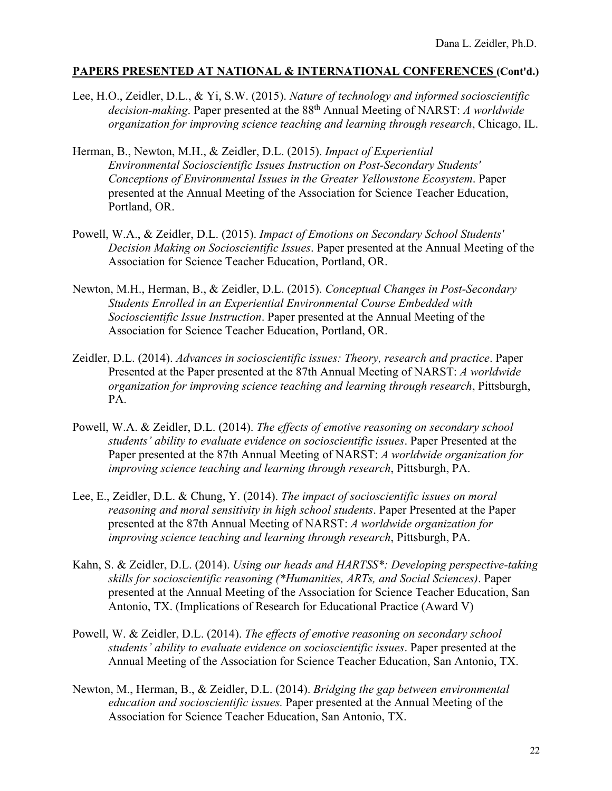- Lee, H.O., Zeidler, D.L., & Yi, S.W. (2015). *Nature of technology and informed socioscientific decision-making*. Paper presented at the 88th Annual Meeting of NARST: *A worldwide organization for improving science teaching and learning through research*, Chicago, IL.
- Herman, B., Newton, M.H., & Zeidler, D.L. (2015). *Impact of Experiential Environmental Socioscientific Issues Instruction on Post-Secondary Students' Conceptions of Environmental Issues in the Greater Yellowstone Ecosystem*. Paper presented at the Annual Meeting of the Association for Science Teacher Education, Portland, OR.
- Powell, W.A., & Zeidler, D.L. (2015). *Impact of Emotions on Secondary School Students' Decision Making on Socioscientific Issues*. Paper presented at the Annual Meeting of the Association for Science Teacher Education, Portland, OR.
- Newton, M.H., Herman, B., & Zeidler, D.L. (2015). *Conceptual Changes in Post-Secondary Students Enrolled in an Experiential Environmental Course Embedded with Socioscientific Issue Instruction*. Paper presented at the Annual Meeting of the Association for Science Teacher Education, Portland, OR.
- Zeidler, D.L. (2014). *Advances in socioscientific issues: Theory, research and practice*. Paper Presented at the Paper presented at the 87th Annual Meeting of NARST: *A worldwide organization for improving science teaching and learning through research*, Pittsburgh, PA.
- Powell, W.A. & Zeidler, D.L. (2014). *The effects of emotive reasoning on secondary school students' ability to evaluate evidence on socioscientific issues*. Paper Presented at the Paper presented at the 87th Annual Meeting of NARST: *A worldwide organization for improving science teaching and learning through research*, Pittsburgh, PA.
- Lee, E., Zeidler, D.L. & Chung, Y. (2014). *The impact of socioscientific issues on moral reasoning and moral sensitivity in high school students*. Paper Presented at the Paper presented at the 87th Annual Meeting of NARST: *A worldwide organization for improving science teaching and learning through research*, Pittsburgh, PA.
- Kahn, S. & Zeidler, D.L. (2014). *Using our heads and HARTSS\*: Developing perspective-taking skills for socioscientific reasoning (\*Humanities, ARTs, and Social Sciences)*. Paper presented at the Annual Meeting of the Association for Science Teacher Education, San Antonio, TX. (Implications of Research for Educational Practice (Award V)
- Powell, W. & Zeidler, D.L. (2014). *The effects of emotive reasoning on secondary school students' ability to evaluate evidence on socioscientific issues*. Paper presented at the Annual Meeting of the Association for Science Teacher Education, San Antonio, TX.
- Newton, M., Herman, B., & Zeidler, D.L. (2014). *Bridging the gap between environmental education and socioscientific issues.* Paper presented at the Annual Meeting of the Association for Science Teacher Education, San Antonio, TX.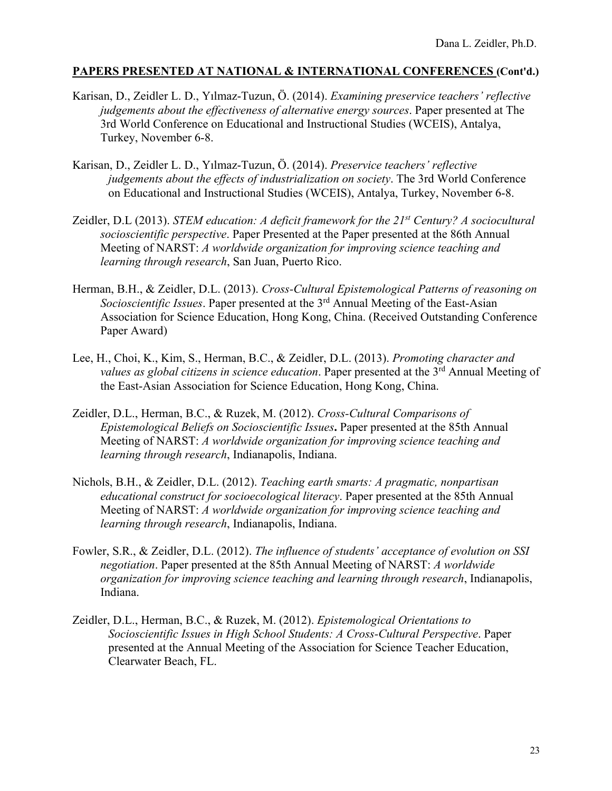- Karisan, D., Zeidler L. D., Yılmaz-Tuzun, Ö. (2014). *Examining preservice teachers' reflective judgements about the effectiveness of alternative energy sources*. Paper presented at The 3rd World Conference on Educational and Instructional Studies (WCEIS), Antalya, Turkey, November 6-8.
- Karisan, D., Zeidler L. D., Yılmaz-Tuzun, Ö. (2014). *Preservice teachers' reflective judgements about the effects of industrialization on society*. The 3rd World Conference on Educational and Instructional Studies (WCEIS), Antalya, Turkey, November 6-8.
- Zeidler, D.L (2013). *STEM education: A deficit framework for the 21st Century? A sociocultural socioscientific perspective*. Paper Presented at the Paper presented at the 86th Annual Meeting of NARST: *A worldwide organization for improving science teaching and learning through research*, San Juan, Puerto Rico.
- Herman, B.H., & Zeidler, D.L. (2013). *Cross-Cultural Epistemological Patterns of reasoning on Socioscientific Issues*. Paper presented at the 3rd Annual Meeting of the East-Asian Association for Science Education, Hong Kong, China. (Received Outstanding Conference Paper Award)
- Lee, H., Choi, K., Kim, S., Herman, B.C., & Zeidler, D.L. (2013). *Promoting character and*  values as global citizens in science education. Paper presented at the 3<sup>rd</sup> Annual Meeting of the East-Asian Association for Science Education, Hong Kong, China.
- Zeidler, D.L., Herman, B.C., & Ruzek, M. (2012). *Cross-Cultural Comparisons of Epistemological Beliefs on Socioscientific Issues***.** Paper presented at the 85th Annual Meeting of NARST: *A worldwide organization for improving science teaching and learning through research*, Indianapolis, Indiana.
- Nichols, B.H., & Zeidler, D.L. (2012). *Teaching earth smarts: A pragmatic, nonpartisan educational construct for socioecological literacy*. Paper presented at the 85th Annual Meeting of NARST: *A worldwide organization for improving science teaching and learning through research*, Indianapolis, Indiana.
- Fowler, S.R., & Zeidler, D.L. (2012). *The influence of students' acceptance of evolution on SSI negotiation*. Paper presented at the 85th Annual Meeting of NARST: *A worldwide organization for improving science teaching and learning through research*, Indianapolis, Indiana.
- Zeidler, D.L., Herman, B.C., & Ruzek, M. (2012). *Epistemological Orientations to Socioscientific Issues in High School Students: A Cross-Cultural Perspective*. Paper presented at the Annual Meeting of the Association for Science Teacher Education, Clearwater Beach, FL.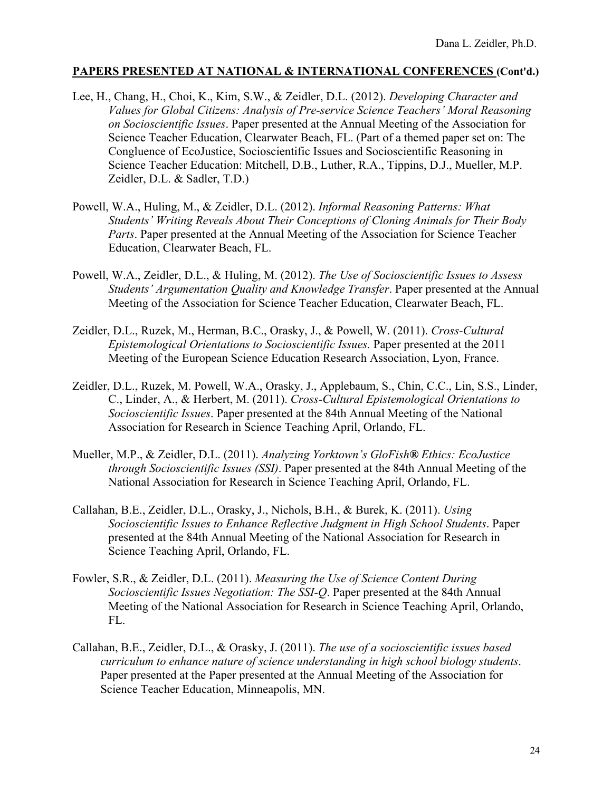- Lee, H., Chang, H., Choi, K., Kim, S.W., & Zeidler, D.L. (2012). *Developing Character and Values for Global Citizens: Analysis of Pre-service Science Teachers' Moral Reasoning on Socioscientific Issues*. Paper presented at the Annual Meeting of the Association for Science Teacher Education, Clearwater Beach, FL. (Part of a themed paper set on: The Congluence of EcoJustice, Socioscientific Issues and Socioscientific Reasoning in Science Teacher Education: Mitchell, D.B., Luther, R.A., Tippins, D.J., Mueller, M.P. Zeidler, D.L. & Sadler, T.D.)
- Powell, W.A., Huling, M., & Zeidler, D.L. (2012). *Informal Reasoning Patterns: What Students' Writing Reveals About Their Conceptions of Cloning Animals for Their Body Parts*. Paper presented at the Annual Meeting of the Association for Science Teacher Education, Clearwater Beach, FL.
- Powell, W.A., Zeidler, D.L., & Huling, M. (2012). *The Use of Socioscientific Issues to Assess Students' Argumentation Quality and Knowledge Transfer*. Paper presented at the Annual Meeting of the Association for Science Teacher Education, Clearwater Beach, FL.
- Zeidler, D.L., Ruzek, M., Herman, B.C., Orasky, J., & Powell, W. (2011). *Cross-Cultural Epistemological Orientations to Socioscientific Issues.* Paper presented at the 2011 Meeting of the European Science Education Research Association, Lyon, France.
- Zeidler, D.L., Ruzek, M. Powell, W.A., Orasky, J., Applebaum, S., Chin, C.C., Lin, S.S., Linder, C., Linder, A., & Herbert, M. (2011). *Cross-Cultural Epistemological Orientations to Socioscientific Issues*. Paper presented at the 84th Annual Meeting of the National Association for Research in Science Teaching April, Orlando, FL.
- Mueller, M.P., & Zeidler, D.L. (2011). *Analyzing Yorktown's GloFish® Ethics: EcoJustice through Socioscientific Issues (SSI)*. Paper presented at the 84th Annual Meeting of the National Association for Research in Science Teaching April, Orlando, FL.
- Callahan, B.E., Zeidler, D.L., Orasky, J., Nichols, B.H., & Burek, K. (2011). *Using Socioscientific Issues to Enhance Reflective Judgment in High School Students*. Paper presented at the 84th Annual Meeting of the National Association for Research in Science Teaching April, Orlando, FL.
- Fowler, S.R., & Zeidler, D.L. (2011). *Measuring the Use of Science Content During Socioscientific Issues Negotiation: The SSI-Q*. Paper presented at the 84th Annual Meeting of the National Association for Research in Science Teaching April, Orlando, FL.
- Callahan, B.E., Zeidler, D.L., & Orasky, J. (2011). *The use of a socioscientific issues based curriculum to enhance nature of science understanding in high school biology students*. Paper presented at the Paper presented at the Annual Meeting of the Association for Science Teacher Education, Minneapolis, MN.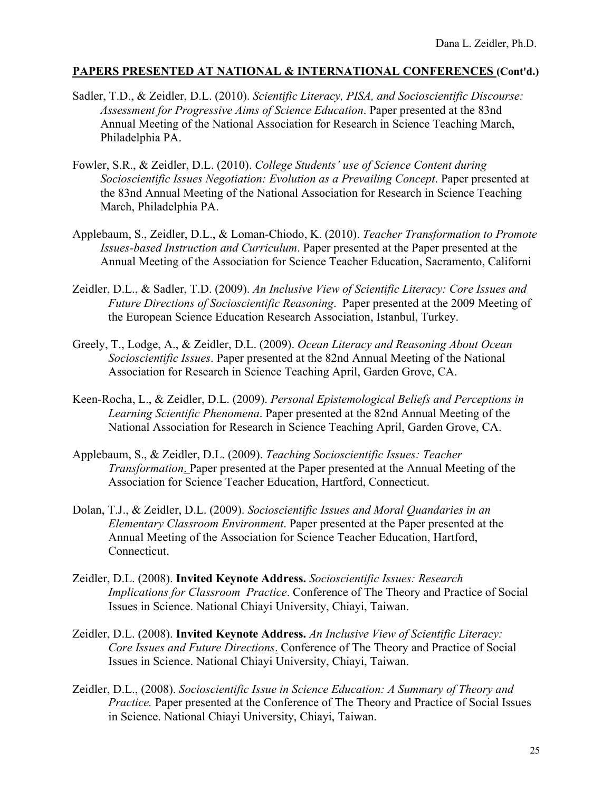- Sadler, T.D., & Zeidler, D.L. (2010). *Scientific Literacy, PISA, and Socioscientific Discourse: Assessment for Progressive Aims of Science Education*. Paper presented at the 83nd Annual Meeting of the National Association for Research in Science Teaching March, Philadelphia PA.
- Fowler, S.R., & Zeidler, D.L. (2010). *College Students' use of Science Content during Socioscientific Issues Negotiation: Evolution as a Prevailing Concept*. Paper presented at the 83nd Annual Meeting of the National Association for Research in Science Teaching March, Philadelphia PA.
- Applebaum, S., Zeidler, D.L., & Loman-Chiodo, K. (2010). *Teacher Transformation to Promote Issues-based Instruction and Curriculum*. Paper presented at the Paper presented at the Annual Meeting of the Association for Science Teacher Education, Sacramento, Californi
- Zeidler, D.L., & Sadler, T.D. (2009). *An Inclusive View of Scientific Literacy: Core Issues and Future Directions of Socioscientific Reasoning*. Paper presented at the 2009 Meeting of the European Science Education Research Association, Istanbul, Turkey.
- Greely, T., Lodge, A., & Zeidler, D.L. (2009). *Ocean Literacy and Reasoning About Ocean Socioscientific Issues*. Paper presented at the 82nd Annual Meeting of the National Association for Research in Science Teaching April, Garden Grove, CA.
- Keen-Rocha, L., & Zeidler, D.L. (2009). *Personal Epistemological Beliefs and Perceptions in Learning Scientific Phenomena*. Paper presented at the 82nd Annual Meeting of the National Association for Research in Science Teaching April, Garden Grove, CA.
- Applebaum, S., & Zeidler, D.L. (2009). *Teaching Socioscientific Issues: Teacher Transformation*. Paper presented at the Paper presented at the Annual Meeting of the Association for Science Teacher Education, Hartford, Connecticut.
- Dolan, T.J., & Zeidler, D.L. (2009). *Socioscientific Issues and Moral Quandaries in an Elementary Classroom Environment*. Paper presented at the Paper presented at the Annual Meeting of the Association for Science Teacher Education, Hartford, Connecticut.
- Zeidler, D.L. (2008). **Invited Keynote Address.** *Socioscientific Issues: Research Implications for Classroom Practice*. Conference of The Theory and Practice of Social Issues in Science. National Chiayi University, Chiayi, Taiwan.
- Zeidler, D.L. (2008). **Invited Keynote Address.** *An Inclusive View of Scientific Literacy: Core Issues and Future Directions*. Conference of The Theory and Practice of Social Issues in Science. National Chiayi University, Chiayi, Taiwan.
- Zeidler, D.L., (2008). *Socioscientific Issue in Science Education: A Summary of Theory and Practice.* Paper presented at the Conference of The Theory and Practice of Social Issues in Science. National Chiayi University, Chiayi, Taiwan.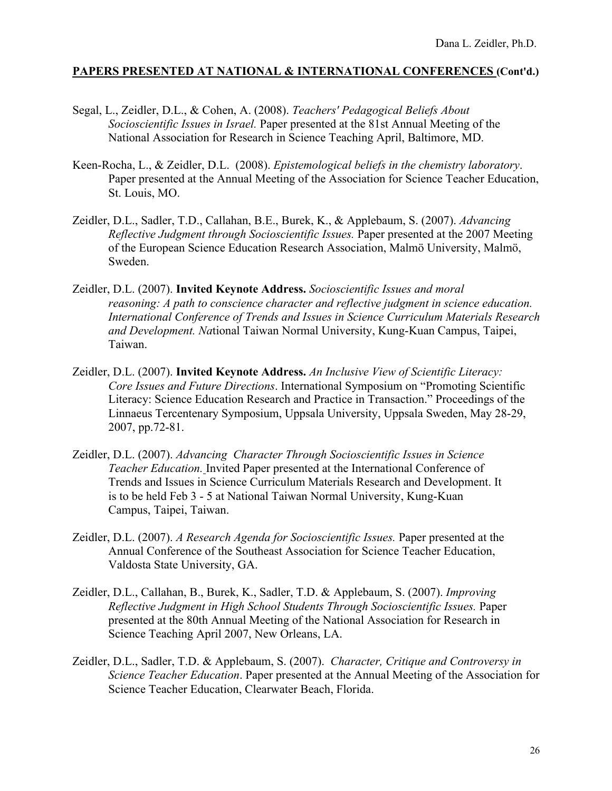- Segal, L., Zeidler, D.L., & Cohen, A. (2008). *Teachers' Pedagogical Beliefs About Socioscientific Issues in Israel.* Paper presented at the 81st Annual Meeting of the National Association for Research in Science Teaching April, Baltimore, MD.
- Keen-Rocha, L., & Zeidler, D.L. (2008). *Epistemological beliefs in the chemistry laboratory*. Paper presented at the Annual Meeting of the Association for Science Teacher Education, St. Louis, MO.
- Zeidler, D.L., Sadler, T.D., Callahan, B.E., Burek, K., & Applebaum, S. (2007). *Advancing Reflective Judgment through Socioscientific Issues.* Paper presented at the 2007 Meeting of the European Science Education Research Association, Malmö University, Malmö, Sweden.
- Zeidler, D.L. (2007). **Invited Keynote Address.** *Socioscientific Issues and moral reasoning: A path to conscience character and reflective judgment in science education. International Conference of Trends and Issues in Science Curriculum Materials Research and Development. Na*tional Taiwan Normal University, Kung-Kuan Campus, Taipei, Taiwan.
- Zeidler, D.L. (2007). **Invited Keynote Address.** *An Inclusive View of Scientific Literacy: Core Issues and Future Directions*. International Symposium on "Promoting Scientific Literacy: Science Education Research and Practice in Transaction." Proceedings of the Linnaeus Tercentenary Symposium, Uppsala University, Uppsala Sweden, May 28-29, 2007, pp.72-81.
- Zeidler, D.L. (2007). *Advancing Character Through Socioscientific Issues in Science Teacher Education.* Invited Paper presented at the International Conference of Trends and Issues in Science Curriculum Materials Research and Development. It is to be held Feb 3 - 5 at National Taiwan Normal University, Kung-Kuan Campus, Taipei, Taiwan.
- Zeidler, D.L. (2007). *A Research Agenda for Socioscientific Issues.* Paper presented at the Annual Conference of the Southeast Association for Science Teacher Education, Valdosta State University, GA.
- Zeidler, D.L., Callahan, B., Burek, K., Sadler, T.D. & Applebaum, S. (2007). *Improving Reflective Judgment in High School Students Through Socioscientific Issues.* Paper presented at the 80th Annual Meeting of the National Association for Research in Science Teaching April 2007, New Orleans, LA.
- Zeidler, D.L., Sadler, T.D. & Applebaum, S. (2007). *Character, Critique and Controversy in Science Teacher Education*. Paper presented at the Annual Meeting of the Association for Science Teacher Education, Clearwater Beach, Florida.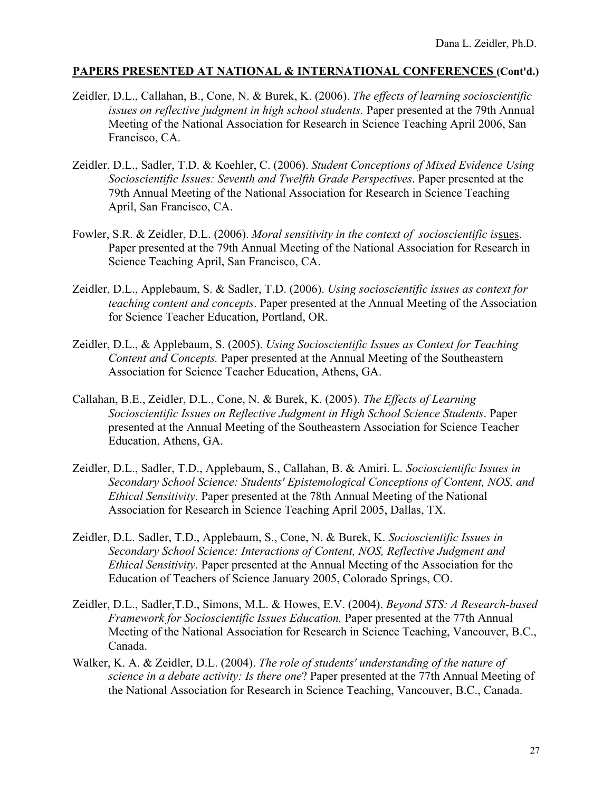- Zeidler, D.L., Callahan, B., Cone, N. & Burek, K. (2006). *The effects of learning socioscientific issues on reflective judgment in high school students.* Paper presented at the 79th Annual Meeting of the National Association for Research in Science Teaching April 2006, San Francisco, CA.
- Zeidler, D.L., Sadler, T.D. & Koehler, C. (2006). *Student Conceptions of Mixed Evidence Using Socioscientific Issues: Seventh and Twelfth Grade Perspectives*. Paper presented at the 79th Annual Meeting of the National Association for Research in Science Teaching April, San Francisco, CA.
- Fowler, S.R. & Zeidler, D.L. (2006). *Moral sensitivity in the context of socioscientific is*sues. Paper presented at the 79th Annual Meeting of the National Association for Research in Science Teaching April, San Francisco, CA.
- Zeidler, D.L., Applebaum, S. & Sadler, T.D. (2006). *Using socioscientific issues as context for teaching content and concepts*. Paper presented at the Annual Meeting of the Association for Science Teacher Education, Portland, OR.
- Zeidler, D.L., & Applebaum, S. (2005). *Using Socioscientific Issues as Context for Teaching Content and Concepts.* Paper presented at the Annual Meeting of the Southeastern Association for Science Teacher Education, Athens, GA.
- Callahan, B.E., Zeidler, D.L., Cone, N. & Burek, K. (2005). *The Effects of Learning Socioscientific Issues on Reflective Judgment in High School Science Students*. Paper presented at the Annual Meeting of the Southeastern Association for Science Teacher Education, Athens, GA.
- Zeidler, D.L., Sadler, T.D., Applebaum, S., Callahan, B. & Amiri. L*. Socioscientific Issues in Secondary School Science: Students' Epistemological Conceptions of Content, NOS, and Ethical Sensitivity*. Paper presented at the 78th Annual Meeting of the National Association for Research in Science Teaching April 2005, Dallas, TX.
- Zeidler, D.L. Sadler, T.D., Applebaum, S., Cone, N. & Burek, K. *Socioscientific Issues in Secondary School Science: Interactions of Content, NOS, Reflective Judgment and Ethical Sensitivity*. Paper presented at the Annual Meeting of the Association for the Education of Teachers of Science January 2005, Colorado Springs, CO.
- Zeidler, D.L., Sadler,T.D., Simons, M.L. & Howes, E.V. (2004). *Beyond STS: A Research-based Framework for Socioscientific Issues Education.* Paper presented at the 77th Annual Meeting of the National Association for Research in Science Teaching, Vancouver, B.C., Canada.
- Walker, K. A. & Zeidler, D.L. (2004). *The role of students' understanding of the nature of science in a debate activity: Is there one*? Paper presented at the 77th Annual Meeting of the National Association for Research in Science Teaching, Vancouver, B.C., Canada.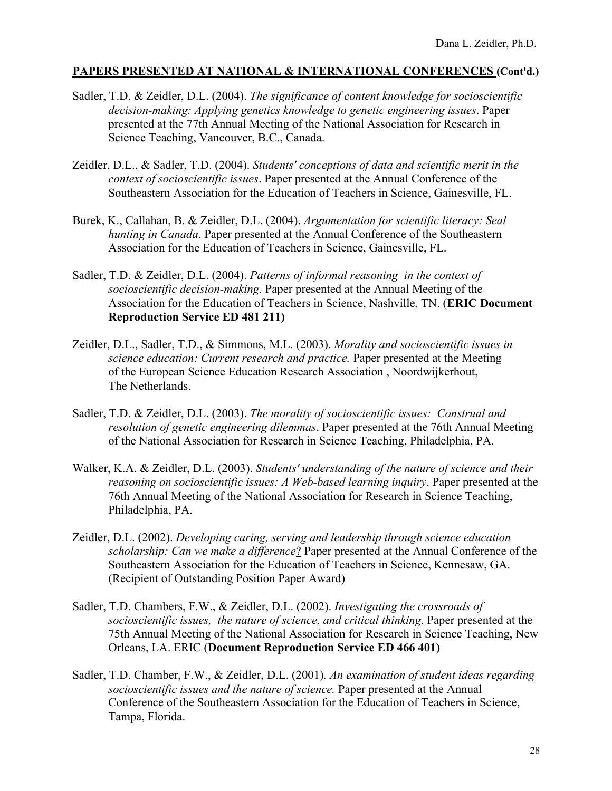- Sadler, T.D. & Zeidler, D.L. (2004). *The significance of content knowledge for socioscientific decision-making: Applying genetics knowledge to genetic engineering issues*. Paper presented at the 77th Annual Meeting of the National Association for Research in Science Teaching, Vancouver, B.C., Canada.
- Zeidler, D.L., & Sadler, T.D. (2004). *Students' conceptions of data and scientific merit in the context of socioscientific issues*. Paper presented at the Annual Conference of the Southeastern Association for the Education of Teachers in Science, Gainesville, FL.
- Burek, K., Callahan, B. & Zeidler, D.L. (2004). *Argumentation for scientific literacy: Seal hunting in Canada*. Paper presented at the Annual Conference of the Southeastern Association for the Education of Teachers in Science, Gainesville, FL.
- Sadler, T.D. & Zeidler, D.L. (2004). *Patterns of informal reasoning in the context of socioscientific decision-making.* Paper presented at the Annual Meeting of the Association for the Education of Teachers in Science, Nashville, TN. (**ERIC Document Reproduction Service ED 481 211)**
- Zeidler, D.L., Sadler, T.D., & Simmons, M.L. (2003). *Morality and socioscientific issues in science education: Current research and practice.* Paper presented at the Meeting of the European Science Education Research Association , Noordwijkerhout, The Netherlands.
- Sadler, T.D. & Zeidler, D.L. (2003). *The morality of socioscientific issues: Construal and resolution of genetic engineering dilemmas*. Paper presented at the 76th Annual Meeting of the National Association for Research in Science Teaching, Philadelphia, PA.
- Walker, K.A. & Zeidler, D.L. (2003). *Students' understanding of the nature of science and their reasoning on socioscientific issues: A Web-based learning inquiry*. Paper presented at the 76th Annual Meeting of the National Association for Research in Science Teaching, Philadelphia, PA.
- Zeidler, D.L. (2002). *Developing caring, serving and leadership through science education scholarship: Can we make a difference*? Paper presented at the Annual Conference of the Southeastern Association for the Education of Teachers in Science, Kennesaw, GA. (Recipient of Outstanding Position Paper Award)
- Sadler, T.D. Chambers, F.W., & Zeidler, D.L. (2002). *Investigating the crossroads of socioscientific issues, the nature of science, and critical thinking*. Paper presented at the 75th Annual Meeting of the National Association for Research in Science Teaching, New Orleans, LA. ERIC (**Document Reproduction Service ED 466 401)**
- Sadler, T.D. Chamber, F.W., & Zeidler, D.L. (2001)*. An examination of student ideas regarding socioscientific issues and the nature of science.* Paper presented at the Annual Conference of the Southeastern Association for the Education of Teachers in Science, Tampa, Florida.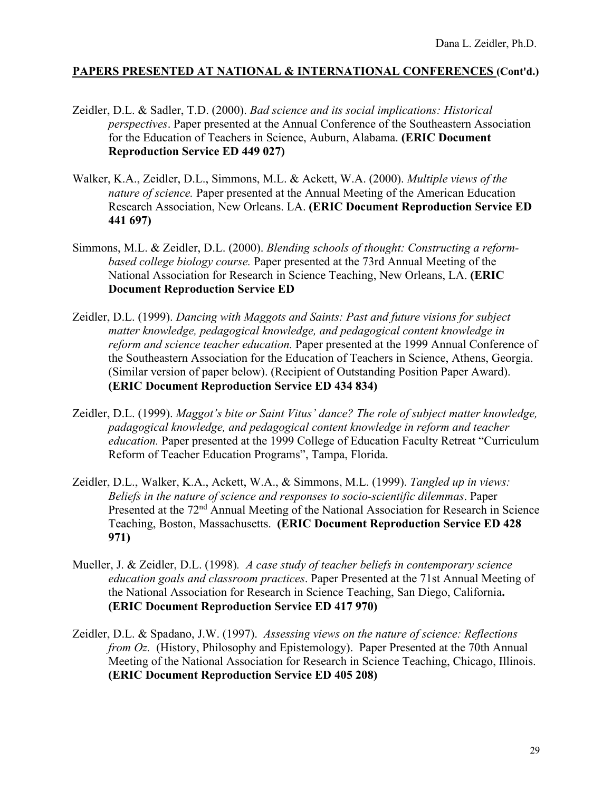- Zeidler, D.L. & Sadler, T.D. (2000). *Bad science and its social implications: Historical perspectives*. Paper presented at the Annual Conference of the Southeastern Association for the Education of Teachers in Science, Auburn, Alabama. **(ERIC Document Reproduction Service ED 449 027)**
- Walker, K.A., Zeidler, D.L., Simmons, M.L. & Ackett, W.A. (2000). *Multiple views of the nature of science.* Paper presented at the Annual Meeting of the American Education Research Association, New Orleans. LA. **(ERIC Document Reproduction Service ED 441 697)**
- Simmons, M.L. & Zeidler, D.L. (2000). *Blending schools of thought: Constructing a reformbased college biology course.* Paper presented at the 73rd Annual Meeting of the National Association for Research in Science Teaching, New Orleans, LA. **(ERIC Document Reproduction Service ED**
- Zeidler, D.L. (1999). *Dancing with Maggots and Saints: Past and future visions for subject matter knowledge, pedagogical knowledge, and pedagogical content knowledge in reform and science teacher education.* Paper presented at the 1999 Annual Conference of the Southeastern Association for the Education of Teachers in Science, Athens, Georgia. (Similar version of paper below). (Recipient of Outstanding Position Paper Award). **(ERIC Document Reproduction Service ED 434 834)**
- Zeidler, D.L. (1999). *Maggot's bite or Saint Vitus' dance? The role of subject matter knowledge, padagogical knowledge, and pedagogical content knowledge in reform and teacher education.* Paper presented at the 1999 College of Education Faculty Retreat "Curriculum Reform of Teacher Education Programs", Tampa, Florida.
- Zeidler, D.L., Walker, K.A., Ackett, W.A., & Simmons, M.L. (1999). *Tangled up in views: Beliefs in the nature of science and responses to socio-scientific dilemmas*. Paper Presented at the 72<sup>nd</sup> Annual Meeting of the National Association for Research in Science Teaching, Boston, Massachusetts. **(ERIC Document Reproduction Service ED 428 971)**
- Mueller, J. & Zeidler, D.L. (1998)*. A case study of teacher beliefs in contemporary science education goals and classroom practices*. Paper Presented at the 71st Annual Meeting of the National Association for Research in Science Teaching, San Diego, California**. (ERIC Document Reproduction Service ED 417 970)**
- Zeidler, D.L. & Spadano, J.W. (1997). *Assessing views on the nature of science: Reflections from Oz.* (History, Philosophy and Epistemology). Paper Presented at the 70th Annual Meeting of the National Association for Research in Science Teaching, Chicago, Illinois. **(ERIC Document Reproduction Service ED 405 208)**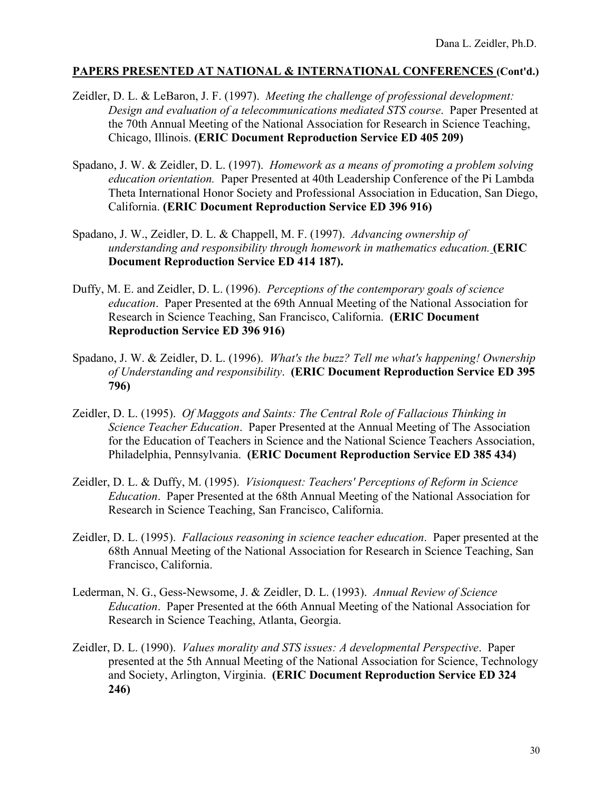- Zeidler, D. L. & LeBaron, J. F. (1997). *Meeting the challenge of professional development: Design and evaluation of a telecommunications mediated STS course*. Paper Presented at the 70th Annual Meeting of the National Association for Research in Science Teaching, Chicago, Illinois. **(ERIC Document Reproduction Service ED 405 209)**
- Spadano, J. W. & Zeidler, D. L. (1997). *Homework as a means of promoting a problem solving education orientation.* Paper Presented at 40th Leadership Conference of the Pi Lambda Theta International Honor Society and Professional Association in Education, San Diego, California. **(ERIC Document Reproduction Service ED 396 916)**
- Spadano, J. W., Zeidler, D. L. & Chappell, M. F. (1997). *Advancing ownership of understanding and responsibility through homework in mathematics education.* **(ERIC Document Reproduction Service ED 414 187).**
- Duffy, M. E. and Zeidler, D. L. (1996). *Perceptions of the contemporary goals of science education*. Paper Presented at the 69th Annual Meeting of the National Association for Research in Science Teaching, San Francisco, California. **(ERIC Document Reproduction Service ED 396 916)**
- Spadano, J. W. & Zeidler, D. L. (1996). *What's the buzz? Tell me what's happening! Ownership of Understanding and responsibility*. **(ERIC Document Reproduction Service ED 395 796)**
- Zeidler, D. L. (1995). *Of Maggots and Saints: The Central Role of Fallacious Thinking in Science Teacher Education*. Paper Presented at the Annual Meeting of The Association for the Education of Teachers in Science and the National Science Teachers Association, Philadelphia, Pennsylvania. **(ERIC Document Reproduction Service ED 385 434)**
- Zeidler, D. L. & Duffy, M. (1995). *Visionquest: Teachers' Perceptions of Reform in Science Education*. Paper Presented at the 68th Annual Meeting of the National Association for Research in Science Teaching, San Francisco, California.
- Zeidler, D. L. (1995). *Fallacious reasoning in science teacher education*. Paper presented at the 68th Annual Meeting of the National Association for Research in Science Teaching, San Francisco, California.
- Lederman, N. G., Gess-Newsome, J. & Zeidler, D. L. (1993). *Annual Review of Science Education*. Paper Presented at the 66th Annual Meeting of the National Association for Research in Science Teaching, Atlanta, Georgia.
- Zeidler, D. L. (1990). *Values morality and STS issues: A developmental Perspective*. Paper presented at the 5th Annual Meeting of the National Association for Science, Technology and Society, Arlington, Virginia. **(ERIC Document Reproduction Service ED 324 246)**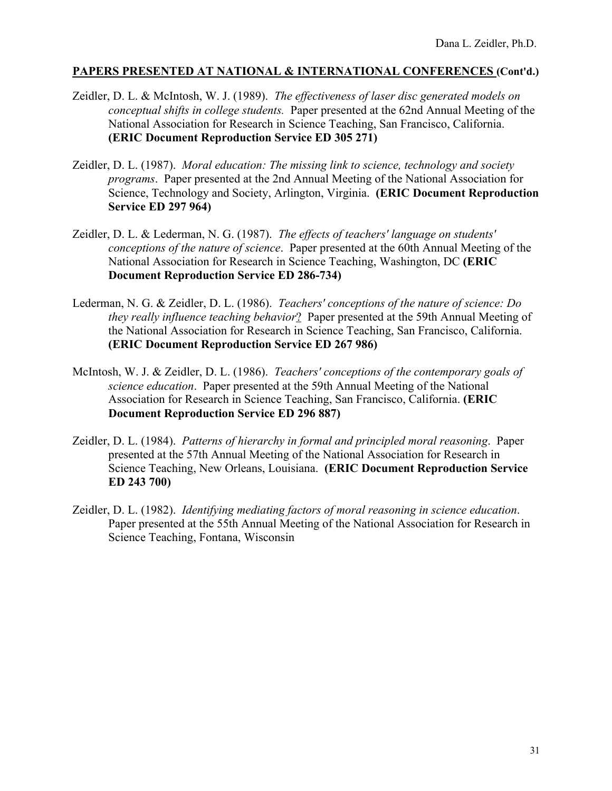- Zeidler, D. L. & McIntosh, W. J. (1989). *The effectiveness of laser disc generated models on conceptual shifts in college students.* Paper presented at the 62nd Annual Meeting of the National Association for Research in Science Teaching, San Francisco, California. **(ERIC Document Reproduction Service ED 305 271)**
- Zeidler, D. L. (1987). *Moral education: The missing link to science, technology and society programs*. Paper presented at the 2nd Annual Meeting of the National Association for Science, Technology and Society, Arlington, Virginia. **(ERIC Document Reproduction Service ED 297 964)**
- Zeidler, D. L. & Lederman, N. G. (1987). *The effects of teachers' language on students' conceptions of the nature of science*. Paper presented at the 60th Annual Meeting of the National Association for Research in Science Teaching, Washington, DC **(ERIC Document Reproduction Service ED 286-734)**
- Lederman, N. G. & Zeidler, D. L. (1986). *Teachers' conceptions of the nature of science: Do they really influence teaching behavior*? Paper presented at the 59th Annual Meeting of the National Association for Research in Science Teaching, San Francisco, California. **(ERIC Document Reproduction Service ED 267 986)**
- McIntosh, W. J. & Zeidler, D. L. (1986). *Teachers' conceptions of the contemporary goals of science education*. Paper presented at the 59th Annual Meeting of the National Association for Research in Science Teaching, San Francisco, California. **(ERIC Document Reproduction Service ED 296 887)**
- Zeidler, D. L. (1984). *Patterns of hierarchy in formal and principled moral reasoning*. Paper presented at the 57th Annual Meeting of the National Association for Research in Science Teaching, New Orleans, Louisiana. **(ERIC Document Reproduction Service ED 243 700)**
- Zeidler, D. L. (1982). *Identifying mediating factors of moral reasoning in science education*. Paper presented at the 55th Annual Meeting of the National Association for Research in Science Teaching, Fontana, Wisconsin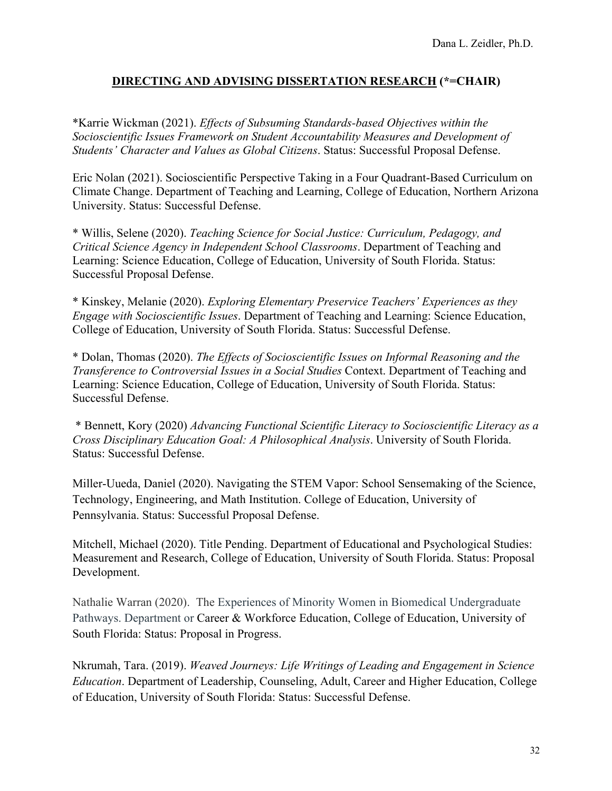\*Karrie Wickman (2021). *Effects of Subsuming Standards-based Objectives within the Socioscientific Issues Framework on Student Accountability Measures and Development of Students' Character and Values as Global Citizens*. Status: Successful Proposal Defense.

Eric Nolan (2021). Socioscientific Perspective Taking in a Four Quadrant-Based Curriculum on Climate Change. Department of Teaching and Learning, College of Education, Northern Arizona University. Status: Successful Defense.

\* Willis, Selene (2020). *Teaching Science for Social Justice: Curriculum, Pedagogy, and Critical Science Agency in Independent School Classrooms*. Department of Teaching and Learning: Science Education, College of Education, University of South Florida. Status: Successful Proposal Defense.

\* Kinskey, Melanie (2020). *Exploring Elementary Preservice Teachers' Experiences as they Engage with Socioscientific Issues*. Department of Teaching and Learning: Science Education, College of Education, University of South Florida. Status: Successful Defense.

\* Dolan, Thomas (2020). *The Effects of Socioscientific Issues on Informal Reasoning and the Transference to Controversial Issues in a Social Studies* Context. Department of Teaching and Learning: Science Education, College of Education, University of South Florida. Status: Successful Defense.

\* Bennett, Kory (2020) *Advancing Functional Scientific Literacy to Socioscientific Literacy as a Cross Disciplinary Education Goal: A Philosophical Analysis*. University of South Florida. Status: Successful Defense.

Miller-Uueda, Daniel (2020). Navigating the STEM Vapor: School Sensemaking of the Science, Technology, Engineering, and Math Institution. College of Education, University of Pennsylvania. Status: Successful Proposal Defense.

Mitchell, Michael (2020). Title Pending. Department of Educational and Psychological Studies: Measurement and Research, College of Education, University of South Florida. Status: Proposal Development.

Nathalie Warran (2020). The Experiences of Minority Women in Biomedical Undergraduate Pathways. Department or Career & Workforce Education, College of Education, University of South Florida: Status: Proposal in Progress.

Nkrumah, Tara. (2019). *Weaved Journeys: Life Writings of Leading and Engagement in Science Education*. Department of Leadership, Counseling, Adult, Career and Higher Education, College of Education, University of South Florida: Status: Successful Defense.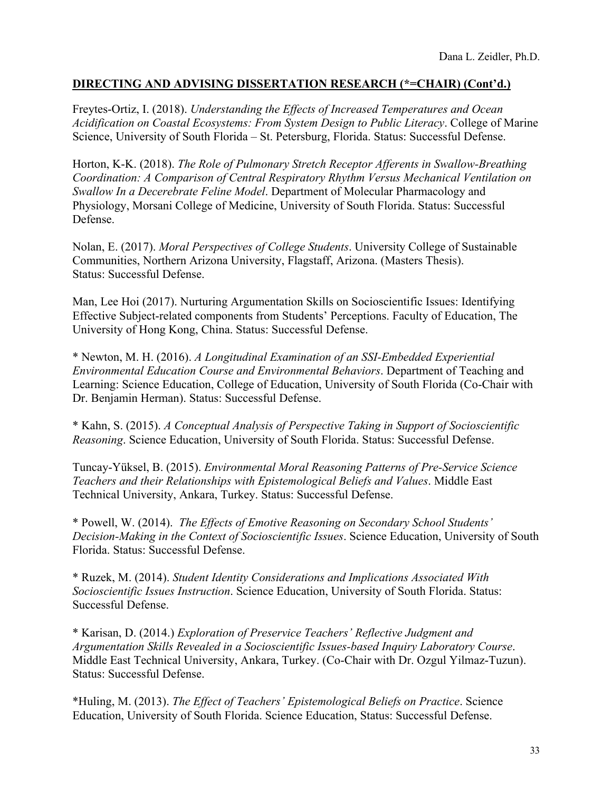Freytes-Ortiz, I. (2018). *Understanding the Effects of Increased Temperatures and Ocean Acidification on Coastal Ecosystems: From System Design to Public Literacy*. College of Marine Science, University of South Florida – St. Petersburg, Florida. Status: Successful Defense.

Horton, K-K. (2018). *The Role of Pulmonary Stretch Receptor Afferents in Swallow-Breathing Coordination: A Comparison of Central Respiratory Rhythm Versus Mechanical Ventilation on Swallow In a Decerebrate Feline Model*. Department of Molecular Pharmacology and Physiology, Morsani College of Medicine, University of South Florida. Status: Successful Defense.

Nolan, E. (2017). *Moral Perspectives of College Students*. University College of Sustainable Communities, Northern Arizona University, Flagstaff, Arizona. (Masters Thesis). Status: Successful Defense.

Man, Lee Hoi (2017). Nurturing Argumentation Skills on Socioscientific Issues: Identifying Effective Subject-related components from Students' Perceptions. Faculty of Education, The University of Hong Kong, China. Status: Successful Defense.

\* Newton, M. H. (2016). *A Longitudinal Examination of an SSI-Embedded Experiential Environmental Education Course and Environmental Behaviors*. Department of Teaching and Learning: Science Education, College of Education, University of South Florida (Co-Chair with Dr. Benjamin Herman). Status: Successful Defense.

\* Kahn, S. (2015). *A Conceptual Analysis of Perspective Taking in Support of Socioscientific Reasoning*. Science Education, University of South Florida. Status: Successful Defense.

Tuncay-Yüksel, B. (2015). *Environmental Moral Reasoning Patterns of Pre-Service Science Teachers and their Relationships with Epistemological Beliefs and Values*. Middle East Technical University, Ankara, Turkey. Status: Successful Defense.

\* Powell, W. (2014). *The Effects of Emotive Reasoning on Secondary School Students' Decision-Making in the Context of Socioscientific Issues*. Science Education, University of South Florida. Status: Successful Defense.

\* Ruzek, M. (2014). *Student Identity Considerations and Implications Associated With Socioscientific Issues Instruction*. Science Education, University of South Florida. Status: Successful Defense.

\* Karisan, D. (2014.) *Exploration of Preservice Teachers' Reflective Judgment and Argumentation Skills Revealed in a Socioscientific Issues-based Inquiry Laboratory Course*. Middle East Technical University, Ankara, Turkey. (Co-Chair with Dr. Ozgul Yilmaz-Tuzun). Status: Successful Defense.

\*Huling, M. (2013). *The Effect of Teachers' Epistemological Beliefs on Practice*. Science Education, University of South Florida. Science Education, Status: Successful Defense.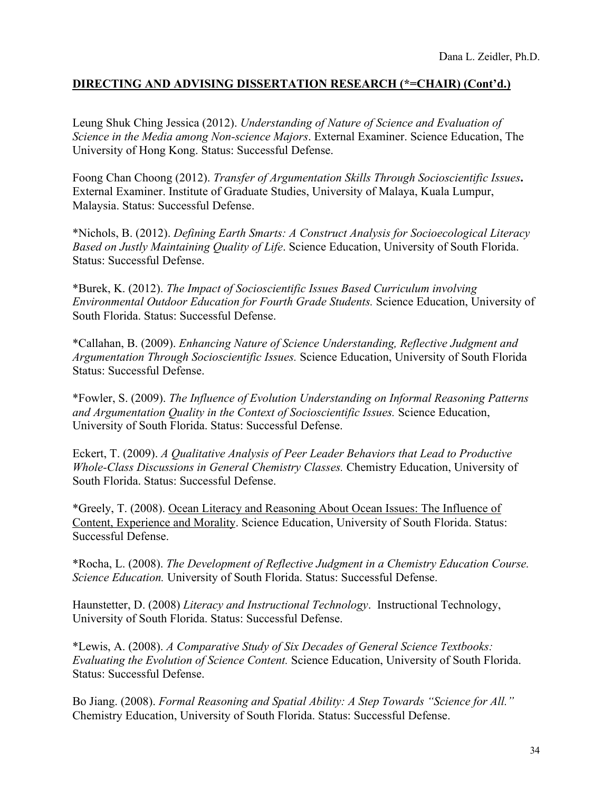Leung Shuk Ching Jessica (2012). *Understanding of Nature of Science and Evaluation of Science in the Media among Non-science Majors*. External Examiner. Science Education, The University of Hong Kong. Status: Successful Defense.

Foong Chan Choong (2012). *Transfer of Argumentation Skills Through Socioscientific Issues***.** External Examiner. Institute of Graduate Studies, University of Malaya, Kuala Lumpur, Malaysia. Status: Successful Defense.

\*Nichols, B. (2012). *Defining Earth Smarts: A Construct Analysis for Socioecological Literacy Based on Justly Maintaining Quality of Life*. Science Education, University of South Florida. Status: Successful Defense.

\*Burek, K. (2012). *The Impact of Socioscientific Issues Based Curriculum involving Environmental Outdoor Education for Fourth Grade Students.* Science Education, University of South Florida. Status: Successful Defense.

\*Callahan, B. (2009). *Enhancing Nature of Science Understanding, Reflective Judgment and Argumentation Through Socioscientific Issues.* Science Education, University of South Florida Status: Successful Defense.

\*Fowler, S. (2009). *The Influence of Evolution Understanding on Informal Reasoning Patterns and Argumentation Quality in the Context of Socioscientific Issues.* Science Education, University of South Florida. Status: Successful Defense.

Eckert, T. (2009). *A Qualitative Analysis of Peer Leader Behaviors that Lead to Productive Whole-Class Discussions in General Chemistry Classes.* Chemistry Education, University of South Florida. Status: Successful Defense.

\*Greely, T. (2008). Ocean Literacy and Reasoning About Ocean Issues: The Influence of Content, Experience and Morality. Science Education, University of South Florida. Status: Successful Defense.

\*Rocha, L. (2008). *The Development of Reflective Judgment in a Chemistry Education Course. Science Education.* University of South Florida. Status: Successful Defense.

Haunstetter, D. (2008) *Literacy and Instructional Technology*. Instructional Technology, University of South Florida. Status: Successful Defense.

\*Lewis, A. (2008). *A Comparative Study of Six Decades of General Science Textbooks: Evaluating the Evolution of Science Content.* Science Education, University of South Florida. Status: Successful Defense.

Bo Jiang. (2008). *Formal Reasoning and Spatial Ability: A Step Towards "Science for All."* Chemistry Education, University of South Florida. Status: Successful Defense.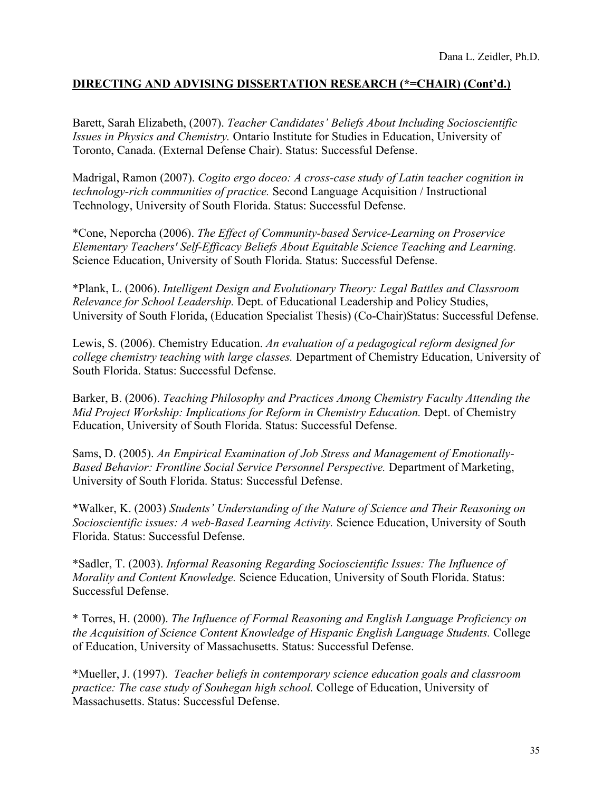Barett, Sarah Elizabeth, (2007). *Teacher Candidates' Beliefs About Including Socioscientific Issues in Physics and Chemistry.* Ontario Institute for Studies in Education, University of Toronto, Canada. (External Defense Chair). Status: Successful Defense.

Madrigal, Ramon (2007). *Cogito ergo doceo: A cross-case study of Latin teacher cognition in technology-rich communities of practice.* Second Language Acquisition / Instructional Technology, University of South Florida. Status: Successful Defense.

\*Cone, Neporcha (2006). *The Effect of Community-based Service-Learning on Proservice Elementary Teachers' Self-Efficacy Beliefs About Equitable Science Teaching and Learning.* Science Education, University of South Florida. Status: Successful Defense.

\*Plank, L. (2006). *Intelligent Design and Evolutionary Theory: Legal Battles and Classroom Relevance for School Leadership.* Dept. of Educational Leadership and Policy Studies, University of South Florida, (Education Specialist Thesis) (Co-Chair)Status: Successful Defense.

Lewis, S. (2006). Chemistry Education. *An evaluation of a pedagogical reform designed for college chemistry teaching with large classes.* Department of Chemistry Education, University of South Florida. Status: Successful Defense.

Barker, B. (2006). *Teaching Philosophy and Practices Among Chemistry Faculty Attending the Mid Project Workship: Implications for Reform in Chemistry Education.* Dept. of Chemistry Education, University of South Florida. Status: Successful Defense.

Sams, D. (2005). *An Empirical Examination of Job Stress and Management of Emotionally-Based Behavior: Frontline Social Service Personnel Perspective.* Department of Marketing, University of South Florida. Status: Successful Defense.

\*Walker, K. (2003) *Students' Understanding of the Nature of Science and Their Reasoning on Socioscientific issues: A web-Based Learning Activity.* Science Education, University of South Florida. Status: Successful Defense.

\*Sadler, T. (2003). *Informal Reasoning Regarding Socioscientific Issues: The Influence of Morality and Content Knowledge.* Science Education, University of South Florida. Status: Successful Defense.

\* Torres, H. (2000). *The Influence of Formal Reasoning and English Language Proficiency on the Acquisition of Science Content Knowledge of Hispanic English Language Students.* College of Education, University of Massachusetts. Status: Successful Defense.

\*Mueller, J. (1997). *Teacher beliefs in contemporary science education goals and classroom practice: The case study of Souhegan high school.* College of Education, University of Massachusetts. Status: Successful Defense.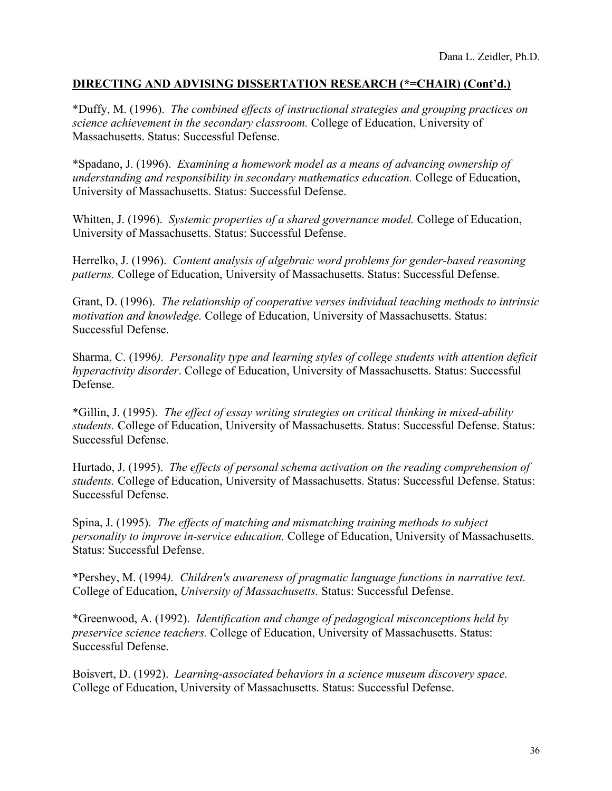\*Duffy, M. (1996). *The combined effects of instructional strategies and grouping practices on science achievement in the secondary classroom.* College of Education, University of Massachusetts. Status: Successful Defense.

\*Spadano, J. (1996). *Examining a homework model as a means of advancing ownership of understanding and responsibility in secondary mathematics education.* College of Education, University of Massachusetts. Status: Successful Defense.

Whitten, J. (1996). *Systemic properties of a shared governance model.* College of Education, University of Massachusetts. Status: Successful Defense.

Herrelko, J. (1996). *Content analysis of algebraic word problems for gender-based reasoning patterns.* College of Education, University of Massachusetts. Status: Successful Defense.

Grant, D. (1996). *The relationship of cooperative verses individual teaching methods to intrinsic motivation and knowledge.* College of Education, University of Massachusetts. Status: Successful Defense.

Sharma, C. (1996*). Personality type and learning styles of college students with attention deficit hyperactivity disorder*. College of Education, University of Massachusetts. Status: Successful Defense.

\*Gillin, J. (1995). *The effect of essay writing strategies on critical thinking in mixed-ability students.* College of Education, University of Massachusetts. Status: Successful Defense. Status: Successful Defense.

Hurtado, J. (1995). *The effects of personal schema activation on the reading comprehension of students.* College of Education, University of Massachusetts. Status: Successful Defense. Status: Successful Defense.

Spina, J. (1995). *The effects of matching and mismatching training methods to subject personality to improve in-service education.* College of Education, University of Massachusetts. Status: Successful Defense.

\*Pershey, M. (1994*). Children's awareness of pragmatic language functions in narrative text.*  College of Education, *University of Massachusetts.* Status: Successful Defense.

\*Greenwood, A. (1992). *Identification and change of pedagogical misconceptions held by preservice science teachers.* College of Education, University of Massachusetts. Status: Successful Defense.

Boisvert, D. (1992). *Learning-associated behaviors in a science museum discovery space.*  College of Education, University of Massachusetts. Status: Successful Defense.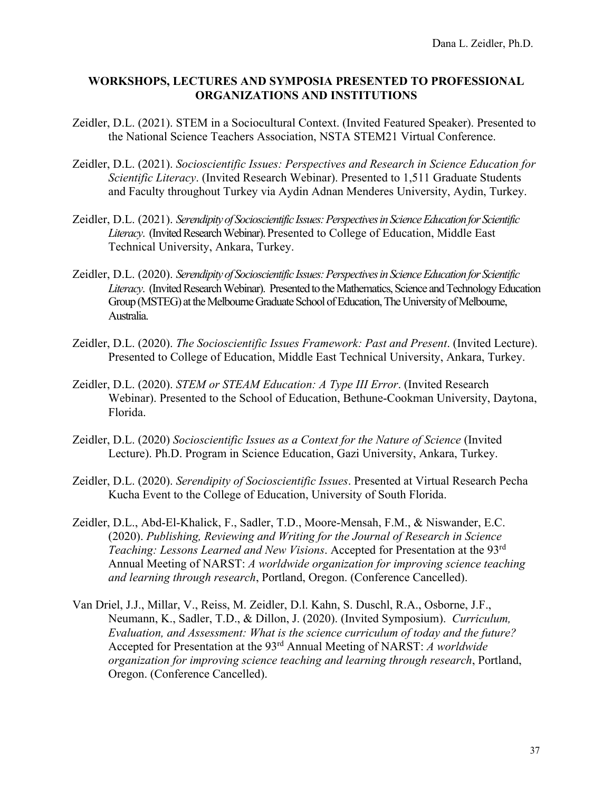- Zeidler, D.L. (2021). STEM in a Sociocultural Context. (Invited Featured Speaker). Presented to the National Science Teachers Association, NSTA STEM21 Virtual Conference.
- Zeidler, D.L. (2021). *Socioscientific Issues: Perspectives and Research in Science Education for Scientific Literacy*. (Invited Research Webinar). Presented to 1,511 Graduate Students and Faculty throughout Turkey via Aydin Adnan Menderes University, Aydin, Turkey.
- Zeidler, D.L. (2021). *Serendipity of Socioscientific Issues: Perspectives in Science Education for Scientific*  Literacy. (Invited Research Webinar). Presented to College of Education, Middle East Technical University, Ankara, Turkey.
- Zeidler, D.L. (2020). *Serendipity of Socioscientific Issues: Perspectives in Science Education for Scientific Literacy*. (Invited Research Webinar). Presented to the Mathematics, Science and Technology Education Group (MSTEG) at the Melbourne Graduate School of Education, The University of Melbourne, Australia.
- Zeidler, D.L. (2020). *The Socioscientific Issues Framework: Past and Present*. (Invited Lecture). Presented to College of Education, Middle East Technical University, Ankara, Turkey.
- Zeidler, D.L. (2020). *STEM or STEAM Education: A Type III Error*. (Invited Research Webinar). Presented to the School of Education, Bethune-Cookman University, Daytona, Florida.
- Zeidler, D.L. (2020) *Socioscientific Issues as a Context for the Nature of Science* (Invited Lecture). Ph.D. Program in Science Education, Gazi University, Ankara, Turkey.
- Zeidler, D.L. (2020). *Serendipity of Socioscientific Issues*. Presented at Virtual Research Pecha Kucha Event to the College of Education, University of South Florida.
- Zeidler, D.L., Abd-El-Khalick, F., Sadler, T.D., Moore-Mensah, F.M., & Niswander, E.C. (2020). *Publishing, Reviewing and Writing for the Journal of Research in Science Teaching: Lessons Learned and New Visions*. Accepted for Presentation at the 93rd Annual Meeting of NARST: *A worldwide organization for improving science teaching and learning through research*, Portland, Oregon. (Conference Cancelled).
- Van Driel, J.J., Millar, V., Reiss, M. Zeidler, D.l. Kahn, S. Duschl, R.A., Osborne, J.F., Neumann, K., Sadler, T.D., & Dillon, J. (2020). (Invited Symposium). *Curriculum, Evaluation, and Assessment: What is the science curriculum of today and the future?* Accepted for Presentation at the 93rd Annual Meeting of NARST: *A worldwide organization for improving science teaching and learning through research*, Portland, Oregon. (Conference Cancelled).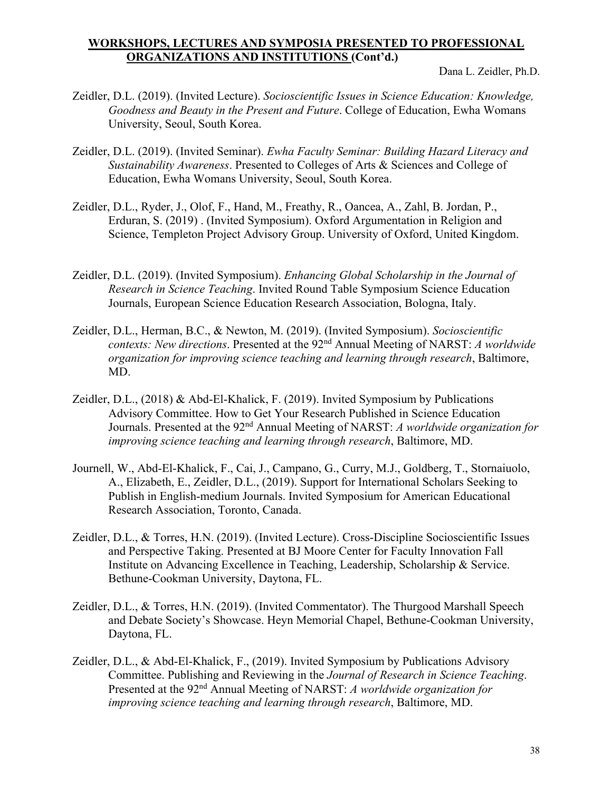- Zeidler, D.L. (2019). (Invited Lecture). *Socioscientific Issues in Science Education: Knowledge, Goodness and Beauty in the Present and Future*. College of Education, Ewha Womans University, Seoul, South Korea.
- Zeidler, D.L. (2019). (Invited Seminar). *Ewha Faculty Seminar: Building Hazard Literacy and Sustainability Awareness*. Presented to Colleges of Arts & Sciences and College of Education, Ewha Womans University, Seoul, South Korea.
- Zeidler, D.L., Ryder, J., Olof, F., Hand, M., Freathy, R., Oancea, A., Zahl, B. Jordan, P., Erduran, S. (2019) . (Invited Symposium). Oxford Argumentation in Religion and Science, Templeton Project Advisory Group. University of Oxford, United Kingdom.
- Zeidler, D.L. (2019). (Invited Symposium). *Enhancing Global Scholarship in the Journal of Research in Science Teaching*. Invited Round Table Symposium Science Education Journals, European Science Education Research Association, Bologna, Italy.
- Zeidler, D.L., Herman, B.C., & Newton, M. (2019). (Invited Symposium). *Socioscientific contexts: New directions*. Presented at the 92nd Annual Meeting of NARST: *A worldwide organization for improving science teaching and learning through research*, Baltimore, MD.
- Zeidler, D.L., (2018) & Abd-El-Khalick, F. (2019). Invited Symposium by Publications Advisory Committee. How to Get Your Research Published in Science Education Journals. Presented at the 92nd Annual Meeting of NARST: *A worldwide organization for improving science teaching and learning through research*, Baltimore, MD.
- Journell, W., Abd-El-Khalick, F., Cai, J., Campano, G., Curry, M.J., Goldberg, T., Stornaiuolo, A., Elizabeth, E., Zeidler, D.L., (2019). Support for International Scholars Seeking to Publish in English-medium Journals. Invited Symposium for American Educational Research Association, Toronto, Canada.
- Zeidler, D.L., & Torres, H.N. (2019). (Invited Lecture). Cross-Discipline Socioscientific Issues and Perspective Taking. Presented at BJ Moore Center for Faculty Innovation Fall Institute on Advancing Excellence in Teaching, Leadership, Scholarship & Service. Bethune-Cookman University, Daytona, FL.
- Zeidler, D.L., & Torres, H.N. (2019). (Invited Commentator). The Thurgood Marshall Speech and Debate Society's Showcase. Heyn Memorial Chapel, Bethune-Cookman University, Daytona, FL.
- Zeidler, D.L., & Abd-El-Khalick, F., (2019). Invited Symposium by Publications Advisory Committee. Publishing and Reviewing in the *Journal of Research in Science Teaching*. Presented at the 92nd Annual Meeting of NARST: *A worldwide organization for improving science teaching and learning through research*, Baltimore, MD.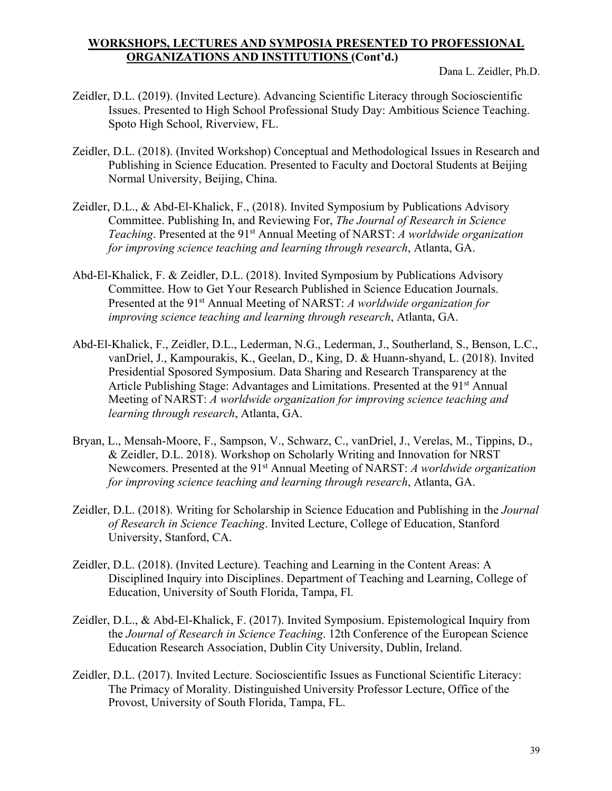- Zeidler, D.L. (2019). (Invited Lecture). Advancing Scientific Literacy through Socioscientific Issues. Presented to High School Professional Study Day: Ambitious Science Teaching. Spoto High School, Riverview, FL.
- Zeidler, D.L. (2018). (Invited Workshop) Conceptual and Methodological Issues in Research and Publishing in Science Education. Presented to Faculty and Doctoral Students at Beijing Normal University, Beijing, China.
- Zeidler, D.L., & Abd-El-Khalick, F., (2018). Invited Symposium by Publications Advisory Committee. Publishing In, and Reviewing For, *The Journal of Research in Science Teaching*. Presented at the 91<sup>st</sup> Annual Meeting of NARST: *A worldwide organization for improving science teaching and learning through research*, Atlanta, GA.
- Abd-El-Khalick, F. & Zeidler, D.L. (2018). Invited Symposium by Publications Advisory Committee. How to Get Your Research Published in Science Education Journals. Presented at the 91st Annual Meeting of NARST: *A worldwide organization for improving science teaching and learning through research*, Atlanta, GA.
- Abd-El-Khalick, F., Zeidler, D.L., Lederman, N.G., Lederman, J., Southerland, S., Benson, L.C., vanDriel, J., Kampourakis, K., Geelan, D., King, D. & Huann-shyand, L. (2018). Invited Presidential Sposored Symposium. Data Sharing and Research Transparency at the Article Publishing Stage: Advantages and Limitations. Presented at the 91st Annual Meeting of NARST: *A worldwide organization for improving science teaching and learning through research*, Atlanta, GA.
- Bryan, L., Mensah-Moore, F., Sampson, V., Schwarz, C., vanDriel, J., Verelas, M., Tippins, D., & Zeidler, D.L. 2018). Workshop on Scholarly Writing and Innovation for NRST Newcomers. Presented at the 91st Annual Meeting of NARST: *A worldwide organization for improving science teaching and learning through research*, Atlanta, GA.
- Zeidler, D.L. (2018). Writing for Scholarship in Science Education and Publishing in the *Journal of Research in Science Teaching*. Invited Lecture, College of Education, Stanford University, Stanford, CA.
- Zeidler, D.L. (2018). (Invited Lecture). Teaching and Learning in the Content Areas: A Disciplined Inquiry into Disciplines. Department of Teaching and Learning, College of Education, University of South Florida, Tampa, Fl.
- Zeidler, D.L., & Abd-El-Khalick, F. (2017). Invited Symposium. Epistemological Inquiry from the *Journal of Research in Science Teaching*. 12th Conference of the European Science Education Research Association, Dublin City University, Dublin, Ireland.
- Zeidler, D.L. (2017). Invited Lecture. Socioscientific Issues as Functional Scientific Literacy: The Primacy of Morality. Distinguished University Professor Lecture, Office of the Provost, University of South Florida, Tampa, FL.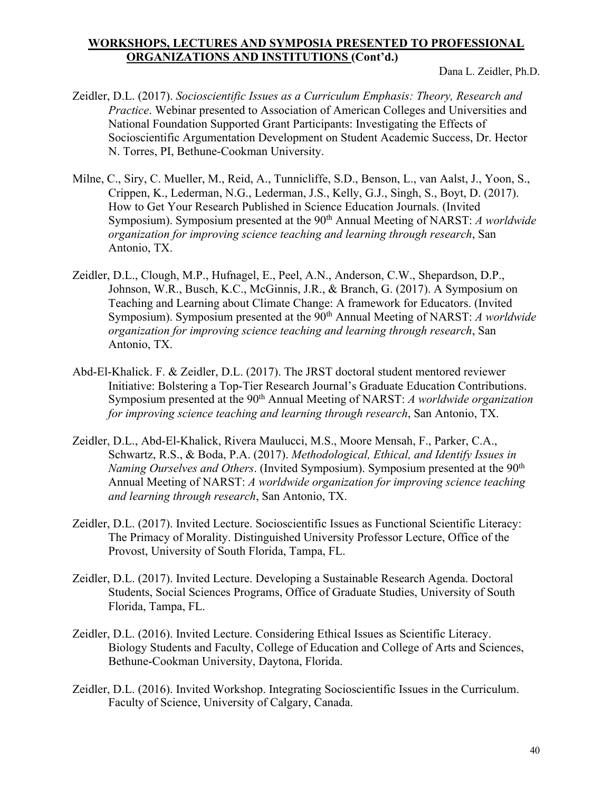- Zeidler, D.L. (2017). *Socioscientific Issues as a Curriculum Emphasis: Theory, Research and Practice*. Webinar presented to Association of American Colleges and Universities and National Foundation Supported Grant Participants: Investigating the Effects of Socioscientific Argumentation Development on Student Academic Success, Dr. Hector N. Torres, PI, Bethune-Cookman University.
- Milne, C., Siry, C. Mueller, M., Reid, A., Tunnicliffe, S.D., Benson, L., van Aalst, J., Yoon, S., Crippen, K., Lederman, N.G., Lederman, J.S., Kelly, G.J., Singh, S., Boyt, D. (2017). How to Get Your Research Published in Science Education Journals. (Invited Symposium). Symposium presented at the 90<sup>th</sup> Annual Meeting of NARST: *A worldwide organization for improving science teaching and learning through research*, San Antonio, TX.
- Zeidler, D.L., Clough, M.P., Hufnagel, E., Peel, A.N., Anderson, C.W., Shepardson, D.P., Johnson, W.R., Busch, K.C., McGinnis, J.R., & Branch, G. (2017). A Symposium on Teaching and Learning about Climate Change: A framework for Educators. (Invited Symposium). Symposium presented at the 90<sup>th</sup> Annual Meeting of NARST: *A worldwide organization for improving science teaching and learning through research*, San Antonio, TX.
- Abd-El-Khalick. F. & Zeidler, D.L. (2017). The JRST doctoral student mentored reviewer Initiative: Bolstering a Top-Tier Research Journal's Graduate Education Contributions. Symposium presented at the 90th Annual Meeting of NARST: *A worldwide organization for improving science teaching and learning through research*, San Antonio, TX.
- Zeidler, D.L., Abd-El-Khalick, Rivera Maulucci, M.S., Moore Mensah, F., Parker, C.A., Schwartz, R.S., & Boda, P.A. (2017). *Methodological, Ethical, and Identify Issues in Naming Ourselves and Others*. (Invited Symposium). Symposium presented at the 90<sup>th</sup> Annual Meeting of NARST: *A worldwide organization for improving science teaching and learning through research*, San Antonio, TX.
- Zeidler, D.L. (2017). Invited Lecture. Socioscientific Issues as Functional Scientific Literacy: The Primacy of Morality. Distinguished University Professor Lecture, Office of the Provost, University of South Florida, Tampa, FL.
- Zeidler, D.L. (2017). Invited Lecture. Developing a Sustainable Research Agenda. Doctoral Students, Social Sciences Programs, Office of Graduate Studies, University of South Florida, Tampa, FL.
- Zeidler, D.L. (2016). Invited Lecture. Considering Ethical Issues as Scientific Literacy. Biology Students and Faculty, College of Education and College of Arts and Sciences, Bethune-Cookman University, Daytona, Florida.
- Zeidler, D.L. (2016). Invited Workshop. Integrating Socioscientific Issues in the Curriculum. Faculty of Science, University of Calgary, Canada.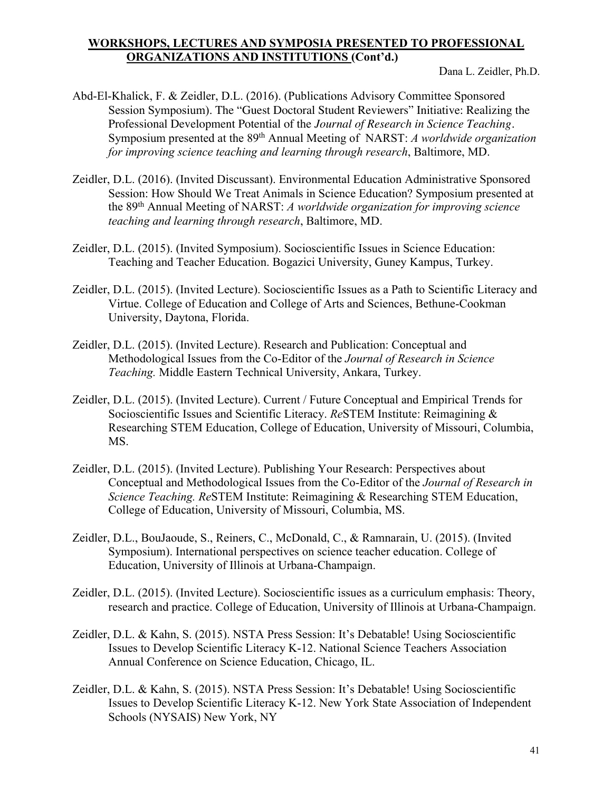- Abd-El-Khalick, F. & Zeidler, D.L. (2016). (Publications Advisory Committee Sponsored Session Symposium). The "Guest Doctoral Student Reviewers" Initiative: Realizing the Professional Development Potential of the *Journal of Research in Science Teaching*. Symposium presented at the 89th Annual Meeting of NARST: *A worldwide organization for improving science teaching and learning through research*, Baltimore, MD.
- Zeidler, D.L. (2016). (Invited Discussant). Environmental Education Administrative Sponsored Session: How Should We Treat Animals in Science Education? Symposium presented at the 89th Annual Meeting of NARST: *A worldwide organization for improving science teaching and learning through research*, Baltimore, MD.
- Zeidler, D.L. (2015). (Invited Symposium). Socioscientific Issues in Science Education: Teaching and Teacher Education. Bogazici University, Guney Kampus, Turkey.
- Zeidler, D.L. (2015). (Invited Lecture). Socioscientific Issues as a Path to Scientific Literacy and Virtue. College of Education and College of Arts and Sciences, Bethune-Cookman University, Daytona, Florida.
- Zeidler, D.L. (2015). (Invited Lecture). Research and Publication: Conceptual and Methodological Issues from the Co-Editor of the *Journal of Research in Science Teaching.* Middle Eastern Technical University, Ankara, Turkey.
- Zeidler, D.L. (2015). (Invited Lecture). Current / Future Conceptual and Empirical Trends for Socioscientific Issues and Scientific Literacy. *Re*STEM Institute: Reimagining & Researching STEM Education, College of Education, University of Missouri, Columbia, MS.
- Zeidler, D.L. (2015). (Invited Lecture). Publishing Your Research: Perspectives about Conceptual and Methodological Issues from the Co-Editor of the *Journal of Research in Science Teaching. Re*STEM Institute: Reimagining & Researching STEM Education, College of Education, University of Missouri, Columbia, MS.
- Zeidler, D.L., BouJaoude, S., Reiners, C., McDonald, C., & Ramnarain, U. (2015). (Invited Symposium). International perspectives on science teacher education. College of Education, University of Illinois at Urbana-Champaign.
- Zeidler, D.L. (2015). (Invited Lecture). Socioscientific issues as a curriculum emphasis: Theory, research and practice. College of Education, University of Illinois at Urbana-Champaign.
- Zeidler, D.L. & Kahn, S. (2015). NSTA Press Session: It's Debatable! Using Socioscientific Issues to Develop Scientific Literacy K-12. National Science Teachers Association Annual Conference on Science Education, Chicago, IL.
- Zeidler, D.L. & Kahn, S. (2015). NSTA Press Session: It's Debatable! Using Socioscientific Issues to Develop Scientific Literacy K-12. New York State Association of Independent Schools (NYSAIS) New York, NY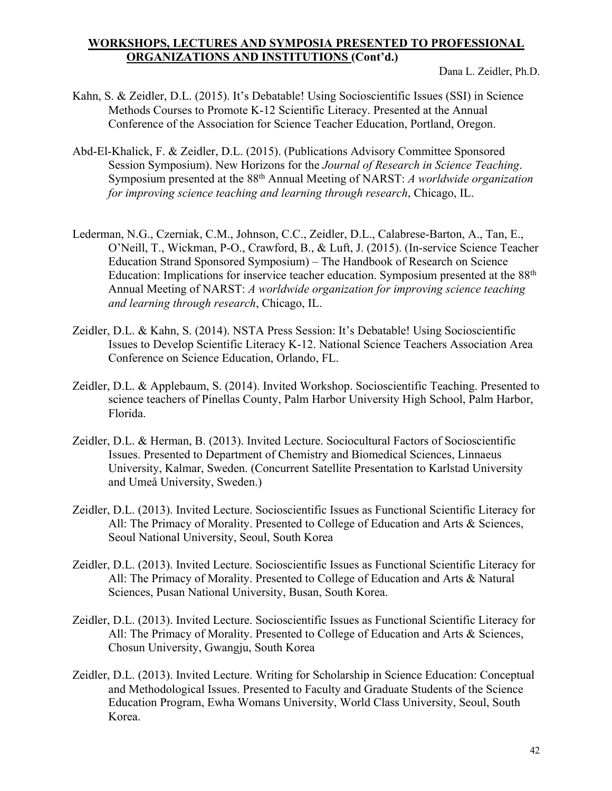- Kahn, S. & Zeidler, D.L. (2015). It's Debatable! Using Socioscientific Issues (SSI) in Science Methods Courses to Promote K-12 Scientific Literacy. Presented at the Annual Conference of the Association for Science Teacher Education, Portland, Oregon.
- Abd-El-Khalick, F. & Zeidler, D.L. (2015). (Publications Advisory Committee Sponsored Session Symposium). New Horizons for the *Journal of Research in Science Teaching*. Symposium presented at the 88th Annual Meeting of NARST: *A worldwide organization for improving science teaching and learning through research*, Chicago, IL.
- Lederman, N.G., Czerniak, C.M., Johnson, C.C., Zeidler, D.L., Calabrese-Barton, A., Tan, E., O'Neill, T., Wickman, P-O., Crawford, B., & Luft, J. (2015). (In-service Science Teacher Education Strand Sponsored Symposium) – The Handbook of Research on Science Education: Implications for inservice teacher education. Symposium presented at the 88th Annual Meeting of NARST: *A worldwide organization for improving science teaching and learning through research*, Chicago, IL.
- Zeidler, D.L. & Kahn, S. (2014). NSTA Press Session: It's Debatable! Using Socioscientific Issues to Develop Scientific Literacy K-12. National Science Teachers Association Area Conference on Science Education, Orlando, FL.
- Zeidler, D.L. & Applebaum, S. (2014). Invited Workshop. Socioscientific Teaching. Presented to science teachers of Pinellas County, Palm Harbor University High School, Palm Harbor, Florida.
- Zeidler, D.L. & Herman, B. (2013). Invited Lecture. Sociocultural Factors of Socioscientific Issues. Presented to Department of Chemistry and Biomedical Sciences, Linnaeus University, Kalmar, Sweden. (Concurrent Satellite Presentation to Karlstad University and Umeå University, Sweden.)
- Zeidler, D.L. (2013). Invited Lecture. Socioscientific Issues as Functional Scientific Literacy for All: The Primacy of Morality. Presented to College of Education and Arts & Sciences, Seoul National University, Seoul, South Korea
- Zeidler, D.L. (2013). Invited Lecture. Socioscientific Issues as Functional Scientific Literacy for All: The Primacy of Morality. Presented to College of Education and Arts & Natural Sciences, Pusan National University, Busan, South Korea.
- Zeidler, D.L. (2013). Invited Lecture. Socioscientific Issues as Functional Scientific Literacy for All: The Primacy of Morality. Presented to College of Education and Arts & Sciences, Chosun University, Gwangju, South Korea
- Zeidler, D.L. (2013). Invited Lecture. Writing for Scholarship in Science Education: Conceptual and Methodological Issues. Presented to Faculty and Graduate Students of the Science Education Program, Ewha Womans University, World Class University, Seoul, South Korea.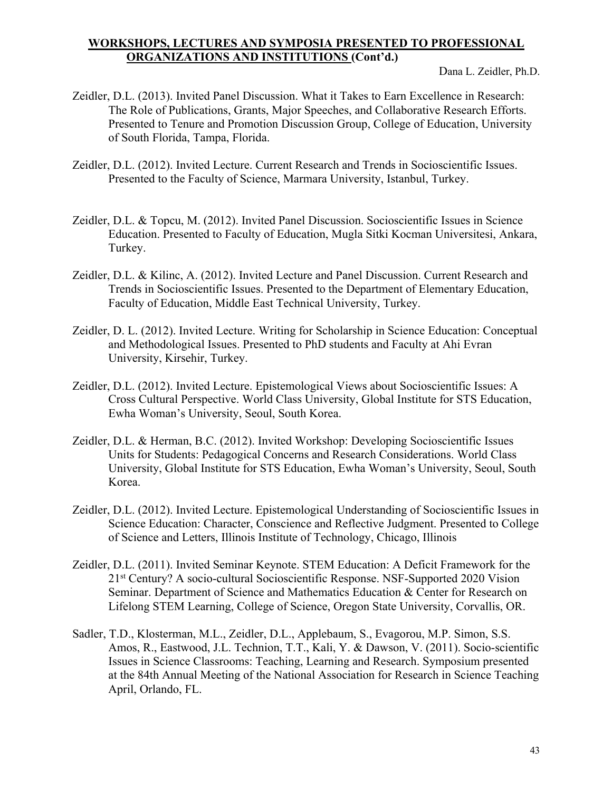- Zeidler, D.L. (2013). Invited Panel Discussion. What it Takes to Earn Excellence in Research: The Role of Publications, Grants, Major Speeches, and Collaborative Research Efforts. Presented to Tenure and Promotion Discussion Group, College of Education, University of South Florida, Tampa, Florida.
- Zeidler, D.L. (2012). Invited Lecture. Current Research and Trends in Socioscientific Issues. Presented to the Faculty of Science, Marmara University, Istanbul, Turkey.
- Zeidler, D.L. & Topcu, M. (2012). Invited Panel Discussion. Socioscientific Issues in Science Education. Presented to Faculty of Education, Mugla Sitki Kocman Universitesi, Ankara, Turkey.
- Zeidler, D.L. & Kilinc, A. (2012). Invited Lecture and Panel Discussion. Current Research and Trends in Socioscientific Issues. Presented to the Department of Elementary Education, Faculty of Education, Middle East Technical University, Turkey.
- Zeidler, D. L. (2012). Invited Lecture. Writing for Scholarship in Science Education: Conceptual and Methodological Issues. Presented to PhD students and Faculty at Ahi Evran University, Kirsehir, Turkey.
- Zeidler, D.L. (2012). Invited Lecture. Epistemological Views about Socioscientific Issues: A Cross Cultural Perspective. World Class University, Global Institute for STS Education, Ewha Woman's University, Seoul, South Korea.
- Zeidler, D.L. & Herman, B.C. (2012). Invited Workshop: Developing Socioscientific Issues Units for Students: Pedagogical Concerns and Research Considerations. World Class University, Global Institute for STS Education, Ewha Woman's University, Seoul, South Korea.
- Zeidler, D.L. (2012). Invited Lecture. Epistemological Understanding of Socioscientific Issues in Science Education: Character, Conscience and Reflective Judgment. Presented to College of Science and Letters, Illinois Institute of Technology, Chicago, Illinois
- Zeidler, D.L. (2011). Invited Seminar Keynote. STEM Education: A Deficit Framework for the 21st Century? A socio-cultural Socioscientific Response. NSF-Supported 2020 Vision Seminar. Department of Science and Mathematics Education & Center for Research on Lifelong STEM Learning, College of Science, Oregon State University, Corvallis, OR.
- Sadler, T.D., Klosterman, M.L., Zeidler, D.L., Applebaum, S., Evagorou, M.P. Simon, S.S. Amos, R., Eastwood, J.L. Technion, T.T., Kali, Y. & Dawson, V. (2011). Socio-scientific Issues in Science Classrooms: Teaching, Learning and Research. Symposium presented at the 84th Annual Meeting of the National Association for Research in Science Teaching April, Orlando, FL.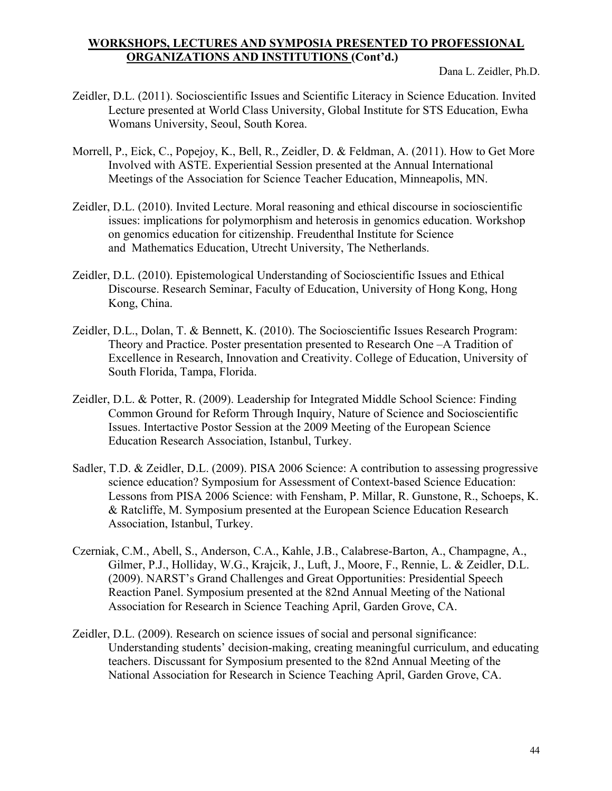- Zeidler, D.L. (2011). Socioscientific Issues and Scientific Literacy in Science Education. Invited Lecture presented at World Class University, Global Institute for STS Education, Ewha Womans University, Seoul, South Korea.
- Morrell, P., Eick, C., Popejoy, K., Bell, R., Zeidler, D. & Feldman, A. (2011). How to Get More Involved with ASTE. Experiential Session presented at the Annual International Meetings of the Association for Science Teacher Education, Minneapolis, MN.
- Zeidler, D.L. (2010). Invited Lecture. Moral reasoning and ethical discourse in socioscientific issues: implications for polymorphism and heterosis in genomics education. Workshop on genomics education for citizenship. Freudenthal Institute for Science and Mathematics Education, Utrecht University, The Netherlands.
- Zeidler, D.L. (2010). Epistemological Understanding of Socioscientific Issues and Ethical Discourse. Research Seminar, Faculty of Education, University of Hong Kong, Hong Kong, China.
- Zeidler, D.L., Dolan, T. & Bennett, K. (2010). The Socioscientific Issues Research Program: Theory and Practice. Poster presentation presented to Research One –A Tradition of Excellence in Research, Innovation and Creativity. College of Education, University of South Florida, Tampa, Florida.
- Zeidler, D.L. & Potter, R. (2009). Leadership for Integrated Middle School Science: Finding Common Ground for Reform Through Inquiry, Nature of Science and Socioscientific Issues. Intertactive Postor Session at the 2009 Meeting of the European Science Education Research Association, Istanbul, Turkey.
- Sadler, T.D. & Zeidler, D.L. (2009). PISA 2006 Science: A contribution to assessing progressive science education? Symposium for Assessment of Context-based Science Education: Lessons from PISA 2006 Science: with Fensham, P. Millar, R. Gunstone, R., Schoeps, K. & Ratcliffe, M. Symposium presented at the European Science Education Research Association, Istanbul, Turkey.
- Czerniak, C.M., Abell, S., Anderson, C.A., Kahle, J.B., Calabrese-Barton, A., Champagne, A., Gilmer, P.J., Holliday, W.G., Krajcik, J., Luft, J., Moore, F., Rennie, L. & Zeidler, D.L. (2009). NARST's Grand Challenges and Great Opportunities: Presidential Speech Reaction Panel. Symposium presented at the 82nd Annual Meeting of the National Association for Research in Science Teaching April, Garden Grove, CA.
- Zeidler, D.L. (2009). Research on science issues of social and personal significance: Understanding students' decision-making, creating meaningful curriculum, and educating teachers. Discussant for Symposium presented to the 82nd Annual Meeting of the National Association for Research in Science Teaching April, Garden Grove, CA.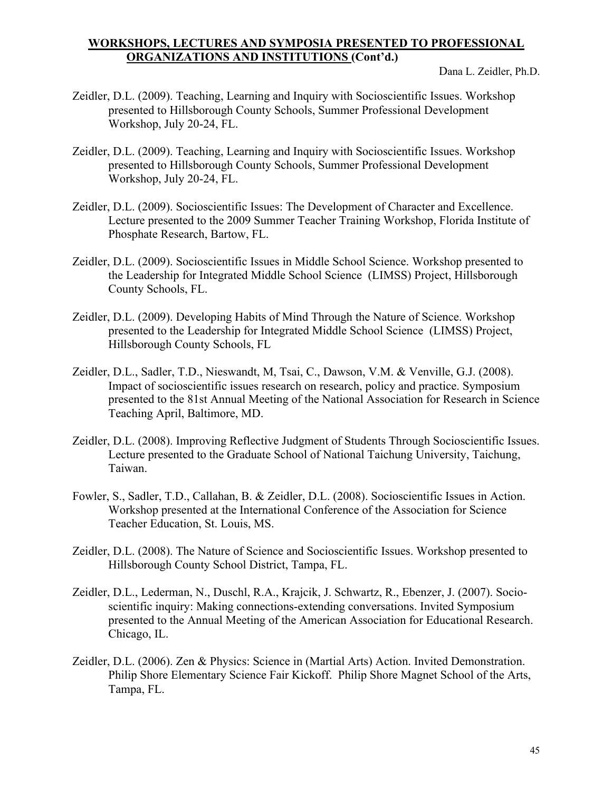- Zeidler, D.L. (2009). Teaching, Learning and Inquiry with Socioscientific Issues. Workshop presented to Hillsborough County Schools, Summer Professional Development Workshop, July 20-24, FL.
- Zeidler, D.L. (2009). Teaching, Learning and Inquiry with Socioscientific Issues. Workshop presented to Hillsborough County Schools, Summer Professional Development Workshop, July 20-24, FL.
- Zeidler, D.L. (2009). Socioscientific Issues: The Development of Character and Excellence. Lecture presented to the 2009 Summer Teacher Training Workshop, Florida Institute of Phosphate Research, Bartow, FL.
- Zeidler, D.L. (2009). Socioscientific Issues in Middle School Science. Workshop presented to the Leadership for Integrated Middle School Science (LIMSS) Project, Hillsborough County Schools, FL.
- Zeidler, D.L. (2009). Developing Habits of Mind Through the Nature of Science. Workshop presented to the Leadership for Integrated Middle School Science (LIMSS) Project, Hillsborough County Schools, FL
- Zeidler, D.L., Sadler, T.D., Nieswandt, M, Tsai, C., Dawson, V.M. & Venville, G.J. (2008). Impact of socioscientific issues research on research, policy and practice. Symposium presented to the 81st Annual Meeting of the National Association for Research in Science Teaching April, Baltimore, MD.
- Zeidler, D.L. (2008). Improving Reflective Judgment of Students Through Socioscientific Issues. Lecture presented to the Graduate School of National Taichung University, Taichung, Taiwan.
- Fowler, S., Sadler, T.D., Callahan, B. & Zeidler, D.L. (2008). Socioscientific Issues in Action. Workshop presented at the International Conference of the Association for Science Teacher Education, St. Louis, MS.
- Zeidler, D.L. (2008). The Nature of Science and Socioscientific Issues. Workshop presented to Hillsborough County School District, Tampa, FL.
- Zeidler, D.L., Lederman, N., Duschl, R.A., Krajcik, J. Schwartz, R., Ebenzer, J. (2007). Socioscientific inquiry: Making connections-extending conversations. Invited Symposium presented to the Annual Meeting of the American Association for Educational Research. Chicago, IL.
- Zeidler, D.L. (2006). Zen & Physics: Science in (Martial Arts) Action. Invited Demonstration. Philip Shore Elementary Science Fair Kickoff. Philip Shore Magnet School of the Arts, Tampa, FL.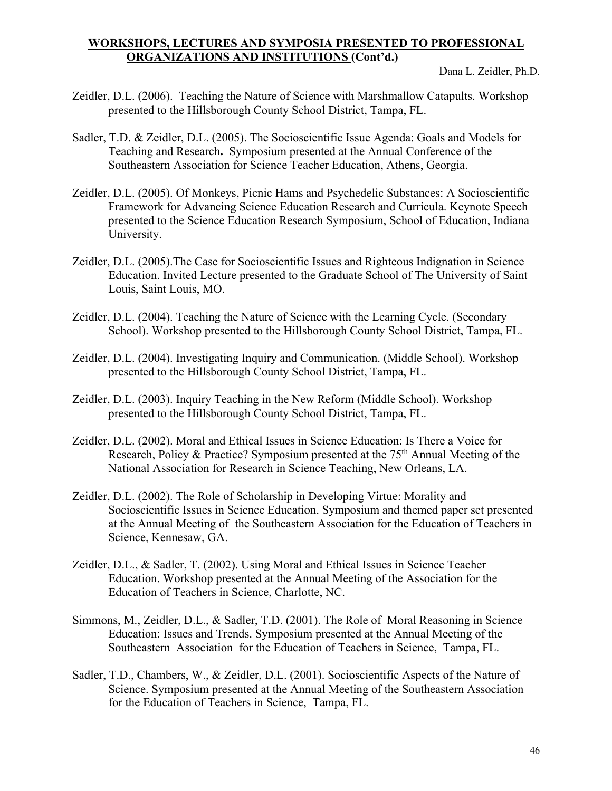- Zeidler, D.L. (2006). Teaching the Nature of Science with Marshmallow Catapults. Workshop presented to the Hillsborough County School District, Tampa, FL.
- Sadler, T.D. & Zeidler, D.L. (2005). The Socioscientific Issue Agenda: Goals and Models for Teaching and Research**.** Symposium presented at the Annual Conference of the Southeastern Association for Science Teacher Education, Athens, Georgia.
- Zeidler, D.L. (2005). Of Monkeys, Picnic Hams and Psychedelic Substances: A Socioscientific Framework for Advancing Science Education Research and Curricula. Keynote Speech presented to the Science Education Research Symposium, School of Education, Indiana University.
- Zeidler, D.L. (2005).The Case for Socioscientific Issues and Righteous Indignation in Science Education. Invited Lecture presented to the Graduate School of The University of Saint Louis, Saint Louis, MO.
- Zeidler, D.L. (2004). Teaching the Nature of Science with the Learning Cycle. (Secondary School). Workshop presented to the Hillsborough County School District, Tampa, FL.
- Zeidler, D.L. (2004). Investigating Inquiry and Communication. (Middle School). Workshop presented to the Hillsborough County School District, Tampa, FL.
- Zeidler, D.L. (2003). Inquiry Teaching in the New Reform (Middle School). Workshop presented to the Hillsborough County School District, Tampa, FL.
- Zeidler, D.L. (2002). Moral and Ethical Issues in Science Education: Is There a Voice for Research, Policy & Practice? Symposium presented at the 75<sup>th</sup> Annual Meeting of the National Association for Research in Science Teaching, New Orleans, LA.
- Zeidler, D.L. (2002). The Role of Scholarship in Developing Virtue: Morality and Socioscientific Issues in Science Education. Symposium and themed paper set presented at the Annual Meeting of the Southeastern Association for the Education of Teachers in Science, Kennesaw, GA.
- Zeidler, D.L., & Sadler, T. (2002). Using Moral and Ethical Issues in Science Teacher Education. Workshop presented at the Annual Meeting of the Association for the Education of Teachers in Science, Charlotte, NC.
- Simmons, M., Zeidler, D.L., & Sadler, T.D. (2001). The Role of Moral Reasoning in Science Education: Issues and Trends. Symposium presented at the Annual Meeting of the Southeastern Association for the Education of Teachers in Science, Tampa, FL.
- Sadler, T.D., Chambers, W., & Zeidler, D.L. (2001). Socioscientific Aspects of the Nature of Science. Symposium presented at the Annual Meeting of the Southeastern Association for the Education of Teachers in Science, Tampa, FL.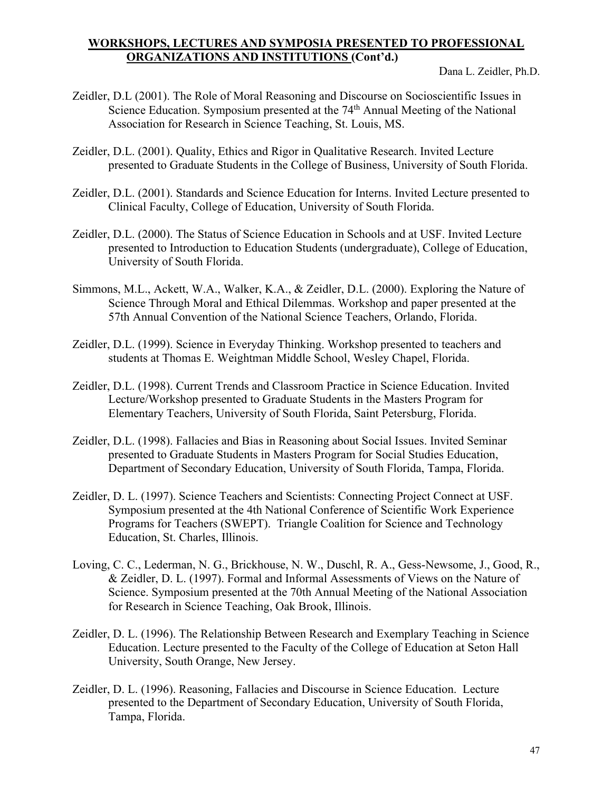- Zeidler, D.L (2001). The Role of Moral Reasoning and Discourse on Socioscientific Issues in Science Education. Symposium presented at the 74<sup>th</sup> Annual Meeting of the National Association for Research in Science Teaching, St. Louis, MS.
- Zeidler, D.L. (2001). Quality, Ethics and Rigor in Qualitative Research. Invited Lecture presented to Graduate Students in the College of Business, University of South Florida.
- Zeidler, D.L. (2001). Standards and Science Education for Interns. Invited Lecture presented to Clinical Faculty, College of Education, University of South Florida.
- Zeidler, D.L. (2000). The Status of Science Education in Schools and at USF. Invited Lecture presented to Introduction to Education Students (undergraduate), College of Education, University of South Florida.
- Simmons, M.L., Ackett, W.A., Walker, K.A., & Zeidler, D.L. (2000). Exploring the Nature of Science Through Moral and Ethical Dilemmas. Workshop and paper presented at the 57th Annual Convention of the National Science Teachers, Orlando, Florida.
- Zeidler, D.L. (1999). Science in Everyday Thinking. Workshop presented to teachers and students at Thomas E. Weightman Middle School, Wesley Chapel, Florida.
- Zeidler, D.L. (1998). Current Trends and Classroom Practice in Science Education. Invited Lecture/Workshop presented to Graduate Students in the Masters Program for Elementary Teachers, University of South Florida, Saint Petersburg, Florida.
- Zeidler, D.L. (1998). Fallacies and Bias in Reasoning about Social Issues. Invited Seminar presented to Graduate Students in Masters Program for Social Studies Education, Department of Secondary Education, University of South Florida, Tampa, Florida.
- Zeidler, D. L. (1997). Science Teachers and Scientists: Connecting Project Connect at USF. Symposium presented at the 4th National Conference of Scientific Work Experience Programs for Teachers (SWEPT). Triangle Coalition for Science and Technology Education, St. Charles, Illinois.
- Loving, C. C., Lederman, N. G., Brickhouse, N. W., Duschl, R. A., Gess-Newsome, J., Good, R., & Zeidler, D. L. (1997). Formal and Informal Assessments of Views on the Nature of Science. Symposium presented at the 70th Annual Meeting of the National Association for Research in Science Teaching, Oak Brook, Illinois.
- Zeidler, D. L. (1996). The Relationship Between Research and Exemplary Teaching in Science Education. Lecture presented to the Faculty of the College of Education at Seton Hall University, South Orange, New Jersey.
- Zeidler, D. L. (1996). Reasoning, Fallacies and Discourse in Science Education. Lecture presented to the Department of Secondary Education, University of South Florida, Tampa, Florida.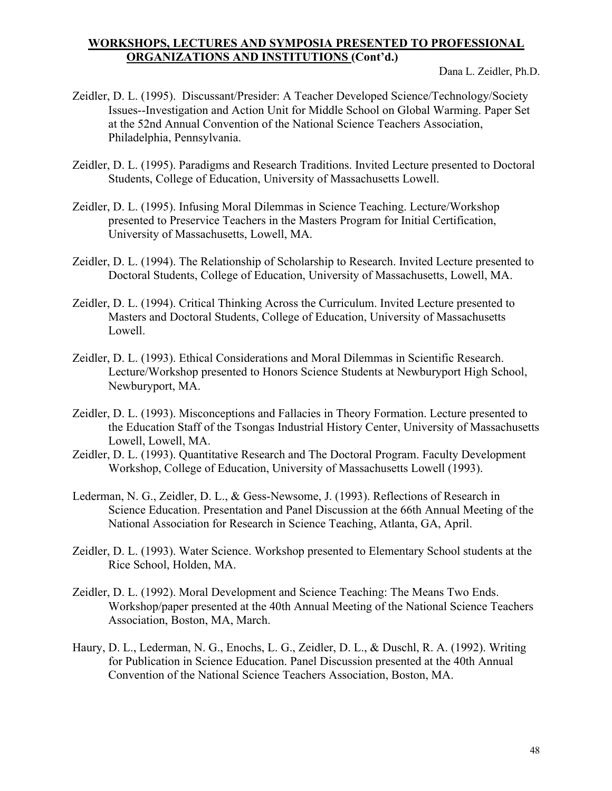- Zeidler, D. L. (1995). Discussant/Presider: A Teacher Developed Science/Technology/Society Issues--Investigation and Action Unit for Middle School on Global Warming. Paper Set at the 52nd Annual Convention of the National Science Teachers Association, Philadelphia, Pennsylvania.
- Zeidler, D. L. (1995). Paradigms and Research Traditions. Invited Lecture presented to Doctoral Students, College of Education, University of Massachusetts Lowell.
- Zeidler, D. L. (1995). Infusing Moral Dilemmas in Science Teaching. Lecture/Workshop presented to Preservice Teachers in the Masters Program for Initial Certification, University of Massachusetts, Lowell, MA.
- Zeidler, D. L. (1994). The Relationship of Scholarship to Research. Invited Lecture presented to Doctoral Students, College of Education, University of Massachusetts, Lowell, MA.
- Zeidler, D. L. (1994). Critical Thinking Across the Curriculum. Invited Lecture presented to Masters and Doctoral Students, College of Education, University of Massachusetts Lowell.
- Zeidler, D. L. (1993). Ethical Considerations and Moral Dilemmas in Scientific Research. Lecture/Workshop presented to Honors Science Students at Newburyport High School, Newburyport, MA.
- Zeidler, D. L. (1993). Misconceptions and Fallacies in Theory Formation. Lecture presented to the Education Staff of the Tsongas Industrial History Center, University of Massachusetts Lowell, Lowell, MA.
- Zeidler, D. L. (1993). Quantitative Research and The Doctoral Program. Faculty Development Workshop, College of Education, University of Massachusetts Lowell (1993).
- Lederman, N. G., Zeidler, D. L., & Gess-Newsome, J. (1993). Reflections of Research in Science Education. Presentation and Panel Discussion at the 66th Annual Meeting of the National Association for Research in Science Teaching, Atlanta, GA, April.
- Zeidler, D. L. (1993). Water Science. Workshop presented to Elementary School students at the Rice School, Holden, MA.
- Zeidler, D. L. (1992). Moral Development and Science Teaching: The Means Two Ends. Workshop/paper presented at the 40th Annual Meeting of the National Science Teachers Association, Boston, MA, March.
- Haury, D. L., Lederman, N. G., Enochs, L. G., Zeidler, D. L., & Duschl, R. A. (1992). Writing for Publication in Science Education. Panel Discussion presented at the 40th Annual Convention of the National Science Teachers Association, Boston, MA.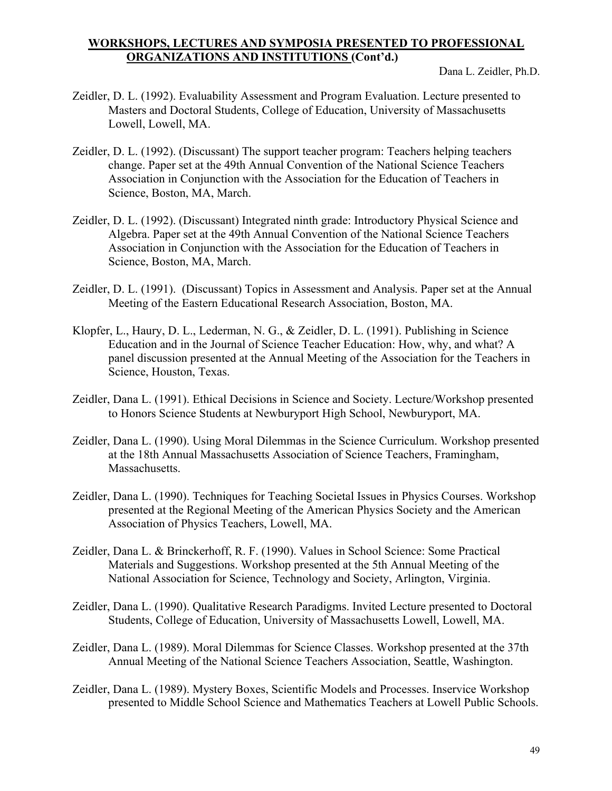- Zeidler, D. L. (1992). Evaluability Assessment and Program Evaluation. Lecture presented to Masters and Doctoral Students, College of Education, University of Massachusetts Lowell, Lowell, MA.
- Zeidler, D. L. (1992). (Discussant) The support teacher program: Teachers helping teachers change. Paper set at the 49th Annual Convention of the National Science Teachers Association in Conjunction with the Association for the Education of Teachers in Science, Boston, MA, March.
- Zeidler, D. L. (1992). (Discussant) Integrated ninth grade: Introductory Physical Science and Algebra. Paper set at the 49th Annual Convention of the National Science Teachers Association in Conjunction with the Association for the Education of Teachers in Science, Boston, MA, March.
- Zeidler, D. L. (1991). (Discussant) Topics in Assessment and Analysis. Paper set at the Annual Meeting of the Eastern Educational Research Association, Boston, MA.
- Klopfer, L., Haury, D. L., Lederman, N. G., & Zeidler, D. L. (1991). Publishing in Science Education and in the Journal of Science Teacher Education: How, why, and what? A panel discussion presented at the Annual Meeting of the Association for the Teachers in Science, Houston, Texas.
- Zeidler, Dana L. (1991). Ethical Decisions in Science and Society. Lecture/Workshop presented to Honors Science Students at Newburyport High School, Newburyport, MA.
- Zeidler, Dana L. (1990). Using Moral Dilemmas in the Science Curriculum. Workshop presented at the 18th Annual Massachusetts Association of Science Teachers, Framingham, Massachusetts.
- Zeidler, Dana L. (1990). Techniques for Teaching Societal Issues in Physics Courses. Workshop presented at the Regional Meeting of the American Physics Society and the American Association of Physics Teachers, Lowell, MA.
- Zeidler, Dana L. & Brinckerhoff, R. F. (1990). Values in School Science: Some Practical Materials and Suggestions. Workshop presented at the 5th Annual Meeting of the National Association for Science, Technology and Society, Arlington, Virginia.
- Zeidler, Dana L. (1990). Qualitative Research Paradigms. Invited Lecture presented to Doctoral Students, College of Education, University of Massachusetts Lowell, Lowell, MA.
- Zeidler, Dana L. (1989). Moral Dilemmas for Science Classes. Workshop presented at the 37th Annual Meeting of the National Science Teachers Association, Seattle, Washington.
- Zeidler, Dana L. (1989). Mystery Boxes, Scientific Models and Processes. Inservice Workshop presented to Middle School Science and Mathematics Teachers at Lowell Public Schools.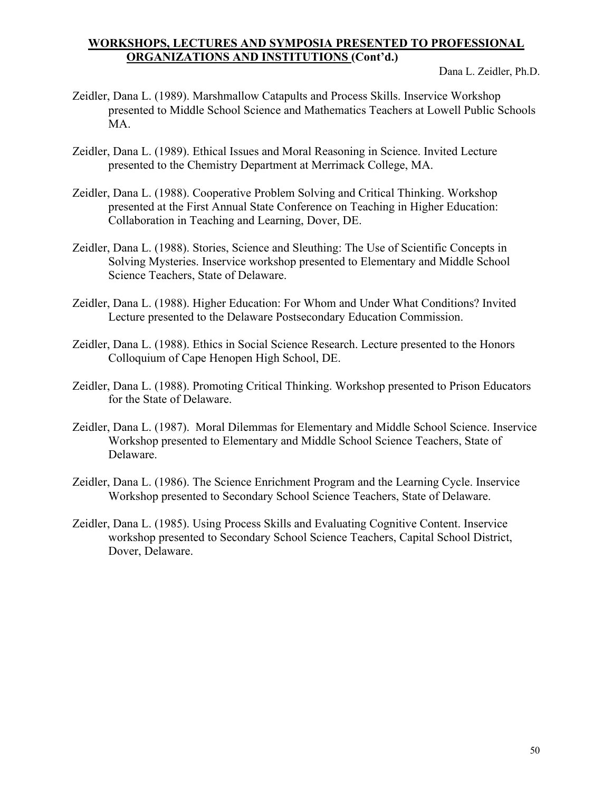- Zeidler, Dana L. (1989). Marshmallow Catapults and Process Skills. Inservice Workshop presented to Middle School Science and Mathematics Teachers at Lowell Public Schools MA.
- Zeidler, Dana L. (1989). Ethical Issues and Moral Reasoning in Science. Invited Lecture presented to the Chemistry Department at Merrimack College, MA.
- Zeidler, Dana L. (1988). Cooperative Problem Solving and Critical Thinking. Workshop presented at the First Annual State Conference on Teaching in Higher Education: Collaboration in Teaching and Learning, Dover, DE.
- Zeidler, Dana L. (1988). Stories, Science and Sleuthing: The Use of Scientific Concepts in Solving Mysteries. Inservice workshop presented to Elementary and Middle School Science Teachers, State of Delaware.
- Zeidler, Dana L. (1988). Higher Education: For Whom and Under What Conditions? Invited Lecture presented to the Delaware Postsecondary Education Commission.
- Zeidler, Dana L. (1988). Ethics in Social Science Research. Lecture presented to the Honors Colloquium of Cape Henopen High School, DE.
- Zeidler, Dana L. (1988). Promoting Critical Thinking. Workshop presented to Prison Educators for the State of Delaware.
- Zeidler, Dana L. (1987). Moral Dilemmas for Elementary and Middle School Science. Inservice Workshop presented to Elementary and Middle School Science Teachers, State of Delaware.
- Zeidler, Dana L. (1986). The Science Enrichment Program and the Learning Cycle. Inservice Workshop presented to Secondary School Science Teachers, State of Delaware.
- Zeidler, Dana L. (1985). Using Process Skills and Evaluating Cognitive Content. Inservice workshop presented to Secondary School Science Teachers, Capital School District, Dover, Delaware.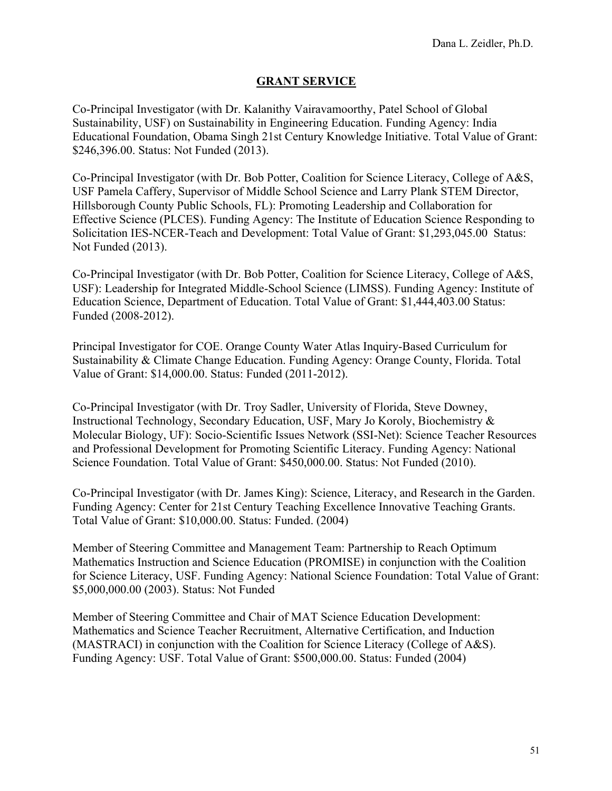## **GRANT SERVICE**

Co-Principal Investigator (with Dr. Kalanithy Vairavamoorthy, Patel School of Global Sustainability, USF) on Sustainability in Engineering Education. Funding Agency: India Educational Foundation, Obama Singh 21st Century Knowledge Initiative. Total Value of Grant: \$246,396.00. Status: Not Funded (2013).

Co-Principal Investigator (with Dr. Bob Potter, Coalition for Science Literacy, College of A&S, USF Pamela Caffery, Supervisor of Middle School Science and Larry Plank STEM Director, Hillsborough County Public Schools, FL): Promoting Leadership and Collaboration for Effective Science (PLCES). Funding Agency: The Institute of Education Science Responding to Solicitation IES-NCER-Teach and Development: Total Value of Grant: \$1,293,045.00 Status: Not Funded (2013).

Co-Principal Investigator (with Dr. Bob Potter, Coalition for Science Literacy, College of A&S, USF): Leadership for Integrated Middle-School Science (LIMSS). Funding Agency: Institute of Education Science, Department of Education. Total Value of Grant: \$1,444,403.00 Status: Funded (2008-2012).

Principal Investigator for COE. Orange County Water Atlas Inquiry-Based Curriculum for Sustainability & Climate Change Education. Funding Agency: Orange County, Florida. Total Value of Grant: \$14,000.00. Status: Funded (2011-2012).

Co-Principal Investigator (with Dr. Troy Sadler, University of Florida, Steve Downey, Instructional Technology, Secondary Education, USF, Mary Jo Koroly, Biochemistry & Molecular Biology, UF): Socio-Scientific Issues Network (SSI-Net): Science Teacher Resources and Professional Development for Promoting Scientific Literacy. Funding Agency: National Science Foundation. Total Value of Grant: \$450,000.00. Status: Not Funded (2010).

Co-Principal Investigator (with Dr. James King): Science, Literacy, and Research in the Garden. Funding Agency: Center for 21st Century Teaching Excellence Innovative Teaching Grants. Total Value of Grant: \$10,000.00. Status: Funded. (2004)

Member of Steering Committee and Management Team: Partnership to Reach Optimum Mathematics Instruction and Science Education (PROMISE) in conjunction with the Coalition for Science Literacy, USF. Funding Agency: National Science Foundation: Total Value of Grant: \$5,000,000.00 (2003). Status: Not Funded

Member of Steering Committee and Chair of MAT Science Education Development: Mathematics and Science Teacher Recruitment, Alternative Certification, and Induction (MASTRACI) in conjunction with the Coalition for Science Literacy (College of A&S). Funding Agency: USF. Total Value of Grant: \$500,000.00. Status: Funded (2004)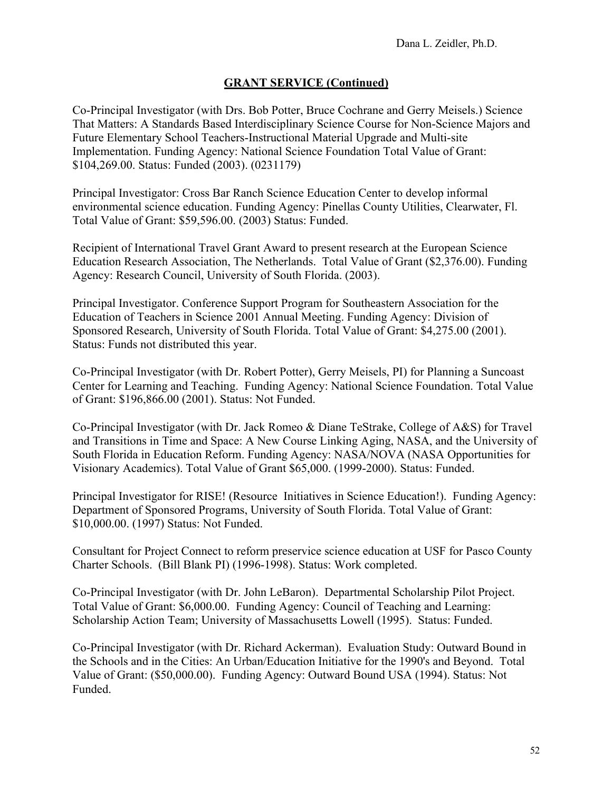### **GRANT SERVICE (Continued)**

Co-Principal Investigator (with Drs. Bob Potter, Bruce Cochrane and Gerry Meisels.) Science That Matters: A Standards Based Interdisciplinary Science Course for Non-Science Majors and Future Elementary School Teachers-Instructional Material Upgrade and Multi-site Implementation. Funding Agency: National Science Foundation Total Value of Grant: \$104,269.00. Status: Funded (2003). (0231179)

Principal Investigator: Cross Bar Ranch Science Education Center to develop informal environmental science education. Funding Agency: Pinellas County Utilities, Clearwater, Fl. Total Value of Grant: \$59,596.00. (2003) Status: Funded.

Recipient of International Travel Grant Award to present research at the European Science Education Research Association, The Netherlands. Total Value of Grant (\$2,376.00). Funding Agency: Research Council, University of South Florida. (2003).

Principal Investigator. Conference Support Program for Southeastern Association for the Education of Teachers in Science 2001 Annual Meeting. Funding Agency: Division of Sponsored Research, University of South Florida. Total Value of Grant: \$4,275.00 (2001). Status: Funds not distributed this year.

Co-Principal Investigator (with Dr. Robert Potter), Gerry Meisels, PI) for Planning a Suncoast Center for Learning and Teaching. Funding Agency: National Science Foundation. Total Value of Grant: \$196,866.00 (2001). Status: Not Funded.

Co-Principal Investigator (with Dr. Jack Romeo & Diane TeStrake, College of A&S) for Travel and Transitions in Time and Space: A New Course Linking Aging, NASA, and the University of South Florida in Education Reform. Funding Agency: NASA/NOVA (NASA Opportunities for Visionary Academics). Total Value of Grant \$65,000. (1999-2000). Status: Funded.

Principal Investigator for RISE! (Resource Initiatives in Science Education!). Funding Agency: Department of Sponsored Programs, University of South Florida. Total Value of Grant: \$10,000.00. (1997) Status: Not Funded.

Consultant for Project Connect to reform preservice science education at USF for Pasco County Charter Schools. (Bill Blank PI) (1996-1998). Status: Work completed.

Co-Principal Investigator (with Dr. John LeBaron). Departmental Scholarship Pilot Project. Total Value of Grant: \$6,000.00. Funding Agency: Council of Teaching and Learning: Scholarship Action Team; University of Massachusetts Lowell (1995). Status: Funded.

Co-Principal Investigator (with Dr. Richard Ackerman). Evaluation Study: Outward Bound in the Schools and in the Cities: An Urban/Education Initiative for the 1990's and Beyond. Total Value of Grant: (\$50,000.00). Funding Agency: Outward Bound USA (1994). Status: Not Funded.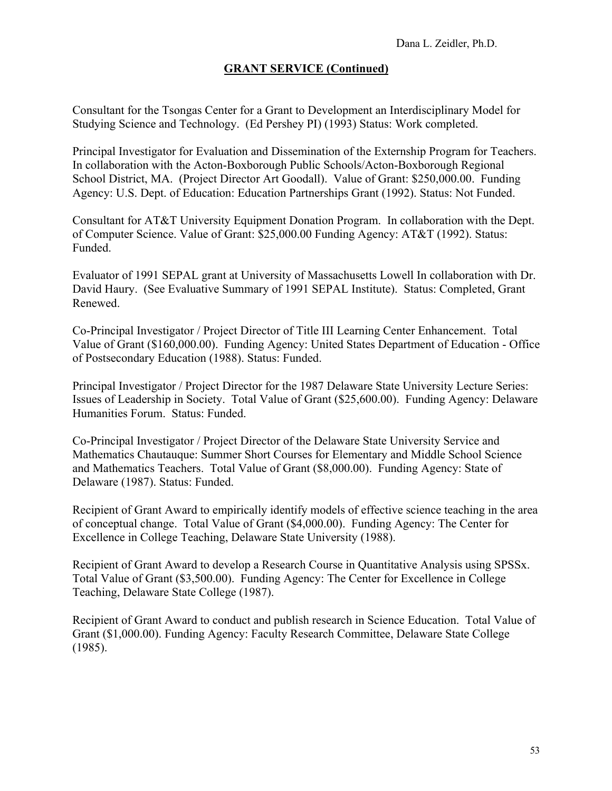## **GRANT SERVICE (Continued)**

Consultant for the Tsongas Center for a Grant to Development an Interdisciplinary Model for Studying Science and Technology. (Ed Pershey PI) (1993) Status: Work completed.

Principal Investigator for Evaluation and Dissemination of the Externship Program for Teachers. In collaboration with the Acton-Boxborough Public Schools/Acton-Boxborough Regional School District, MA. (Project Director Art Goodall). Value of Grant: \$250,000.00. Funding Agency: U.S. Dept. of Education: Education Partnerships Grant (1992). Status: Not Funded.

Consultant for AT&T University Equipment Donation Program. In collaboration with the Dept. of Computer Science. Value of Grant: \$25,000.00 Funding Agency: AT&T (1992). Status: Funded.

Evaluator of 1991 SEPAL grant at University of Massachusetts Lowell In collaboration with Dr. David Haury. (See Evaluative Summary of 1991 SEPAL Institute). Status: Completed, Grant Renewed.

Co-Principal Investigator / Project Director of Title III Learning Center Enhancement. Total Value of Grant (\$160,000.00). Funding Agency: United States Department of Education - Office of Postsecondary Education (1988). Status: Funded.

Principal Investigator / Project Director for the 1987 Delaware State University Lecture Series: Issues of Leadership in Society. Total Value of Grant (\$25,600.00). Funding Agency: Delaware Humanities Forum. Status: Funded.

Co-Principal Investigator / Project Director of the Delaware State University Service and Mathematics Chautauque: Summer Short Courses for Elementary and Middle School Science and Mathematics Teachers. Total Value of Grant (\$8,000.00). Funding Agency: State of Delaware (1987). Status: Funded.

Recipient of Grant Award to empirically identify models of effective science teaching in the area of conceptual change. Total Value of Grant (\$4,000.00). Funding Agency: The Center for Excellence in College Teaching, Delaware State University (1988).

Recipient of Grant Award to develop a Research Course in Quantitative Analysis using SPSSx. Total Value of Grant (\$3,500.00). Funding Agency: The Center for Excellence in College Teaching, Delaware State College (1987).

Recipient of Grant Award to conduct and publish research in Science Education. Total Value of Grant (\$1,000.00). Funding Agency: Faculty Research Committee, Delaware State College (1985).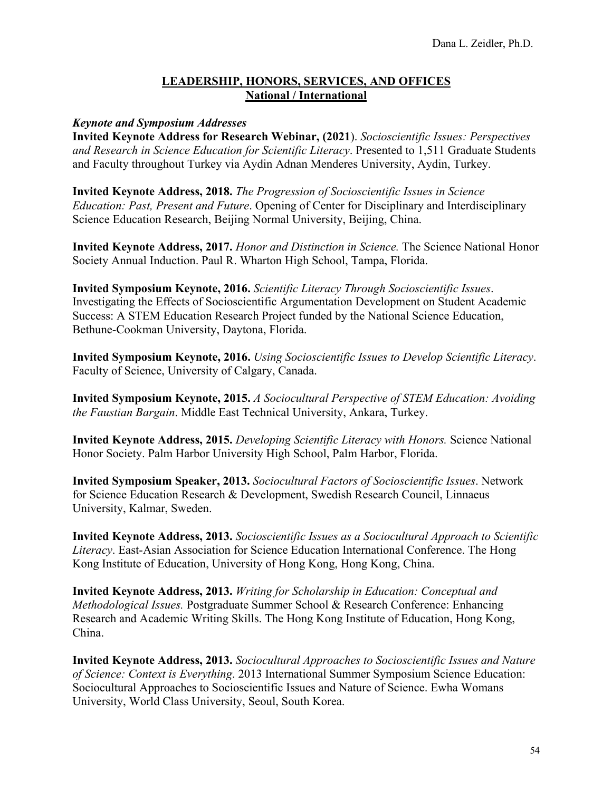#### **LEADERSHIP, HONORS, SERVICES, AND OFFICES National / International**

#### *Keynote and Symposium Addresses*

**Invited Keynote Address for Research Webinar, (2021**). *Socioscientific Issues: Perspectives and Research in Science Education for Scientific Literacy*. Presented to 1,511 Graduate Students and Faculty throughout Turkey via Aydin Adnan Menderes University, Aydin, Turkey.

**Invited Keynote Address, 2018.** *The Progression of Socioscientific Issues in Science Education: Past, Present and Future*. Opening of Center for Disciplinary and Interdisciplinary Science Education Research, Beijing Normal University, Beijing, China.

**Invited Keynote Address, 2017.** *Honor and Distinction in Science.* The Science National Honor Society Annual Induction. Paul R. Wharton High School, Tampa, Florida.

**Invited Symposium Keynote, 2016.** *Scientific Literacy Through Socioscientific Issues*. Investigating the Effects of Socioscientific Argumentation Development on Student Academic Success: A STEM Education Research Project funded by the National Science Education, Bethune-Cookman University, Daytona, Florida.

**Invited Symposium Keynote, 2016.** *Using Socioscientific Issues to Develop Scientific Literacy*. Faculty of Science, University of Calgary, Canada.

**Invited Symposium Keynote, 2015.** *A Sociocultural Perspective of STEM Education: Avoiding the Faustian Bargain*. Middle East Technical University, Ankara, Turkey.

**Invited Keynote Address, 2015.** *Developing Scientific Literacy with Honors.* Science National Honor Society. Palm Harbor University High School, Palm Harbor, Florida.

**Invited Symposium Speaker, 2013.** *Sociocultural Factors of Socioscientific Issues*. Network for Science Education Research & Development, Swedish Research Council, Linnaeus University, Kalmar, Sweden.

**Invited Keynote Address, 2013.** *Socioscientific Issues as a Sociocultural Approach to Scientific Literacy*. East-Asian Association for Science Education International Conference. The Hong Kong Institute of Education, University of Hong Kong, Hong Kong, China.

**Invited Keynote Address, 2013.** *Writing for Scholarship in Education: Conceptual and Methodological Issues.* Postgraduate Summer School & Research Conference: Enhancing Research and Academic Writing Skills. The Hong Kong Institute of Education, Hong Kong, China.

**Invited Keynote Address, 2013.** *Sociocultural Approaches to Socioscientific Issues and Nature of Science: Context is Everything*. 2013 International Summer Symposium Science Education: Sociocultural Approaches to Socioscientific Issues and Nature of Science. Ewha Womans University, World Class University, Seoul, South Korea.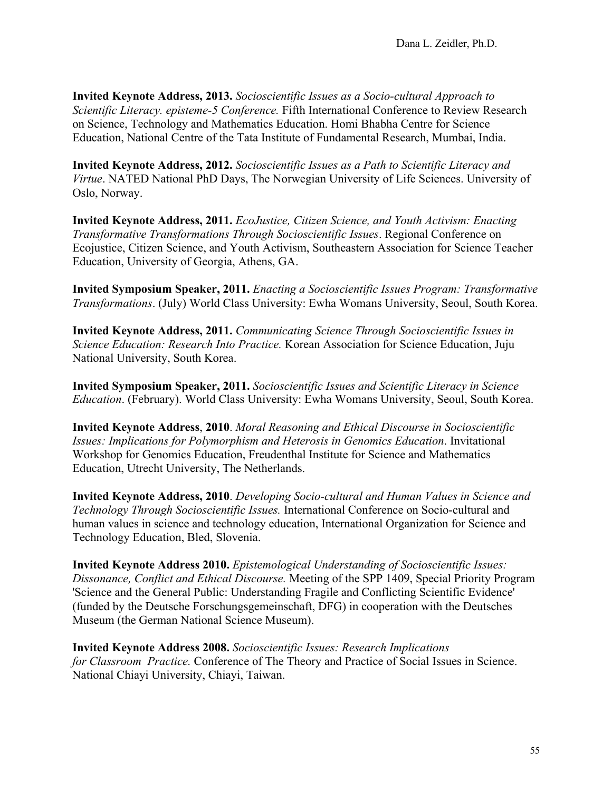**Invited Keynote Address, 2013.** *Socioscientific Issues as a Socio-cultural Approach to Scientific Literacy. episteme-5 Conference.* Fifth International Conference to Review Research on Science, Technology and Mathematics Education. Homi Bhabha Centre for Science Education, National Centre of the Tata Institute of Fundamental Research, Mumbai, India.

**Invited Keynote Address, 2012.** *Socioscientific Issues as a Path to Scientific Literacy and Virtue*. NATED National PhD Days, The Norwegian University of Life Sciences. University of Oslo, Norway.

**Invited Keynote Address, 2011.** *EcoJustice, Citizen Science, and Youth Activism: Enacting Transformative Transformations Through Socioscientific Issues*. Regional Conference on Ecojustice, Citizen Science, and Youth Activism, Southeastern Association for Science Teacher Education, University of Georgia, Athens, GA.

**Invited Symposium Speaker, 2011.** *Enacting a Socioscientific Issues Program: Transformative Transformations*. (July) World Class University: Ewha Womans University, Seoul, South Korea.

**Invited Keynote Address, 2011.** *Communicating Science Through Socioscientific Issues in Science Education: Research Into Practice.* Korean Association for Science Education, Juju National University, South Korea.

**Invited Symposium Speaker, 2011.** *Socioscientific Issues and Scientific Literacy in Science Education*. (February). World Class University: Ewha Womans University, Seoul, South Korea.

**Invited Keynote Address**, **2010**. *Moral Reasoning and Ethical Discourse in Socioscientific Issues: Implications for Polymorphism and Heterosis in Genomics Education*. Invitational Workshop for Genomics Education, Freudenthal Institute for Science and Mathematics Education, Utrecht University, The Netherlands.

**Invited Keynote Address, 2010**. *Developing Socio-cultural and Human Values in Science and Technology Through Socioscientific Issues.* International Conference on Socio-cultural and human values in science and technology education, International Organization for Science and Technology Education, Bled, Slovenia.

**Invited Keynote Address 2010.** *Epistemological Understanding of Socioscientific Issues: Dissonance, Conflict and Ethical Discourse.* Meeting of the SPP 1409, Special Priority Program 'Science and the General Public: Understanding Fragile and Conflicting Scientific Evidence' (funded by the Deutsche Forschungsgemeinschaft, DFG) in cooperation with the Deutsches Museum (the German National Science Museum).

**Invited Keynote Address 2008.** *Socioscientific Issues: Research Implications for Classroom Practice.* Conference of The Theory and Practice of Social Issues in Science. National Chiayi University, Chiayi, Taiwan.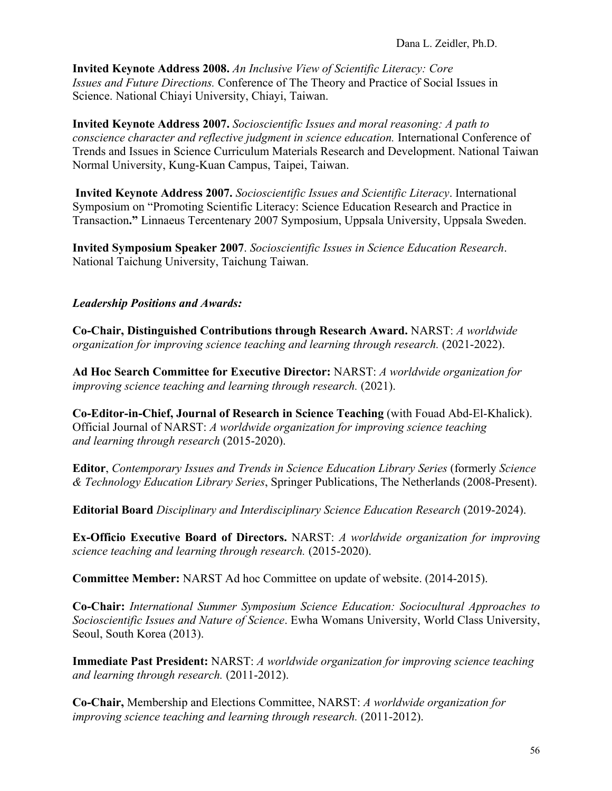**Invited Keynote Address 2008.** *An Inclusive View of Scientific Literacy: Core Issues and Future Directions.* Conference of The Theory and Practice of Social Issues in Science. National Chiayi University, Chiayi, Taiwan.

**Invited Keynote Address 2007.** *Socioscientific Issues and moral reasoning: A path to conscience character and reflective judgment in science education.* International Conference of Trends and Issues in Science Curriculum Materials Research and Development. National Taiwan Normal University, Kung-Kuan Campus, Taipei, Taiwan.

**Invited Keynote Address 2007.** *Socioscientific Issues and Scientific Literacy*. International Symposium on "Promoting Scientific Literacy: Science Education Research and Practice in Transaction**."** Linnaeus Tercentenary 2007 Symposium, Uppsala University, Uppsala Sweden.

**Invited Symposium Speaker 2007**. *Socioscientific Issues in Science Education Research*. National Taichung University, Taichung Taiwan.

#### *Leadership Positions and Awards:*

**Co-Chair, Distinguished Contributions through Research Award.** NARST: *A worldwide organization for improving science teaching and learning through research.* (2021-2022).

**Ad Hoc Search Committee for Executive Director:** NARST: *A worldwide organization for improving science teaching and learning through research.* (2021).

**Co-Editor-in-Chief, Journal of Research in Science Teaching** (with Fouad Abd-El-Khalick). Official Journal of NARST: *A worldwide organization for improving science teaching and learning through research* (2015-2020).

**Editor**, *Contemporary Issues and Trends in Science Education Library Series* (formerly *Science & Technology Education Library Series*, Springer Publications, The Netherlands (2008-Present).

**Editorial Board** *Disciplinary and Interdisciplinary Science Education Research* (2019-2024).

**Ex-Officio Executive Board of Directors.** NARST: *A worldwide organization for improving science teaching and learning through research.* (2015-2020).

**Committee Member:** NARST Ad hoc Committee on update of website. (2014-2015).

**Co-Chair:** *International Summer Symposium Science Education: Sociocultural Approaches to Socioscientific Issues and Nature of Science*. Ewha Womans University, World Class University, Seoul, South Korea (2013).

**Immediate Past President:** NARST: *A worldwide organization for improving science teaching and learning through research.* (2011-2012).

**Co-Chair,** Membership and Elections Committee, NARST: *A worldwide organization for improving science teaching and learning through research.* (2011-2012).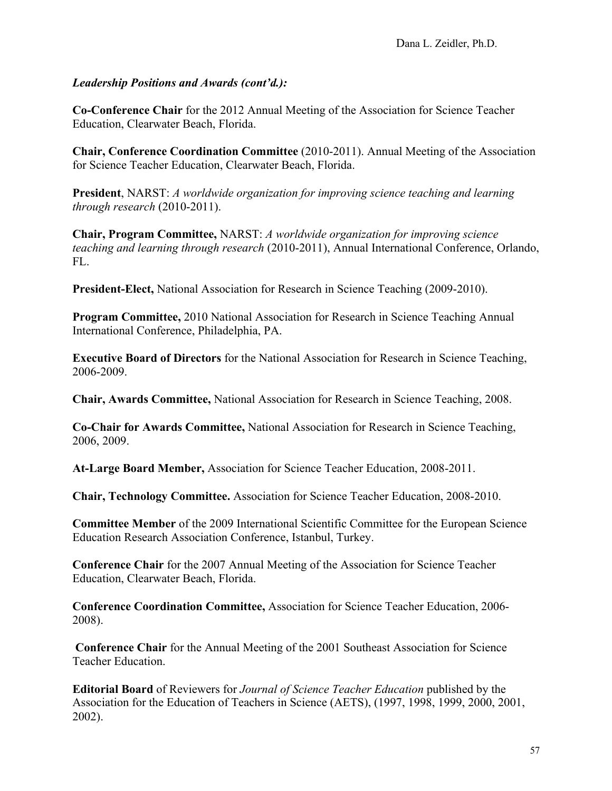**Co-Conference Chair** for the 2012 Annual Meeting of the Association for Science Teacher Education, Clearwater Beach, Florida.

**Chair, Conference Coordination Committee** (2010-2011). Annual Meeting of the Association for Science Teacher Education, Clearwater Beach, Florida.

**President**, NARST: *A worldwide organization for improving science teaching and learning through research* (2010-2011).

**Chair, Program Committee,** NARST: *A worldwide organization for improving science teaching and learning through research* (2010-2011), Annual International Conference, Orlando, FL.

**President-Elect,** National Association for Research in Science Teaching (2009-2010).

**Program Committee,** 2010 National Association for Research in Science Teaching Annual International Conference, Philadelphia, PA.

**Executive Board of Directors** for the National Association for Research in Science Teaching, 2006-2009.

**Chair, Awards Committee,** National Association for Research in Science Teaching, 2008.

**Co-Chair for Awards Committee,** National Association for Research in Science Teaching, 2006, 2009.

**At-Large Board Member,** Association for Science Teacher Education, 2008-2011.

**Chair, Technology Committee.** Association for Science Teacher Education, 2008-2010.

**Committee Member** of the 2009 International Scientific Committee for the European Science Education Research Association Conference, Istanbul, Turkey.

**Conference Chair** for the 2007 Annual Meeting of the Association for Science Teacher Education, Clearwater Beach, Florida.

**Conference Coordination Committee,** Association for Science Teacher Education, 2006- 2008).

**Conference Chair** for the Annual Meeting of the 2001 Southeast Association for Science Teacher Education.

**Editorial Board** of Reviewers for *Journal of Science Teacher Education* published by the Association for the Education of Teachers in Science (AETS), (1997, 1998, 1999, 2000, 2001, 2002).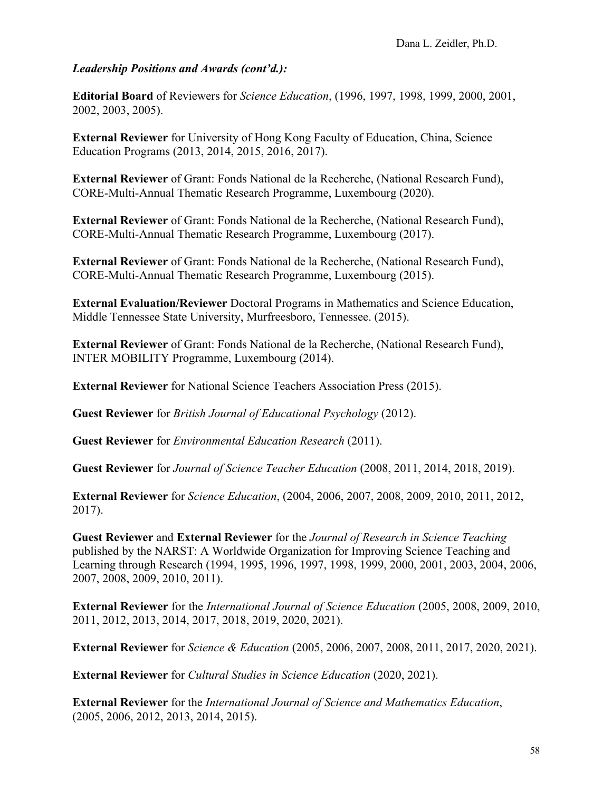**Editorial Board** of Reviewers for *Science Education*, (1996, 1997, 1998, 1999, 2000, 2001, 2002, 2003, 2005).

**External Reviewer** for University of Hong Kong Faculty of Education, China, Science Education Programs (2013, 2014, 2015, 2016, 2017).

**External Reviewer** of Grant: Fonds National de la Recherche, (National Research Fund), CORE-Multi-Annual Thematic Research Programme, Luxembourg (2020).

**External Reviewer** of Grant: Fonds National de la Recherche, (National Research Fund), CORE-Multi-Annual Thematic Research Programme, Luxembourg (2017).

**External Reviewer** of Grant: Fonds National de la Recherche, (National Research Fund), CORE-Multi-Annual Thematic Research Programme, Luxembourg (2015).

**External Evaluation/Reviewer** Doctoral Programs in Mathematics and Science Education, Middle Tennessee State University, Murfreesboro, Tennessee. (2015).

**External Reviewer** of Grant: Fonds National de la Recherche, (National Research Fund), INTER MOBILITY Programme, Luxembourg (2014).

**External Reviewer** for National Science Teachers Association Press (2015).

**Guest Reviewer** for *British Journal of Educational Psychology* (2012).

**Guest Reviewer** for *Environmental Education Research* (2011).

**Guest Reviewer** for *Journal of Science Teacher Education* (2008, 2011, 2014, 2018, 2019).

**External Reviewer** for *Science Education*, (2004, 2006, 2007, 2008, 2009, 2010, 2011, 2012, 2017).

**Guest Reviewer** and **External Reviewer** for the *Journal of Research in Science Teaching*  published by the NARST: A Worldwide Organization for Improving Science Teaching and Learning through Research (1994, 1995, 1996, 1997, 1998, 1999, 2000, 2001, 2003, 2004, 2006, 2007, 2008, 2009, 2010, 2011).

**External Reviewer** for the *International Journal of Science Education* (2005, 2008, 2009, 2010, 2011, 2012, 2013, 2014, 2017, 2018, 2019, 2020, 2021).

**External Reviewer** for *Science & Education* (2005, 2006, 2007, 2008, 2011, 2017, 2020, 2021).

**External Reviewer** for *Cultural Studies in Science Education* (2020, 2021).

**External Reviewer** for the *International Journal of Science and Mathematics Education*, (2005, 2006, 2012, 2013, 2014, 2015).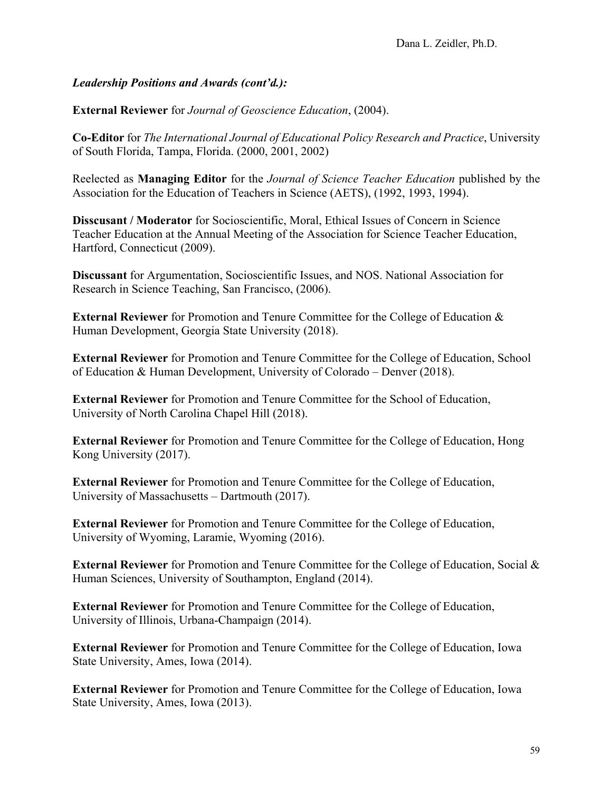**External Reviewer** for *Journal of Geoscience Education*, (2004).

**Co-Editor** for *The International Journal of Educational Policy Research and Practice*, University of South Florida, Tampa, Florida. (2000, 2001, 2002)

Reelected as **Managing Editor** for the *Journal of Science Teacher Education* published by the Association for the Education of Teachers in Science (AETS), (1992, 1993, 1994).

**Disscusant / Moderator** for Socioscientific, Moral, Ethical Issues of Concern in Science Teacher Education at the Annual Meeting of the Association for Science Teacher Education, Hartford, Connecticut (2009).

**Discussant** for Argumentation, Socioscientific Issues, and NOS. National Association for Research in Science Teaching, San Francisco, (2006).

**External Reviewer** for Promotion and Tenure Committee for the College of Education & Human Development, Georgia State University (2018).

**External Reviewer** for Promotion and Tenure Committee for the College of Education, School of Education & Human Development, University of Colorado – Denver (2018).

**External Reviewer** for Promotion and Tenure Committee for the School of Education, University of North Carolina Chapel Hill (2018).

**External Reviewer** for Promotion and Tenure Committee for the College of Education, Hong Kong University (2017).

**External Reviewer** for Promotion and Tenure Committee for the College of Education, University of Massachusetts – Dartmouth (2017).

**External Reviewer** for Promotion and Tenure Committee for the College of Education, University of Wyoming, Laramie, Wyoming (2016).

**External Reviewer** for Promotion and Tenure Committee for the College of Education, Social & Human Sciences, University of Southampton, England (2014).

**External Reviewer** for Promotion and Tenure Committee for the College of Education, University of Illinois, Urbana-Champaign (2014).

**External Reviewer** for Promotion and Tenure Committee for the College of Education, Iowa State University, Ames, Iowa (2014).

**External Reviewer** for Promotion and Tenure Committee for the College of Education, Iowa State University, Ames, Iowa (2013).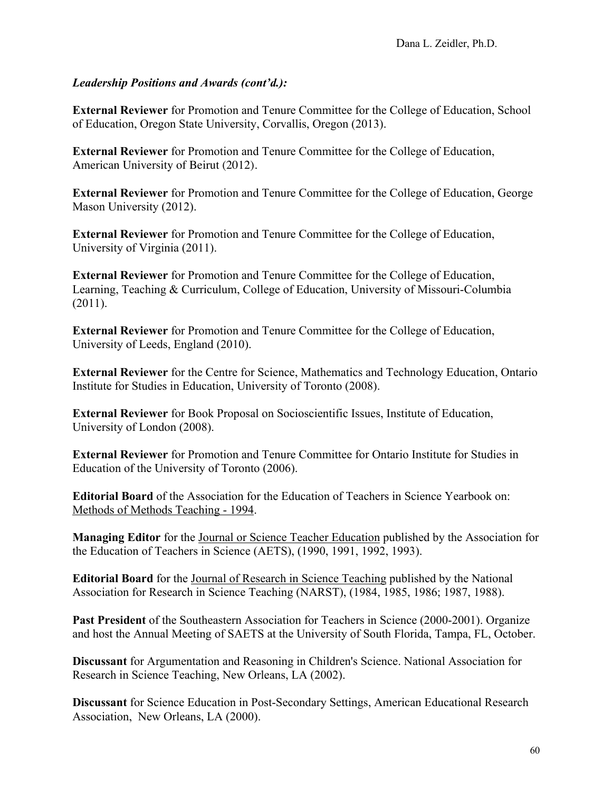**External Reviewer** for Promotion and Tenure Committee for the College of Education, School of Education, Oregon State University, Corvallis, Oregon (2013).

**External Reviewer** for Promotion and Tenure Committee for the College of Education, American University of Beirut (2012).

**External Reviewer** for Promotion and Tenure Committee for the College of Education, George Mason University (2012).

**External Reviewer** for Promotion and Tenure Committee for the College of Education, University of Virginia (2011).

**External Reviewer** for Promotion and Tenure Committee for the College of Education, Learning, Teaching & Curriculum, College of Education, University of Missouri-Columbia (2011).

**External Reviewer** for Promotion and Tenure Committee for the College of Education, University of Leeds, England (2010).

**External Reviewer** for the Centre for Science, Mathematics and Technology Education, Ontario Institute for Studies in Education, University of Toronto (2008).

**External Reviewer** for Book Proposal on Socioscientific Issues, Institute of Education, University of London (2008).

**External Reviewer** for Promotion and Tenure Committee for Ontario Institute for Studies in Education of the University of Toronto (2006).

**Editorial Board** of the Association for the Education of Teachers in Science Yearbook on: Methods of Methods Teaching - 1994.

**Managing Editor** for the Journal or Science Teacher Education published by the Association for the Education of Teachers in Science (AETS), (1990, 1991, 1992, 1993).

**Editorial Board** for the Journal of Research in Science Teaching published by the National Association for Research in Science Teaching (NARST), (1984, 1985, 1986; 1987, 1988).

**Past President** of the Southeastern Association for Teachers in Science (2000-2001). Organize and host the Annual Meeting of SAETS at the University of South Florida, Tampa, FL, October.

**Discussant** for Argumentation and Reasoning in Children's Science. National Association for Research in Science Teaching, New Orleans, LA (2002).

**Discussant** for Science Education in Post-Secondary Settings, American Educational Research Association, New Orleans, LA (2000).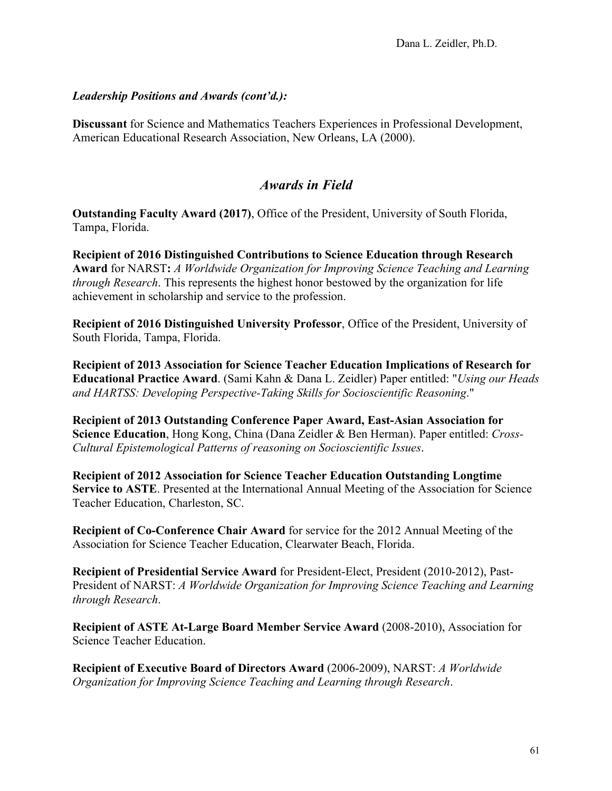**Discussant** for Science and Mathematics Teachers Experiences in Professional Development, American Educational Research Association, New Orleans, LA (2000).

# *Awards in Field*

**Outstanding Faculty Award (2017)**, Office of the President, University of South Florida, Tampa, Florida.

**Recipient of 2016 Distinguished Contributions to Science Education through Research Award** for NARST**:** *A Worldwide Organization for Improving Science Teaching and Learning through Research*. This represents the highest honor bestowed by the organization for life achievement in scholarship and service to the profession.

**Recipient of 2016 Distinguished University Professor**, Office of the President, University of South Florida, Tampa, Florida.

**Recipient of 2013 Association for Science Teacher Education Implications of Research for Educational Practice Award**. (Sami Kahn & Dana L. Zeidler) Paper entitled: "*Using our Heads and HARTSS: Developing Perspective-Taking Skills for Socioscientific Reasoning*."

**Recipient of 2013 Outstanding Conference Paper Award, East-Asian Association for Science Education**, Hong Kong, China (Dana Zeidler & Ben Herman). Paper entitled: *Cross-Cultural Epistemological Patterns of reasoning on Socioscientific Issues*.

**Recipient of 2012 Association for Science Teacher Education Outstanding Longtime Service to ASTE**. Presented at the International Annual Meeting of the Association for Science Teacher Education, Charleston, SC.

**Recipient of Co-Conference Chair Award** for service for the 2012 Annual Meeting of the Association for Science Teacher Education, Clearwater Beach, Florida.

**Recipient of Presidential Service Award** for President-Elect, President (2010-2012), Past-President of NARST: *A Worldwide Organization for Improving Science Teaching and Learning through Research*.

**Recipient of ASTE At-Large Board Member Service Award** (2008-2010), Association for Science Teacher Education.

**Recipient of Executive Board of Directors Award** (2006-2009), NARST: *A Worldwide Organization for Improving Science Teaching and Learning through Research*.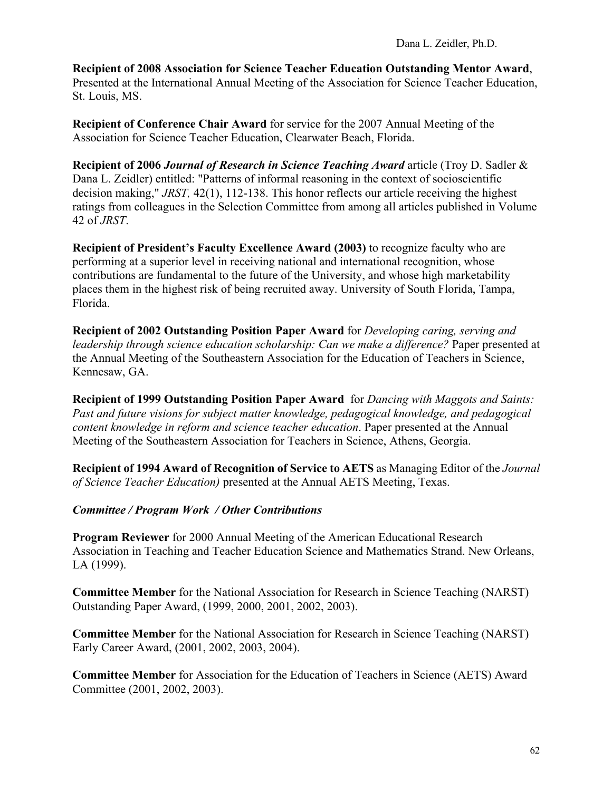**Recipient of 2008 Association for Science Teacher Education Outstanding Mentor Award**, Presented at the International Annual Meeting of the Association for Science Teacher Education, St. Louis, MS.

**Recipient of Conference Chair Award** for service for the 2007 Annual Meeting of the Association for Science Teacher Education, Clearwater Beach, Florida.

**Recipient of 2006** *Journal of Research in Science Teaching Award* article (Troy D. Sadler & Dana L. Zeidler) entitled: "Patterns of informal reasoning in the context of socioscientific decision making," *JRST,* 42(1), 112-138. This honor reflects our article receiving the highest ratings from colleagues in the Selection Committee from among all articles published in Volume 42 of *JRST*.

**Recipient of President's Faculty Excellence Award (2003)** to recognize faculty who are performing at a superior level in receiving national and international recognition, whose contributions are fundamental to the future of the University, and whose high marketability places them in the highest risk of being recruited away. University of South Florida, Tampa, Florida.

**Recipient of 2002 Outstanding Position Paper Award** for *Developing caring, serving and leadership through science education scholarship: Can we make a difference?* Paper presented at the Annual Meeting of the Southeastern Association for the Education of Teachers in Science, Kennesaw, GA.

**Recipient of 1999 Outstanding Position Paper Award** for *Dancing with Maggots and Saints: Past and future visions for subject matter knowledge, pedagogical knowledge, and pedagogical content knowledge in reform and science teacher education*. Paper presented at the Annual Meeting of the Southeastern Association for Teachers in Science, Athens, Georgia.

**Recipient of 1994 Award of Recognition of Service to AETS** as Managing Editor of the *Journal of Science Teacher Education)* presented at the Annual AETS Meeting, Texas.

### *Committee / Program Work / Other Contributions*

**Program Reviewer** for 2000 Annual Meeting of the American Educational Research Association in Teaching and Teacher Education Science and Mathematics Strand. New Orleans, LA (1999).

**Committee Member** for the National Association for Research in Science Teaching (NARST) Outstanding Paper Award, (1999, 2000, 2001, 2002, 2003).

**Committee Member** for the National Association for Research in Science Teaching (NARST) Early Career Award, (2001, 2002, 2003, 2004).

**Committee Member** for Association for the Education of Teachers in Science (AETS) Award Committee (2001, 2002, 2003).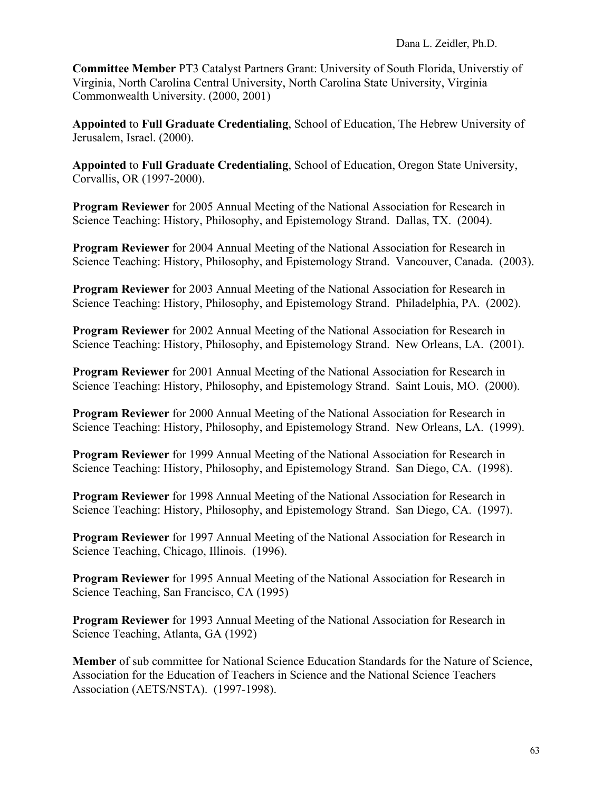**Committee Member** PT3 Catalyst Partners Grant: University of South Florida, Universtiy of Virginia, North Carolina Central University, North Carolina State University, Virginia Commonwealth University. (2000, 2001)

**Appointed** to **Full Graduate Credentialing**, School of Education, The Hebrew University of Jerusalem, Israel. (2000).

**Appointed** to **Full Graduate Credentialing**, School of Education, Oregon State University, Corvallis, OR (1997-2000).

**Program Reviewer** for 2005 Annual Meeting of the National Association for Research in Science Teaching: History, Philosophy, and Epistemology Strand. Dallas, TX. (2004).

**Program Reviewer** for 2004 Annual Meeting of the National Association for Research in Science Teaching: History, Philosophy, and Epistemology Strand. Vancouver, Canada. (2003).

**Program Reviewer** for 2003 Annual Meeting of the National Association for Research in Science Teaching: History, Philosophy, and Epistemology Strand. Philadelphia, PA. (2002).

**Program Reviewer** for 2002 Annual Meeting of the National Association for Research in Science Teaching: History, Philosophy, and Epistemology Strand. New Orleans, LA. (2001).

**Program Reviewer** for 2001 Annual Meeting of the National Association for Research in Science Teaching: History, Philosophy, and Epistemology Strand. Saint Louis, MO. (2000).

**Program Reviewer** for 2000 Annual Meeting of the National Association for Research in Science Teaching: History, Philosophy, and Epistemology Strand. New Orleans, LA. (1999).

**Program Reviewer** for 1999 Annual Meeting of the National Association for Research in Science Teaching: History, Philosophy, and Epistemology Strand. San Diego, CA. (1998).

**Program Reviewer** for 1998 Annual Meeting of the National Association for Research in Science Teaching: History, Philosophy, and Epistemology Strand. San Diego, CA. (1997).

**Program Reviewer** for 1997 Annual Meeting of the National Association for Research in Science Teaching, Chicago, Illinois. (1996).

**Program Reviewer** for 1995 Annual Meeting of the National Association for Research in Science Teaching, San Francisco, CA (1995)

**Program Reviewer** for 1993 Annual Meeting of the National Association for Research in Science Teaching, Atlanta, GA (1992)

**Member** of sub committee for National Science Education Standards for the Nature of Science, Association for the Education of Teachers in Science and the National Science Teachers Association (AETS/NSTA). (1997-1998).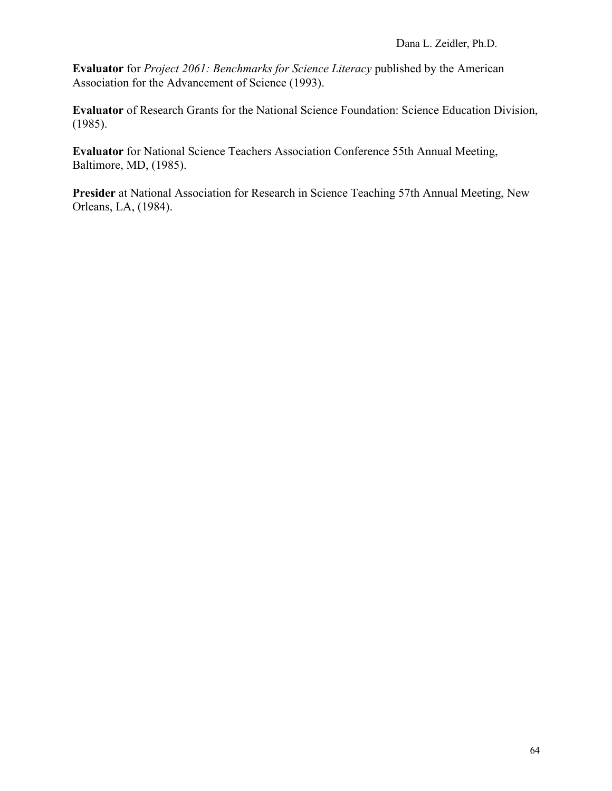**Evaluator** for *Project 2061: Benchmarks for Science Literacy* published by the American Association for the Advancement of Science (1993).

**Evaluator** of Research Grants for the National Science Foundation: Science Education Division, (1985).

**Evaluator** for National Science Teachers Association Conference 55th Annual Meeting, Baltimore, MD, (1985).

**Presider** at National Association for Research in Science Teaching 57th Annual Meeting, New Orleans, LA, (1984).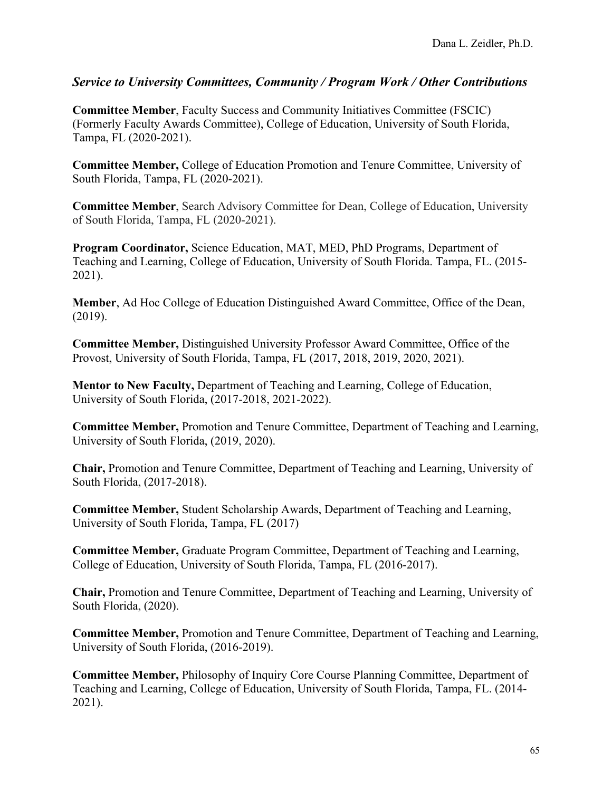**Committee Member**, Faculty Success and Community Initiatives Committee (FSCIC) (Formerly Faculty Awards Committee), College of Education, University of South Florida, Tampa, FL (2020-2021).

**Committee Member,** College of Education Promotion and Tenure Committee, University of South Florida, Tampa, FL (2020-2021).

**Committee Member**, Search Advisory Committee for Dean, College of Education, University of South Florida, Tampa, FL (2020-2021).

**Program Coordinator,** Science Education, MAT, MED, PhD Programs, Department of Teaching and Learning, College of Education, University of South Florida. Tampa, FL. (2015- 2021).

**Member**, Ad Hoc College of Education Distinguished Award Committee, Office of the Dean, (2019).

**Committee Member,** Distinguished University Professor Award Committee, Office of the Provost, University of South Florida, Tampa, FL (2017, 2018, 2019, 2020, 2021).

**Mentor to New Faculty,** Department of Teaching and Learning, College of Education, University of South Florida, (2017-2018, 2021-2022).

**Committee Member,** Promotion and Tenure Committee, Department of Teaching and Learning, University of South Florida, (2019, 2020).

**Chair,** Promotion and Tenure Committee, Department of Teaching and Learning, University of South Florida, (2017-2018).

**Committee Member,** Student Scholarship Awards, Department of Teaching and Learning, University of South Florida, Tampa, FL (2017)

**Committee Member,** Graduate Program Committee, Department of Teaching and Learning, College of Education, University of South Florida, Tampa, FL (2016-2017).

**Chair,** Promotion and Tenure Committee, Department of Teaching and Learning, University of South Florida, (2020).

**Committee Member,** Promotion and Tenure Committee, Department of Teaching and Learning, University of South Florida, (2016-2019).

**Committee Member,** Philosophy of Inquiry Core Course Planning Committee, Department of Teaching and Learning, College of Education, University of South Florida, Tampa, FL. (2014- 2021).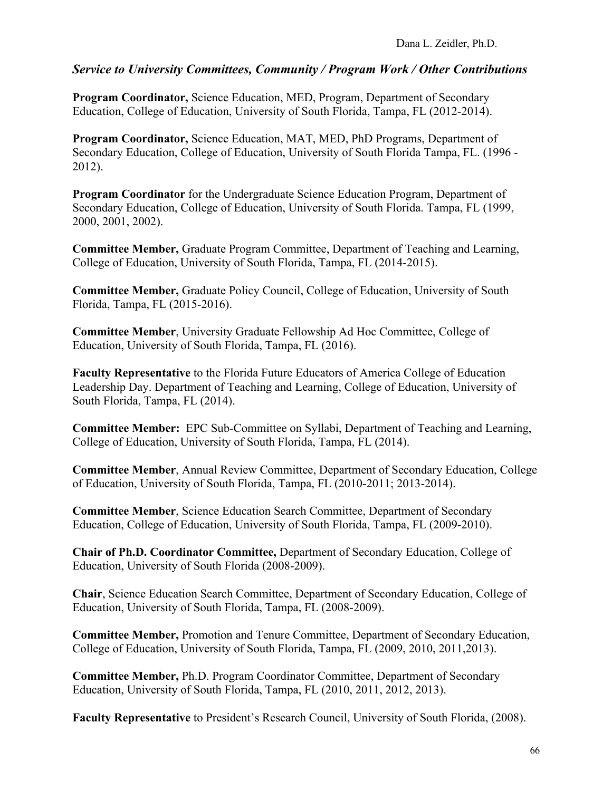**Program Coordinator,** Science Education, MED, Program, Department of Secondary Education, College of Education, University of South Florida, Tampa, FL (2012-2014).

**Program Coordinator,** Science Education, MAT, MED, PhD Programs, Department of Secondary Education, College of Education, University of South Florida Tampa, FL. (1996 - 2012).

**Program Coordinator** for the Undergraduate Science Education Program, Department of Secondary Education, College of Education, University of South Florida. Tampa, FL (1999, 2000, 2001, 2002).

**Committee Member,** Graduate Program Committee, Department of Teaching and Learning, College of Education, University of South Florida, Tampa, FL (2014-2015).

**Committee Member,** Graduate Policy Council, College of Education, University of South Florida, Tampa, FL (2015-2016).

**Committee Member**, University Graduate Fellowship Ad Hoc Committee, College of Education, University of South Florida, Tampa, FL (2016).

**Faculty Representative** to the Florida Future Educators of America College of Education Leadership Day. Department of Teaching and Learning, College of Education, University of South Florida, Tampa, FL (2014).

**Committee Member:** EPC Sub-Committee on Syllabi, Department of Teaching and Learning, College of Education, University of South Florida, Tampa, FL (2014).

**Committee Member**, Annual Review Committee, Department of Secondary Education, College of Education, University of South Florida, Tampa, FL (2010-2011; 2013-2014).

**Committee Member**, Science Education Search Committee, Department of Secondary Education, College of Education, University of South Florida, Tampa, FL (2009-2010).

**Chair of Ph.D. Coordinator Committee,** Department of Secondary Education, College of Education, University of South Florida (2008-2009).

**Chair**, Science Education Search Committee, Department of Secondary Education, College of Education, University of South Florida, Tampa, FL (2008-2009).

**Committee Member,** Promotion and Tenure Committee, Department of Secondary Education, College of Education, University of South Florida, Tampa, FL (2009, 2010, 2011,2013).

**Committee Member,** Ph.D. Program Coordinator Committee, Department of Secondary Education, University of South Florida, Tampa, FL (2010, 2011, 2012, 2013).

**Faculty Representative** to President's Research Council, University of South Florida, (2008).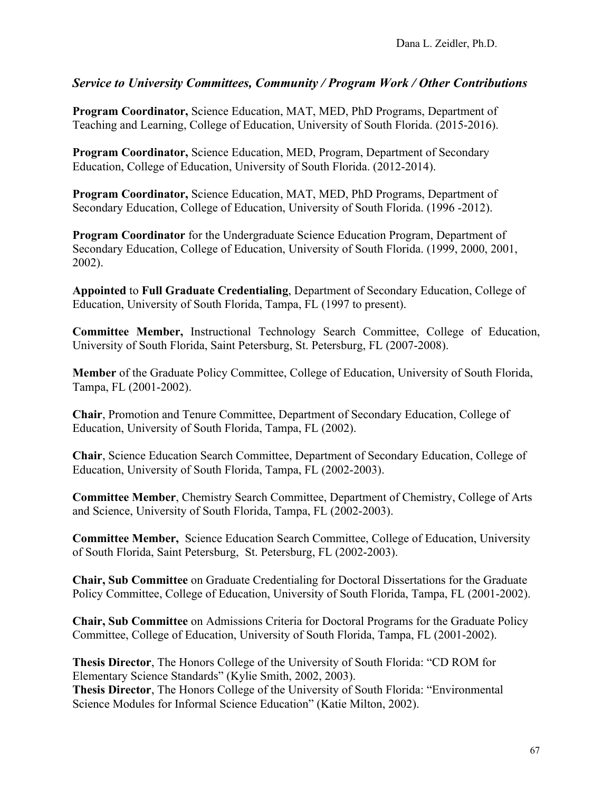**Program Coordinator,** Science Education, MAT, MED, PhD Programs, Department of Teaching and Learning, College of Education, University of South Florida. (2015-2016).

**Program Coordinator,** Science Education, MED, Program, Department of Secondary Education, College of Education, University of South Florida. (2012-2014).

**Program Coordinator,** Science Education, MAT, MED, PhD Programs, Department of Secondary Education, College of Education, University of South Florida. (1996 -2012).

**Program Coordinator** for the Undergraduate Science Education Program, Department of Secondary Education, College of Education, University of South Florida. (1999, 2000, 2001, 2002).

**Appointed** to **Full Graduate Credentialing**, Department of Secondary Education, College of Education, University of South Florida, Tampa, FL (1997 to present).

**Committee Member,** Instructional Technology Search Committee, College of Education, University of South Florida, Saint Petersburg, St. Petersburg, FL (2007-2008).

**Member** of the Graduate Policy Committee, College of Education, University of South Florida, Tampa, FL (2001-2002).

**Chair**, Promotion and Tenure Committee, Department of Secondary Education, College of Education, University of South Florida, Tampa, FL (2002).

**Chair**, Science Education Search Committee, Department of Secondary Education, College of Education, University of South Florida, Tampa, FL (2002-2003).

**Committee Member**, Chemistry Search Committee, Department of Chemistry, College of Arts and Science, University of South Florida, Tampa, FL (2002-2003).

**Committee Member,** Science Education Search Committee, College of Education, University of South Florida, Saint Petersburg, St. Petersburg, FL (2002-2003).

**Chair, Sub Committee** on Graduate Credentialing for Doctoral Dissertations for the Graduate Policy Committee, College of Education, University of South Florida, Tampa, FL (2001-2002).

**Chair, Sub Committee** on Admissions Criteria for Doctoral Programs for the Graduate Policy Committee, College of Education, University of South Florida, Tampa, FL (2001-2002).

**Thesis Director**, The Honors College of the University of South Florida: "CD ROM for Elementary Science Standards" (Kylie Smith, 2002, 2003). **Thesis Director**, The Honors College of the University of South Florida: "Environmental Science Modules for Informal Science Education" (Katie Milton, 2002).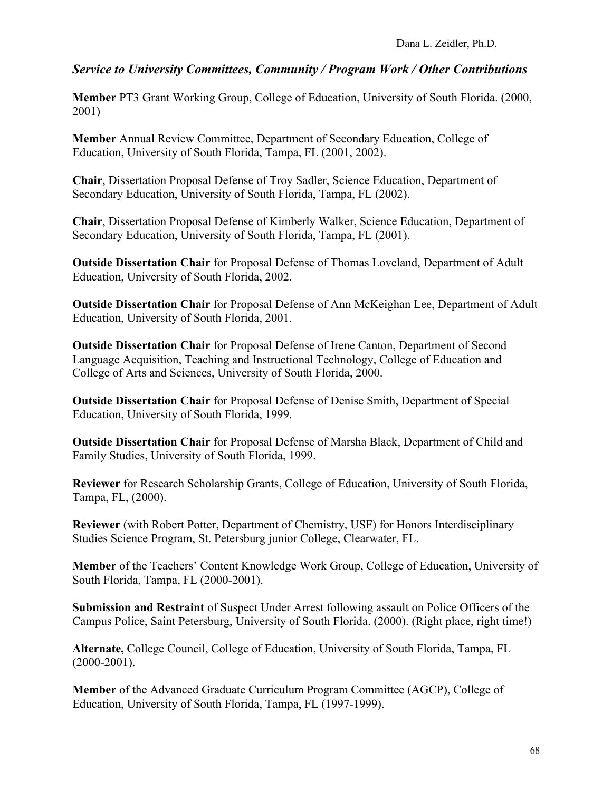**Member** PT3 Grant Working Group, College of Education, University of South Florida. (2000, 2001)

**Member** Annual Review Committee, Department of Secondary Education, College of Education, University of South Florida, Tampa, FL (2001, 2002).

**Chair**, Dissertation Proposal Defense of Troy Sadler, Science Education, Department of Secondary Education, University of South Florida, Tampa, FL (2002).

**Chair**, Dissertation Proposal Defense of Kimberly Walker, Science Education, Department of Secondary Education, University of South Florida, Tampa, FL (2001).

**Outside Dissertation Chair** for Proposal Defense of Thomas Loveland, Department of Adult Education, University of South Florida, 2002.

**Outside Dissertation Chair** for Proposal Defense of Ann McKeighan Lee, Department of Adult Education, University of South Florida, 2001.

**Outside Dissertation Chair** for Proposal Defense of Irene Canton, Department of Second Language Acquisition, Teaching and Instructional Technology, College of Education and College of Arts and Sciences, University of South Florida, 2000.

**Outside Dissertation Chair** for Proposal Defense of Denise Smith, Department of Special Education, University of South Florida, 1999.

**Outside Dissertation Chair** for Proposal Defense of Marsha Black, Department of Child and Family Studies, University of South Florida, 1999.

**Reviewer** for Research Scholarship Grants, College of Education, University of South Florida, Tampa, FL, (2000).

**Reviewer** (with Robert Potter, Department of Chemistry, USF) for Honors Interdisciplinary Studies Science Program, St. Petersburg junior College, Clearwater, FL.

**Member** of the Teachers' Content Knowledge Work Group, College of Education, University of South Florida, Tampa, FL (2000-2001).

**Submission and Restraint** of Suspect Under Arrest following assault on Police Officers of the Campus Police, Saint Petersburg, University of South Florida. (2000). (Right place, right time!)

**Alternate,** College Council, College of Education, University of South Florida, Tampa, FL  $(2000-2001)$ .

**Member** of the Advanced Graduate Curriculum Program Committee (AGCP), College of Education, University of South Florida, Tampa, FL (1997-1999).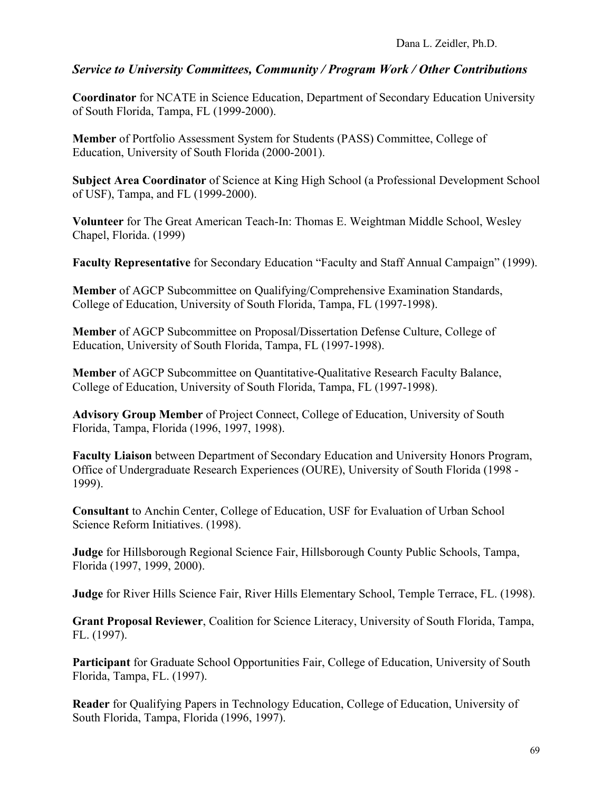**Coordinator** for NCATE in Science Education, Department of Secondary Education University of South Florida, Tampa, FL (1999-2000).

**Member** of Portfolio Assessment System for Students (PASS) Committee, College of Education, University of South Florida (2000-2001).

**Subject Area Coordinator** of Science at King High School (a Professional Development School of USF), Tampa, and FL (1999-2000).

**Volunteer** for The Great American Teach-In: Thomas E. Weightman Middle School, Wesley Chapel, Florida. (1999)

**Faculty Representative** for Secondary Education "Faculty and Staff Annual Campaign" (1999).

**Member** of AGCP Subcommittee on Qualifying/Comprehensive Examination Standards, College of Education, University of South Florida, Tampa, FL (1997-1998).

**Member** of AGCP Subcommittee on Proposal/Dissertation Defense Culture, College of Education, University of South Florida, Tampa, FL (1997-1998).

**Member** of AGCP Subcommittee on Quantitative-Qualitative Research Faculty Balance, College of Education, University of South Florida, Tampa, FL (1997-1998).

**Advisory Group Member** of Project Connect, College of Education, University of South Florida, Tampa, Florida (1996, 1997, 1998).

**Faculty Liaison** between Department of Secondary Education and University Honors Program, Office of Undergraduate Research Experiences (OURE), University of South Florida (1998 - 1999).

**Consultant** to Anchin Center, College of Education, USF for Evaluation of Urban School Science Reform Initiatives. (1998).

**Judge** for Hillsborough Regional Science Fair, Hillsborough County Public Schools, Tampa, Florida (1997, 1999, 2000).

**Judge** for River Hills Science Fair, River Hills Elementary School, Temple Terrace, FL. (1998).

**Grant Proposal Reviewer**, Coalition for Science Literacy, University of South Florida, Tampa, FL. (1997).

**Participant** for Graduate School Opportunities Fair, College of Education, University of South Florida, Tampa, FL. (1997).

**Reader** for Qualifying Papers in Technology Education, College of Education, University of South Florida, Tampa, Florida (1996, 1997).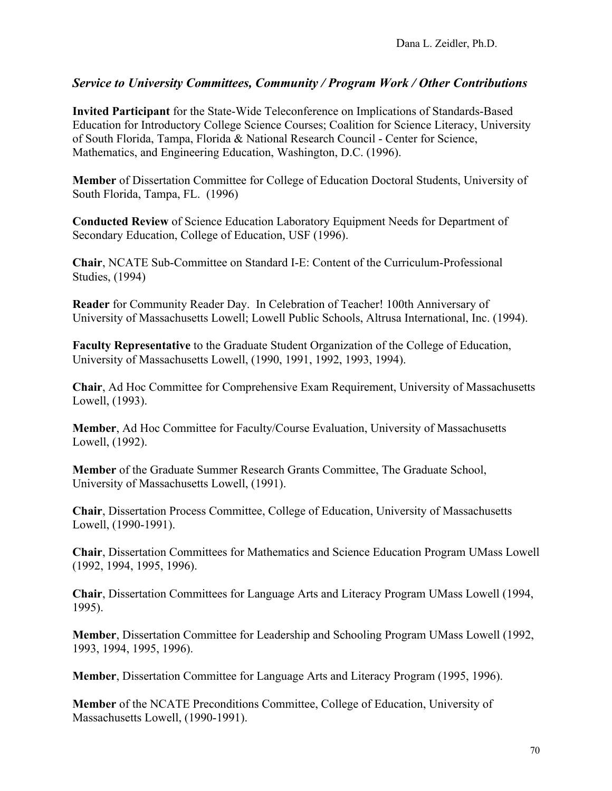**Invited Participant** for the State-Wide Teleconference on Implications of Standards-Based Education for Introductory College Science Courses; Coalition for Science Literacy, University of South Florida, Tampa, Florida & National Research Council - Center for Science, Mathematics, and Engineering Education, Washington, D.C. (1996).

**Member** of Dissertation Committee for College of Education Doctoral Students, University of South Florida, Tampa, FL. (1996)

**Conducted Review** of Science Education Laboratory Equipment Needs for Department of Secondary Education, College of Education, USF (1996).

**Chair**, NCATE Sub-Committee on Standard I-E: Content of the Curriculum-Professional Studies, (1994)

**Reader** for Community Reader Day. In Celebration of Teacher! 100th Anniversary of University of Massachusetts Lowell; Lowell Public Schools, Altrusa International, Inc. (1994).

**Faculty Representative** to the Graduate Student Organization of the College of Education, University of Massachusetts Lowell, (1990, 1991, 1992, 1993, 1994).

**Chair**, Ad Hoc Committee for Comprehensive Exam Requirement, University of Massachusetts Lowell, (1993).

**Member**, Ad Hoc Committee for Faculty/Course Evaluation, University of Massachusetts Lowell, (1992).

**Member** of the Graduate Summer Research Grants Committee, The Graduate School, University of Massachusetts Lowell, (1991).

**Chair**, Dissertation Process Committee, College of Education, University of Massachusetts Lowell, (1990-1991).

**Chair**, Dissertation Committees for Mathematics and Science Education Program UMass Lowell (1992, 1994, 1995, 1996).

**Chair**, Dissertation Committees for Language Arts and Literacy Program UMass Lowell (1994, 1995).

**Member**, Dissertation Committee for Leadership and Schooling Program UMass Lowell (1992, 1993, 1994, 1995, 1996).

**Member**, Dissertation Committee for Language Arts and Literacy Program (1995, 1996).

**Member** of the NCATE Preconditions Committee, College of Education, University of Massachusetts Lowell, (1990-1991).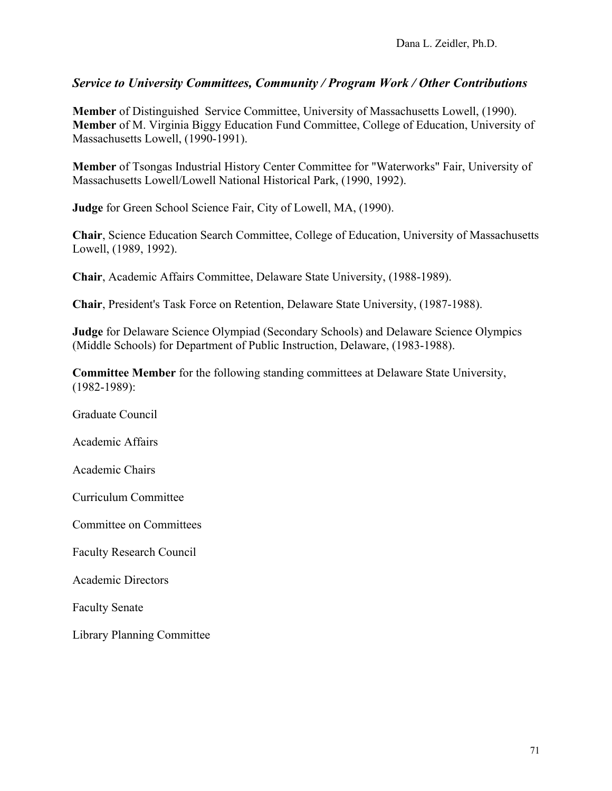**Member** of Distinguished Service Committee, University of Massachusetts Lowell, (1990). **Member** of M. Virginia Biggy Education Fund Committee, College of Education, University of Massachusetts Lowell, (1990-1991).

**Member** of Tsongas Industrial History Center Committee for "Waterworks" Fair, University of Massachusetts Lowell/Lowell National Historical Park, (1990, 1992).

**Judge** for Green School Science Fair, City of Lowell, MA, (1990).

**Chair**, Science Education Search Committee, College of Education, University of Massachusetts Lowell, (1989, 1992).

**Chair**, Academic Affairs Committee, Delaware State University, (1988-1989).

**Chair**, President's Task Force on Retention, Delaware State University, (1987-1988).

**Judge** for Delaware Science Olympiad (Secondary Schools) and Delaware Science Olympics (Middle Schools) for Department of Public Instruction, Delaware, (1983-1988).

**Committee Member** for the following standing committees at Delaware State University, (1982-1989):

Graduate Council Academic Affairs Academic Chairs Curriculum Committee Committee on Committees Faculty Research Council Academic Directors Faculty Senate Library Planning Committee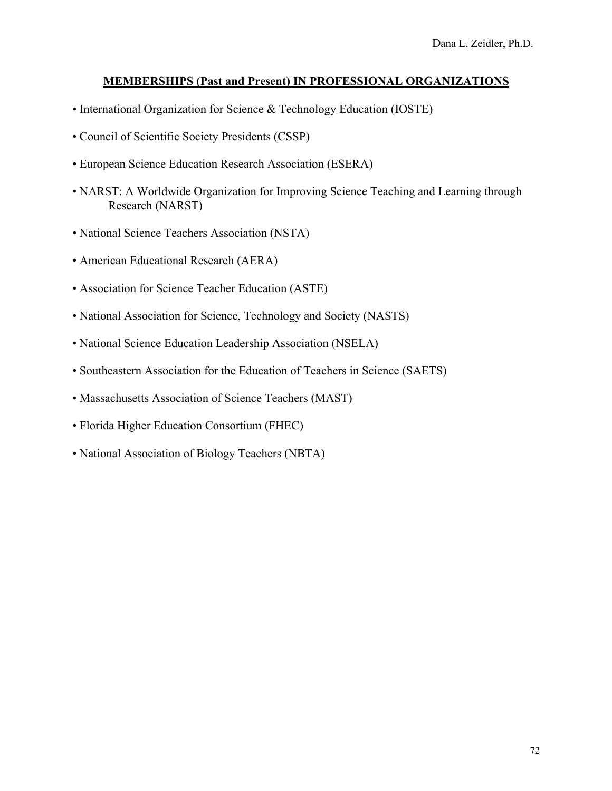### **MEMBERSHIPS (Past and Present) IN PROFESSIONAL ORGANIZATIONS**

- International Organization for Science & Technology Education (IOSTE)
- Council of Scientific Society Presidents (CSSP)
- European Science Education Research Association (ESERA)
- NARST: A Worldwide Organization for Improving Science Teaching and Learning through Research (NARST)
- National Science Teachers Association (NSTA)
- American Educational Research (AERA)
- Association for Science Teacher Education (ASTE)
- National Association for Science, Technology and Society (NASTS)
- National Science Education Leadership Association (NSELA)
- Southeastern Association for the Education of Teachers in Science (SAETS)
- Massachusetts Association of Science Teachers (MAST)
- Florida Higher Education Consortium (FHEC)
- National Association of Biology Teachers (NBTA)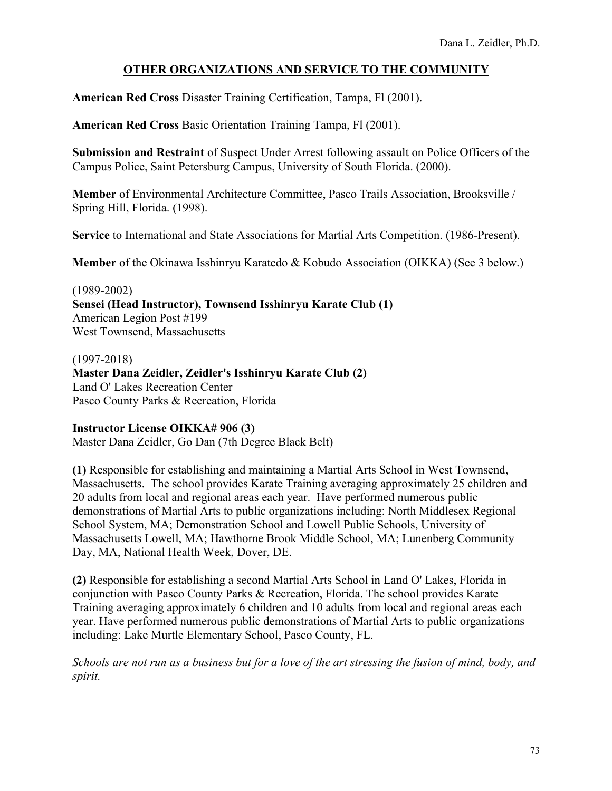# **OTHER ORGANIZATIONS AND SERVICE TO THE COMMUNITY**

**American Red Cross** Disaster Training Certification, Tampa, Fl (2001).

**American Red Cross** Basic Orientation Training Tampa, Fl (2001).

**Submission and Restraint** of Suspect Under Arrest following assault on Police Officers of the Campus Police, Saint Petersburg Campus, University of South Florida. (2000).

**Member** of Environmental Architecture Committee, Pasco Trails Association, Brooksville / Spring Hill, Florida. (1998).

**Service** to International and State Associations for Martial Arts Competition. (1986-Present).

**Member** of the Okinawa Isshinryu Karatedo & Kobudo Association (OIKKA) (See 3 below.)

(1989-2002) **Sensei (Head Instructor), Townsend Isshinryu Karate Club (1)** American Legion Post #199 West Townsend, Massachusetts

(1997-2018) **Master Dana Zeidler, Zeidler's Isshinryu Karate Club (2)** Land O' Lakes Recreation Center Pasco County Parks & Recreation, Florida

### **Instructor License OIKKA# 906 (3)**

Master Dana Zeidler, Go Dan (7th Degree Black Belt)

**(1)** Responsible for establishing and maintaining a Martial Arts School in West Townsend, Massachusetts. The school provides Karate Training averaging approximately 25 children and 20 adults from local and regional areas each year. Have performed numerous public demonstrations of Martial Arts to public organizations including: North Middlesex Regional School System, MA; Demonstration School and Lowell Public Schools, University of Massachusetts Lowell, MA; Hawthorne Brook Middle School, MA; Lunenberg Community Day, MA, National Health Week, Dover, DE.

**(2)** Responsible for establishing a second Martial Arts School in Land O' Lakes, Florida in conjunction with Pasco County Parks & Recreation, Florida. The school provides Karate Training averaging approximately 6 children and 10 adults from local and regional areas each year. Have performed numerous public demonstrations of Martial Arts to public organizations including: Lake Murtle Elementary School, Pasco County, FL.

*Schools are not run as a business but for a love of the art stressing the fusion of mind, body, and spirit.*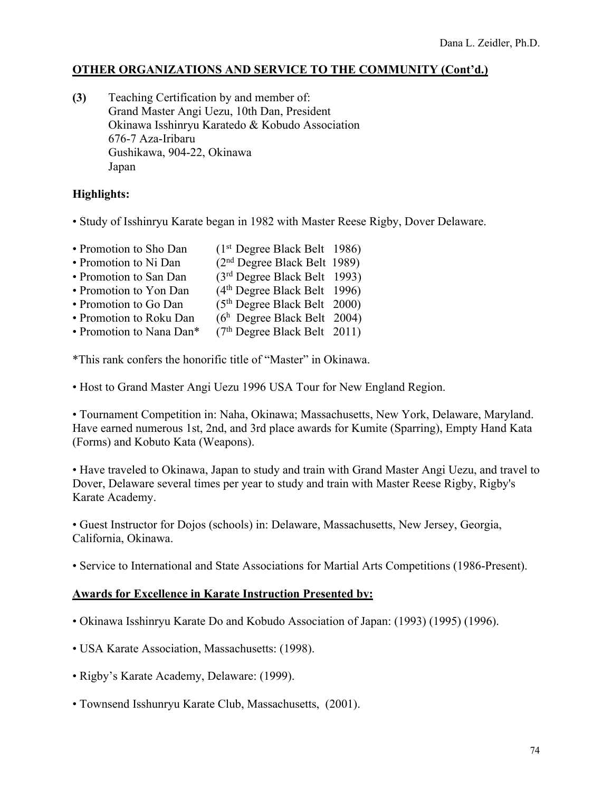### **OTHER ORGANIZATIONS AND SERVICE TO THE COMMUNITY (Cont'd.)**

**(3)** Teaching Certification by and member of: Grand Master Angi Uezu, 10th Dan, President Okinawa Isshinryu Karatedo & Kobudo Association 676-7 Aza-Iribaru Gushikawa, 904-22, Okinawa Japan

#### **Highlights:**

- Study of Isshinryu Karate began in 1982 with Master Reese Rigby, Dover Delaware.
- Promotion to Sho Dan (1<sup>st</sup> Degree Black Belt 1986) • Promotion to Ni Dan (2<sup>nd</sup> Degree Black Belt 1989) • Promotion to San Dan (3<sup>rd</sup> Degree Black Belt 1993) • Promotion to Yon Dan (4<sup>th</sup> Degree Black Belt 1996) • Promotion to Go Dan  $(5<sup>th</sup>$  Degree Black Belt 2000) • Promotion to Roku Dan  $(6<sup>h</sup>$  Degree Black Belt 2004) • Promotion to Nana Dan<sup>\*</sup> (7<sup>th</sup> Degree Black Belt 2011)

\*This rank confers the honorific title of "Master" in Okinawa.

• Host to Grand Master Angi Uezu 1996 USA Tour for New England Region.

• Tournament Competition in: Naha, Okinawa; Massachusetts, New York, Delaware, Maryland. Have earned numerous 1st, 2nd, and 3rd place awards for Kumite (Sparring), Empty Hand Kata (Forms) and Kobuto Kata (Weapons).

• Have traveled to Okinawa, Japan to study and train with Grand Master Angi Uezu, and travel to Dover, Delaware several times per year to study and train with Master Reese Rigby, Rigby's Karate Academy.

• Guest Instructor for Dojos (schools) in: Delaware, Massachusetts, New Jersey, Georgia, California, Okinawa.

• Service to International and State Associations for Martial Arts Competitions (1986-Present).

#### **Awards for Excellence in Karate Instruction Presented by:**

- Okinawa Isshinryu Karate Do and Kobudo Association of Japan: (1993) (1995) (1996).
- USA Karate Association, Massachusetts: (1998).
- Rigby's Karate Academy, Delaware: (1999).
- Townsend Isshunryu Karate Club, Massachusetts, (2001).